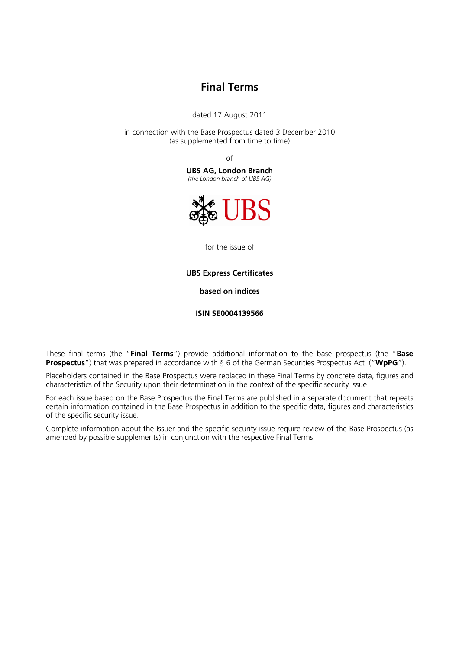# **Final Terms**

dated 17 August 2011

in connection with the Base Prospectus dated 3 December 2010 (as supplemented from time to time)

of

**UBS AG, London Branch**  *(the London branch of UBS AG)* 



for the issue of

## **UBS Express Certificates**

**based on indices**

**ISIN SE0004139566** 

These final terms (the "**Final Terms**") provide additional information to the base prospectus (the "**Base Prospectus**") that was prepared in accordance with § 6 of the German Securities Prospectus Act ("**WpPG**").

Placeholders contained in the Base Prospectus were replaced in these Final Terms by concrete data, figures and characteristics of the Security upon their determination in the context of the specific security issue.

For each issue based on the Base Prospectus the Final Terms are published in a separate document that repeats certain information contained in the Base Prospectus in addition to the specific data, figures and characteristics of the specific security issue.

Complete information about the Issuer and the specific security issue require review of the Base Prospectus (as amended by possible supplements) in conjunction with the respective Final Terms.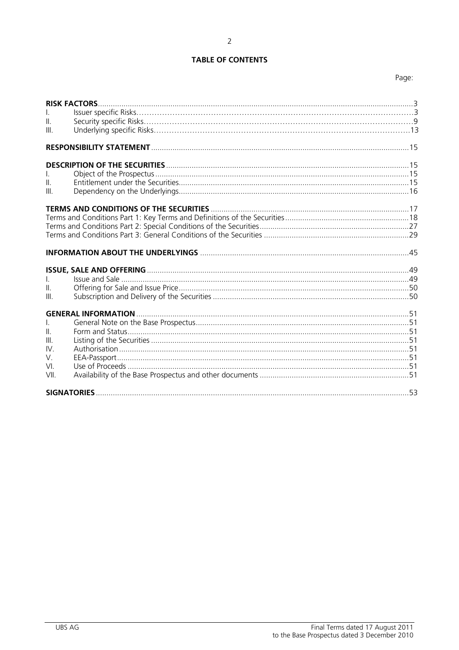# **TABLE OF CONTENTS**

# Page:

| $\mathbf{II}$ .<br>III.                             |  |
|-----------------------------------------------------|--|
|                                                     |  |
| $\mathbf{II}$ .<br>III.                             |  |
|                                                     |  |
|                                                     |  |
| $\mathbf{L}$<br>$\mathbf{II}$ .<br>III.             |  |
| $\mathbf{II}$ .<br>III.<br>IV.<br>V.<br>VI.<br>VII. |  |
|                                                     |  |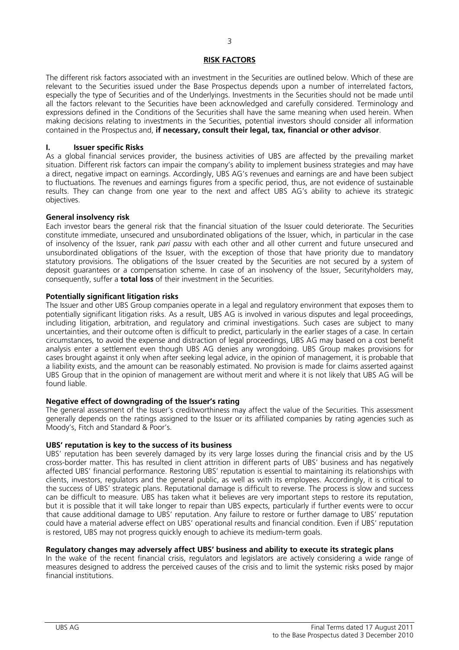# **RISK FACTORS**

The different risk factors associated with an investment in the Securities are outlined below. Which of these are relevant to the Securities issued under the Base Prospectus depends upon a number of interrelated factors, especially the type of Securities and of the Underlyings. Investments in the Securities should not be made until all the factors relevant to the Securities have been acknowledged and carefully considered. Terminology and expressions defined in the Conditions of the Securities shall have the same meaning when used herein. When making decisions relating to investments in the Securities, potential investors should consider all information contained in the Prospectus and, **if necessary, consult their legal, tax, financial or other advisor**.

# **I. Issuer specific Risks**

As a global financial services provider, the business activities of UBS are affected by the prevailing market situation. Different risk factors can impair the company's ability to implement business strategies and may have a direct, negative impact on earnings. Accordingly, UBS AG's revenues and earnings are and have been subject to fluctuations. The revenues and earnings figures from a specific period, thus, are not evidence of sustainable results. They can change from one year to the next and affect UBS AG's ability to achieve its strategic objectives.

## **General insolvency risk**

Each investor bears the general risk that the financial situation of the Issuer could deteriorate. The Securities constitute immediate, unsecured and unsubordinated obligations of the Issuer, which, in particular in the case of insolvency of the Issuer, rank *pari passu* with each other and all other current and future unsecured and unsubordinated obligations of the Issuer, with the exception of those that have priority due to mandatory statutory provisions. The obligations of the Issuer created by the Securities are not secured by a system of deposit guarantees or a compensation scheme. In case of an insolvency of the Issuer, Securityholders may, consequently, suffer a **total loss** of their investment in the Securities.

## **Potentially significant litigation risks**

The Issuer and other UBS Group companies operate in a legal and regulatory environment that exposes them to potentially significant litigation risks. As a result, UBS AG is involved in various disputes and legal proceedings, including litigation, arbitration, and regulatory and criminal investigations. Such cases are subject to many uncertainties, and their outcome often is difficult to predict, particularly in the earlier stages of a case. In certain circumstances, to avoid the expense and distraction of legal proceedings, UBS AG may based on a cost benefit analysis enter a settlement even though UBS AG denies any wrongdoing. UBS Group makes provisions for cases brought against it only when after seeking legal advice, in the opinion of management, it is probable that a liability exists, and the amount can be reasonably estimated. No provision is made for claims asserted against UBS Group that in the opinion of management are without merit and where it is not likely that UBS AG will be found liable.

# **Negative effect of downgrading of the Issuer's rating**

The general assessment of the Issuer's creditworthiness may affect the value of the Securities. This assessment generally depends on the ratings assigned to the Issuer or its affiliated companies by rating agencies such as Moody's, Fitch and Standard & Poor's.

# **UBS' reputation is key to the success of its business**

UBS' reputation has been severely damaged by its very large losses during the financial crisis and by the US cross-border matter. This has resulted in client attrition in different parts of UBS' business and has negatively affected UBS' financial performance. Restoring UBS' reputation is essential to maintaining its relationships with clients, investors, regulators and the general public, as well as with its employees. Accordingly, it is critical to the success of UBS' strategic plans. Reputational damage is difficult to reverse. The process is slow and success can be difficult to measure. UBS has taken what it believes are very important steps to restore its reputation, but it is possible that it will take longer to repair than UBS expects, particularly if further events were to occur that cause additional damage to UBS' reputation. Any failure to restore or further damage to UBS' reputation could have a material adverse effect on UBS' operational results and financial condition. Even if UBS' reputation is restored, UBS may not progress quickly enough to achieve its medium-term goals.

# **Regulatory changes may adversely affect UBS' business and ability to execute its strategic plans**

In the wake of the recent financial crisis, regulators and legislators are actively considering a wide range of measures designed to address the perceived causes of the crisis and to limit the systemic risks posed by major financial institutions.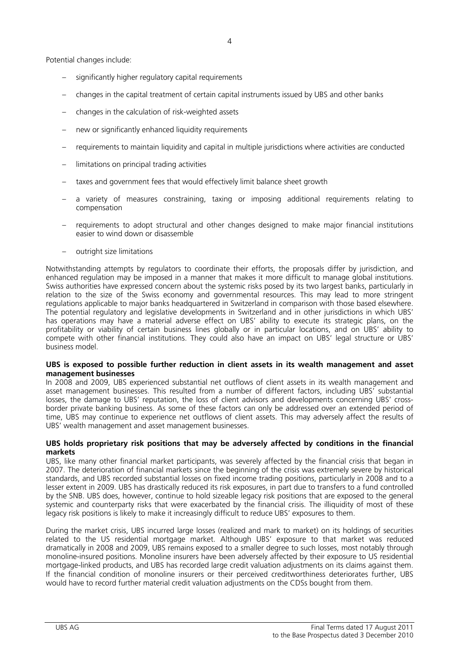Potential changes include:

- significantly higher regulatory capital requirements
- changes in the capital treatment of certain capital instruments issued by UBS and other banks
- changes in the calculation of risk-weighted assets
- new or significantly enhanced liquidity requirements
- requirements to maintain liquidity and capital in multiple jurisdictions where activities are conducted
- limitations on principal trading activities
- taxes and government fees that would effectively limit balance sheet growth
- a variety of measures constraining, taxing or imposing additional requirements relating to compensation
- requirements to adopt structural and other changes designed to make major financial institutions easier to wind down or disassemble
- outright size limitations

Notwithstanding attempts by regulators to coordinate their efforts, the proposals differ by jurisdiction, and enhanced regulation may be imposed in a manner that makes it more difficult to manage global institutions. Swiss authorities have expressed concern about the systemic risks posed by its two largest banks, particularly in relation to the size of the Swiss economy and governmental resources. This may lead to more stringent regulations applicable to major banks headquartered in Switzerland in comparison with those based elsewhere. The potential regulatory and legislative developments in Switzerland and in other jurisdictions in which UBS' has operations may have a material adverse effect on UBS' ability to execute its strategic plans, on the profitability or viability of certain business lines globally or in particular locations, and on UBS' ability to compete with other financial institutions. They could also have an impact on UBS' legal structure or UBS' business model.

## **UBS is exposed to possible further reduction in client assets in its wealth management and asset management businesses**

In 2008 and 2009, UBS experienced substantial net outflows of client assets in its wealth management and asset management businesses. This resulted from a number of different factors, including UBS' substantial losses, the damage to UBS' reputation, the loss of client advisors and developments concerning UBS' crossborder private banking business. As some of these factors can only be addressed over an extended period of time, UBS may continue to experience net outflows of client assets. This may adversely affect the results of UBS' wealth management and asset management businesses.

## **UBS holds proprietary risk positions that may be adversely affected by conditions in the financial markets**

UBS, like many other financial market participants, was severely affected by the financial crisis that began in 2007. The deterioration of financial markets since the beginning of the crisis was extremely severe by historical standards, and UBS recorded substantial losses on fixed income trading positions, particularly in 2008 and to a lesser extent in 2009. UBS has drastically reduced its risk exposures, in part due to transfers to a fund controlled by the SNB. UBS does, however, continue to hold sizeable legacy risk positions that are exposed to the general systemic and counterparty risks that were exacerbated by the financial crisis. The illiquidity of most of these legacy risk positions is likely to make it increasingly difficult to reduce UBS' exposures to them.

During the market crisis, UBS incurred large losses (realized and mark to market) on its holdings of securities related to the US residential mortgage market. Although UBS' exposure to that market was reduced dramatically in 2008 and 2009, UBS remains exposed to a smaller degree to such losses, most notably through monoline-insured positions. Monoline insurers have been adversely affected by their exposure to US residential mortgage-linked products, and UBS has recorded large credit valuation adjustments on its claims against them. If the financial condition of monoline insurers or their perceived creditworthiness deteriorates further, UBS would have to record further material credit valuation adjustments on the CDSs bought from them.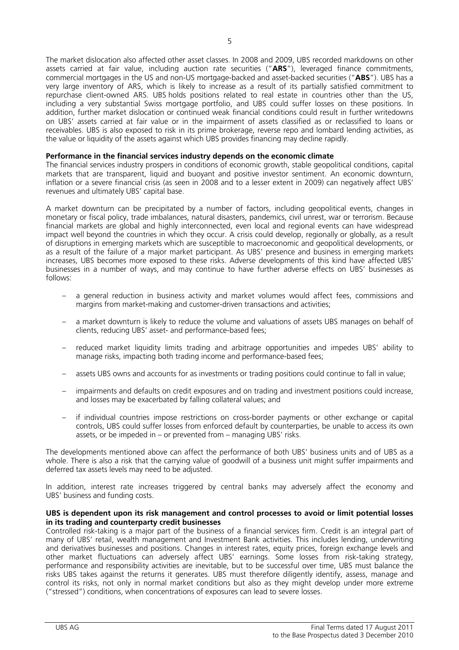The market dislocation also affected other asset classes. In 2008 and 2009, UBS recorded markdowns on other assets carried at fair value, including auction rate securities ("**ARS**"), leveraged finance commitments, commercial mortgages in the US and non-US mortgage-backed and asset-backed securities ("**ABS**"). UBS has a very large inventory of ARS, which is likely to increase as a result of its partially satisfied commitment to repurchase client-owned ARS. UBS holds positions related to real estate in countries other than the US, including a very substantial Swiss mortgage portfolio, and UBS could suffer losses on these positions. In addition, further market dislocation or continued weak financial conditions could result in further writedowns on UBS' assets carried at fair value or in the impairment of assets classified as or reclassified to loans or receivables. UBS is also exposed to risk in its prime brokerage, reverse repo and lombard lending activities, as the value or liquidity of the assets against which UBS provides financing may decline rapidly.

## **Performance in the financial services industry depends on the economic climate**

The financial services industry prospers in conditions of economic growth, stable geopolitical conditions, capital markets that are transparent, liquid and buoyant and positive investor sentiment. An economic downturn, inflation or a severe financial crisis (as seen in 2008 and to a lesser extent in 2009) can negatively affect UBS' revenues and ultimately UBS' capital base.

A market downturn can be precipitated by a number of factors, including geopolitical events, changes in monetary or fiscal policy, trade imbalances, natural disasters, pandemics, civil unrest, war or terrorism. Because financial markets are global and highly interconnected, even local and regional events can have widespread impact well beyond the countries in which they occur. A crisis could develop, regionally or globally, as a result of disruptions in emerging markets which are susceptible to macroeconomic and geopolitical developments, or as a result of the failure of a major market participant. As UBS' presence and business in emerging markets increases, UBS becomes more exposed to these risks. Adverse developments of this kind have affected UBS' businesses in a number of ways, and may continue to have further adverse effects on UBS' businesses as follows:

- a general reduction in business activity and market volumes would affect fees, commissions and margins from market-making and customer-driven transactions and activities;
- a market downturn is likely to reduce the volume and valuations of assets UBS manages on behalf of clients, reducing UBS' asset- and performance-based fees;
- reduced market liquidity limits trading and arbitrage opportunities and impedes UBS' ability to manage risks, impacting both trading income and performance-based fees;
- assets UBS owns and accounts for as investments or trading positions could continue to fall in value;
- impairments and defaults on credit exposures and on trading and investment positions could increase, and losses may be exacerbated by falling collateral values; and
- if individual countries impose restrictions on cross-border payments or other exchange or capital controls, UBS could suffer losses from enforced default by counterparties, be unable to access its own assets, or be impeded in – or prevented from – managing UBS' risks.

The developments mentioned above can affect the performance of both UBS' business units and of UBS as a whole. There is also a risk that the carrying value of goodwill of a business unit might suffer impairments and deferred tax assets levels may need to be adjusted.

In addition, interest rate increases triggered by central banks may adversely affect the economy and UBS' business and funding costs.

## **UBS is dependent upon its risk management and control processes to avoid or limit potential losses in its trading and counterparty credit businesses**

Controlled risk-taking is a major part of the business of a financial services firm. Credit is an integral part of many of UBS' retail, wealth management and Investment Bank activities. This includes lending, underwriting and derivatives businesses and positions. Changes in interest rates, equity prices, foreign exchange levels and other market fluctuations can adversely affect UBS' earnings. Some losses from risk-taking strategy, performance and responsibility activities are inevitable, but to be successful over time, UBS must balance the risks UBS takes against the returns it generates. UBS must therefore diligently identify, assess, manage and control its risks, not only in normal market conditions but also as they might develop under more extreme ("stressed") conditions, when concentrations of exposures can lead to severe losses.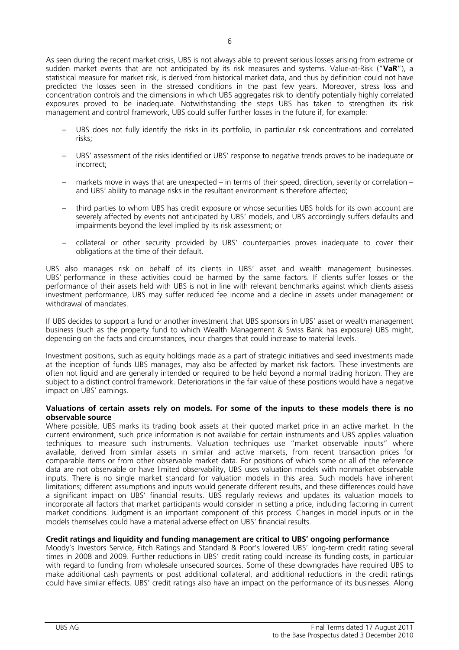As seen during the recent market crisis, UBS is not always able to prevent serious losses arising from extreme or sudden market events that are not anticipated by its risk measures and systems. Value-at-Risk ("**VaR**"), a statistical measure for market risk, is derived from historical market data, and thus by definition could not have predicted the losses seen in the stressed conditions in the past few years. Moreover, stress loss and concentration controls and the dimensions in which UBS aggregates risk to identify potentially highly correlated exposures proved to be inadequate. Notwithstanding the steps UBS has taken to strengthen its risk management and control framework, UBS could suffer further losses in the future if, for example:

- UBS does not fully identify the risks in its portfolio, in particular risk concentrations and correlated risks;
- UBS' assessment of the risks identified or UBS' response to negative trends proves to be inadequate or incorrect;
- markets move in ways that are unexpected in terms of their speed, direction, severity or correlation and UBS' ability to manage risks in the resultant environment is therefore affected;
- third parties to whom UBS has credit exposure or whose securities UBS holds for its own account are severely affected by events not anticipated by UBS' models, and UBS accordingly suffers defaults and impairments beyond the level implied by its risk assessment; or
- collateral or other security provided by UBS' counterparties proves inadequate to cover their obligations at the time of their default.

UBS also manages risk on behalf of its clients in UBS' asset and wealth management businesses. UBS' performance in these activities could be harmed by the same factors. If clients suffer losses or the performance of their assets held with UBS is not in line with relevant benchmarks against which clients assess investment performance, UBS may suffer reduced fee income and a decline in assets under management or withdrawal of mandates.

If UBS decides to support a fund or another investment that UBS sponsors in UBS' asset or wealth management business (such as the property fund to which Wealth Management & Swiss Bank has exposure) UBS might, depending on the facts and circumstances, incur charges that could increase to material levels.

Investment positions, such as equity holdings made as a part of strategic initiatives and seed investments made at the inception of funds UBS manages, may also be affected by market risk factors. These investments are often not liquid and are generally intended or required to be held beyond a normal trading horizon. They are subject to a distinct control framework. Deteriorations in the fair value of these positions would have a negative impact on UBS' earnings.

## **Valuations of certain assets rely on models. For some of the inputs to these models there is no observable source**

Where possible, UBS marks its trading book assets at their quoted market price in an active market. In the current environment, such price information is not available for certain instruments and UBS applies valuation techniques to measure such instruments. Valuation techniques use "market observable inputs" where available, derived from similar assets in similar and active markets, from recent transaction prices for comparable items or from other observable market data. For positions of which some or all of the reference data are not observable or have limited observability, UBS uses valuation models with nonmarket observable inputs. There is no single market standard for valuation models in this area. Such models have inherent limitations; different assumptions and inputs would generate different results, and these differences could have a significant impact on UBS' financial results. UBS regularly reviews and updates its valuation models to incorporate all factors that market participants would consider in setting a price, including factoring in current market conditions. Judgment is an important component of this process. Changes in model inputs or in the models themselves could have a material adverse effect on UBS' financial results.

# **Credit ratings and liquidity and funding management are critical to UBS' ongoing performance**

Moody's Investors Service, Fitch Ratings and Standard & Poor's lowered UBS' long-term credit rating several times in 2008 and 2009. Further reductions in UBS' credit rating could increase its funding costs, in particular with regard to funding from wholesale unsecured sources. Some of these downgrades have required UBS to make additional cash payments or post additional collateral, and additional reductions in the credit ratings could have similar effects. UBS' credit ratings also have an impact on the performance of its businesses. Along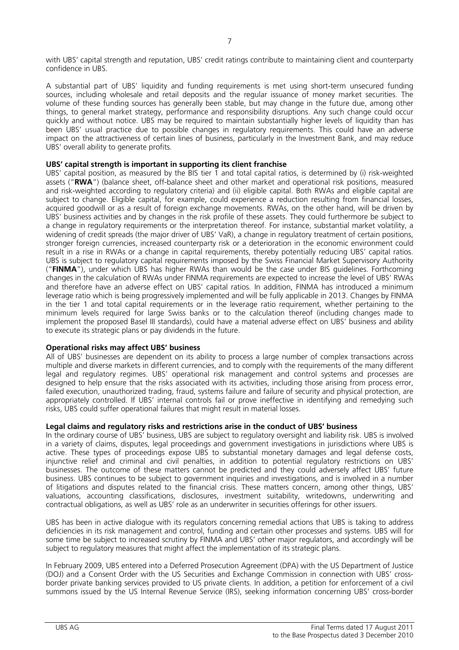with UBS' capital strength and reputation, UBS' credit ratings contribute to maintaining client and counterparty confidence in UBS.

A substantial part of UBS' liquidity and funding requirements is met using short-term unsecured funding sources, including wholesale and retail deposits and the regular issuance of money market securities. The volume of these funding sources has generally been stable, but may change in the future due, among other things, to general market strategy, performance and responsibility disruptions. Any such change could occur quickly and without notice. UBS may be required to maintain substantially higher levels of liquidity than has been UBS' usual practice due to possible changes in regulatory requirements. This could have an adverse impact on the attractiveness of certain lines of business, particularly in the Investment Bank, and may reduce UBS' overall ability to generate profits.

# **UBS' capital strength is important in supporting its client franchise**

UBS' capital position, as measured by the BIS tier 1 and total capital ratios, is determined by (i) risk-weighted assets ("**RWA**") (balance sheet, off-balance sheet and other market and operational risk positions, measured and risk-weighted according to regulatory criteria) and (ii) eligible capital. Both RWAs and eligible capital are subject to change. Eligible capital, for example, could experience a reduction resulting from financial losses, acquired goodwill or as a result of foreign exchange movements. RWAs, on the other hand, will be driven by UBS' business activities and by changes in the risk profile of these assets. They could furthermore be subject to a change in regulatory requirements or the interpretation thereof. For instance, substantial market volatility, a widening of credit spreads (the major driver of UBS' VaR), a change in regulatory treatment of certain positions, stronger foreign currencies, increased counterparty risk or a deterioration in the economic environment could result in a rise in RWAs or a change in capital requirements, thereby potentially reducing UBS' capital ratios. UBS is subject to regulatory capital requirements imposed by the Swiss Financial Market Supervisory Authority ("**FINMA**"), under which UBS has higher RWAs than would be the case under BIS guidelines. Forthcoming changes in the calculation of RWAs under FINMA requirements are expected to increase the level of UBS' RWAs and therefore have an adverse effect on UBS' capital ratios. In addition, FINMA has introduced a minimum leverage ratio which is being progressively implemented and will be fully applicable in 2013. Changes by FINMA in the tier 1 and total capital requirements or in the leverage ratio requirement, whether pertaining to the minimum levels required for large Swiss banks or to the calculation thereof (including changes made to implement the proposed Basel III standards), could have a material adverse effect on UBS' business and ability to execute its strategic plans or pay dividends in the future.

# **Operational risks may affect UBS' business**

All of UBS' businesses are dependent on its ability to process a large number of complex transactions across multiple and diverse markets in different currencies, and to comply with the requirements of the many different legal and regulatory regimes. UBS' operational risk management and control systems and processes are designed to help ensure that the risks associated with its activities, including those arising from process error, failed execution, unauthorized trading, fraud, systems failure and failure of security and physical protection, are appropriately controlled. If UBS' internal controls fail or prove ineffective in identifying and remedying such risks, UBS could suffer operational failures that might result in material losses.

# **Legal claims and regulatory risks and restrictions arise in the conduct of UBS' business**

In the ordinary course of UBS' business, UBS are subject to regulatory oversight and liability risk. UBS is involved in a variety of claims, disputes, legal proceedings and government investigations in jurisdictions where UBS is active. These types of proceedings expose UBS to substantial monetary damages and legal defense costs, injunctive relief and criminal and civil penalties, in addition to potential regulatory restrictions on UBS' businesses. The outcome of these matters cannot be predicted and they could adversely affect UBS' future business. UBS continues to be subject to government inquiries and investigations, and is involved in a number of litigations and disputes related to the financial crisis. These matters concern, among other things, UBS' valuations, accounting classifications, disclosures, investment suitability, writedowns, underwriting and contractual obligations, as well as UBS' role as an underwriter in securities offerings for other issuers.

UBS has been in active dialogue with its regulators concerning remedial actions that UBS is taking to address deficiencies in its risk management and control, funding and certain other processes and systems. UBS will for some time be subject to increased scrutiny by FINMA and UBS' other major regulators, and accordingly will be subject to regulatory measures that might affect the implementation of its strategic plans.

In February 2009, UBS entered into a Deferred Prosecution Agreement (DPA) with the US Department of Justice (DOJ) and a Consent Order with the US Securities and Exchange Commission in connection with UBS' crossborder private banking services provided to US private clients. In addition, a petition for enforcement of a civil summons issued by the US Internal Revenue Service (IRS), seeking information concerning UBS' cross-border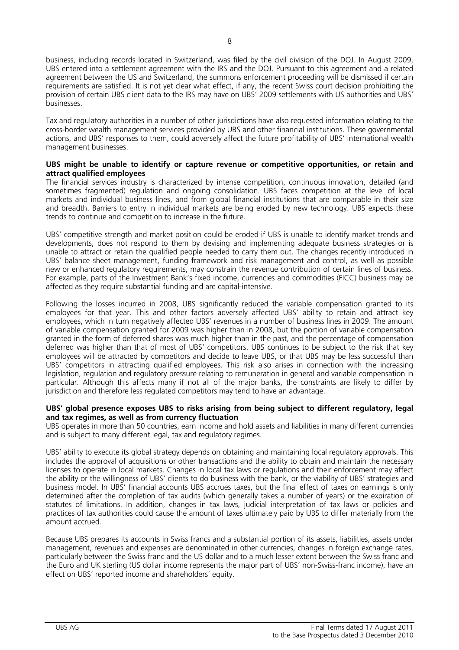business, including records located in Switzerland, was filed by the civil division of the DOJ. In August 2009, UBS entered into a settlement agreement with the IRS and the DOJ. Pursuant to this agreement and a related agreement between the US and Switzerland, the summons enforcement proceeding will be dismissed if certain requirements are satisfied. It is not yet clear what effect, if any, the recent Swiss court decision prohibiting the provision of certain UBS client data to the IRS may have on UBS' 2009 settlements with US authorities and UBS' businesses.

Tax and regulatory authorities in a number of other jurisdictions have also requested information relating to the cross-border wealth management services provided by UBS and other financial institutions. These governmental actions, and UBS' responses to them, could adversely affect the future profitability of UBS' international wealth management businesses.

## **UBS might be unable to identify or capture revenue or competitive opportunities, or retain and attract qualified employees**

The financial services industry is characterized by intense competition, continuous innovation, detailed (and sometimes fragmented) regulation and ongoing consolidation. UBS faces competition at the level of local markets and individual business lines, and from global financial institutions that are comparable in their size and breadth. Barriers to entry in individual markets are being eroded by new technology. UBS expects these trends to continue and competition to increase in the future.

UBS' competitive strength and market position could be eroded if UBS is unable to identify market trends and developments, does not respond to them by devising and implementing adequate business strategies or is unable to attract or retain the qualified people needed to carry them out. The changes recently introduced in UBS' balance sheet management, funding framework and risk management and control, as well as possible new or enhanced regulatory requirements, may constrain the revenue contribution of certain lines of business. For example, parts of the Investment Bank's fixed income, currencies and commodities (FICC) business may be affected as they require substantial funding and are capital-intensive.

Following the losses incurred in 2008, UBS significantly reduced the variable compensation granted to its employees for that year. This and other factors adversely affected UBS' ability to retain and attract key employees, which in turn negatively affected UBS' revenues in a number of business lines in 2009. The amount of variable compensation granted for 2009 was higher than in 2008, but the portion of variable compensation granted in the form of deferred shares was much higher than in the past, and the percentage of compensation deferred was higher than that of most of UBS' competitors. UBS continues to be subject to the risk that key employees will be attracted by competitors and decide to leave UBS, or that UBS may be less successful than UBS' competitors in attracting qualified employees. This risk also arises in connection with the increasing legislation, regulation and regulatory pressure relating to remuneration in general and variable compensation in particular. Although this affects many if not all of the major banks, the constraints are likely to differ by jurisdiction and therefore less regulated competitors may tend to have an advantage.

## **UBS' global presence exposes UBS to risks arising from being subject to different regulatory, legal and tax regimes, as well as from currency fluctuation**

UBS operates in more than 50 countries, earn income and hold assets and liabilities in many different currencies and is subject to many different legal, tax and regulatory regimes.

UBS' ability to execute its global strategy depends on obtaining and maintaining local regulatory approvals. This includes the approval of acquisitions or other transactions and the ability to obtain and maintain the necessary licenses to operate in local markets. Changes in local tax laws or regulations and their enforcement may affect the ability or the willingness of UBS' clients to do business with the bank, or the viability of UBS' strategies and business model. In UBS' financial accounts UBS accrues taxes, but the final effect of taxes on earnings is only determined after the completion of tax audits (which generally takes a number of years) or the expiration of statutes of limitations. In addition, changes in tax laws, judicial interpretation of tax laws or policies and practices of tax authorities could cause the amount of taxes ultimately paid by UBS to differ materially from the amount accrued.

Because UBS prepares its accounts in Swiss francs and a substantial portion of its assets, liabilities, assets under management, revenues and expenses are denominated in other currencies, changes in foreign exchange rates, particularly between the Swiss franc and the US dollar and to a much lesser extent between the Swiss franc and the Euro and UK sterling (US dollar income represents the major part of UBS' non-Swiss-franc income), have an effect on UBS' reported income and shareholders' equity.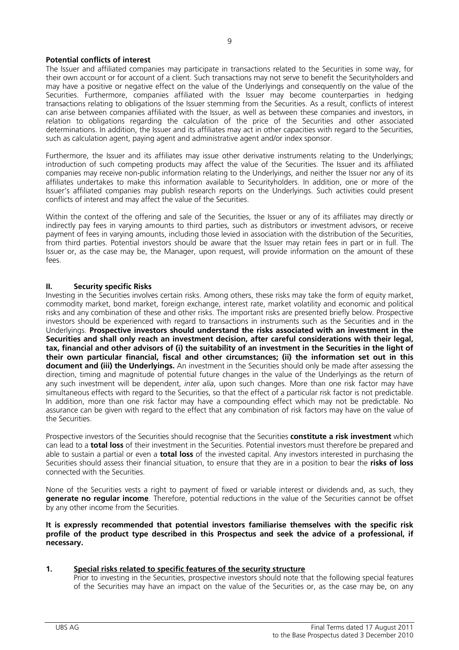# **Potential conflicts of interest**

The Issuer and affiliated companies may participate in transactions related to the Securities in some way, for their own account or for account of a client. Such transactions may not serve to benefit the Securityholders and may have a positive or negative effect on the value of the Underlyings and consequently on the value of the Securities. Furthermore, companies affiliated with the Issuer may become counterparties in hedging transactions relating to obligations of the Issuer stemming from the Securities. As a result, conflicts of interest can arise between companies affiliated with the Issuer, as well as between these companies and investors, in relation to obligations regarding the calculation of the price of the Securities and other associated determinations. In addition, the Issuer and its affiliates may act in other capacities with regard to the Securities, such as calculation agent, paying agent and administrative agent and/or index sponsor.

Furthermore, the Issuer and its affiliates may issue other derivative instruments relating to the Underlyings; introduction of such competing products may affect the value of the Securities. The Issuer and its affiliated companies may receive non-public information relating to the Underlyings, and neither the Issuer nor any of its affiliates undertakes to make this information available to Securityholders. In addition, one or more of the Issuer's affiliated companies may publish research reports on the Underlyings. Such activities could present conflicts of interest and may affect the value of the Securities.

Within the context of the offering and sale of the Securities, the Issuer or any of its affiliates may directly or indirectly pay fees in varying amounts to third parties, such as distributors or investment advisors, or receive payment of fees in varying amounts, including those levied in association with the distribution of the Securities, from third parties. Potential investors should be aware that the Issuer may retain fees in part or in full. The Issuer or, as the case may be, the Manager, upon request, will provide information on the amount of these fees.

# **II. Security specific Risks**

Investing in the Securities involves certain risks. Among others, these risks may take the form of equity market, commodity market, bond market, foreign exchange, interest rate, market volatility and economic and political risks and any combination of these and other risks. The important risks are presented briefly below. Prospective investors should be experienced with regard to transactions in instruments such as the Securities and in the Underlyings. **Prospective investors should understand the risks associated with an investment in the Securities and shall only reach an investment decision, after careful considerations with their legal, tax, financial and other advisors of (i) the suitability of an investment in the Securities in the light of their own particular financial, fiscal and other circumstances; (ii) the information set out in this document and (iii) the Underlyings.** An investment in the Securities should only be made after assessing the direction, timing and magnitude of potential future changes in the value of the Underlyings as the return of any such investment will be dependent, *inter alia*, upon such changes. More than one risk factor may have simultaneous effects with regard to the Securities, so that the effect of a particular risk factor is not predictable. In addition, more than one risk factor may have a compounding effect which may not be predictable. No assurance can be given with regard to the effect that any combination of risk factors may have on the value of the Securities.

Prospective investors of the Securities should recognise that the Securities **constitute a risk investment** which can lead to a **total loss** of their investment in the Securities. Potential investors must therefore be prepared and able to sustain a partial or even a **total loss** of the invested capital. Any investors interested in purchasing the Securities should assess their financial situation, to ensure that they are in a position to bear the **risks of loss** connected with the Securities.

None of the Securities vests a right to payment of fixed or variable interest or dividends and, as such, they **generate no regular income**. Therefore, potential reductions in the value of the Securities cannot be offset by any other income from the Securities.

**It is expressly recommended that potential investors familiarise themselves with the specific risk profile of the product type described in this Prospectus and seek the advice of a professional, if necessary.** 

# **1. Special risks related to specific features of the security structure**

Prior to investing in the Securities, prospective investors should note that the following special features of the Securities may have an impact on the value of the Securities or, as the case may be, on any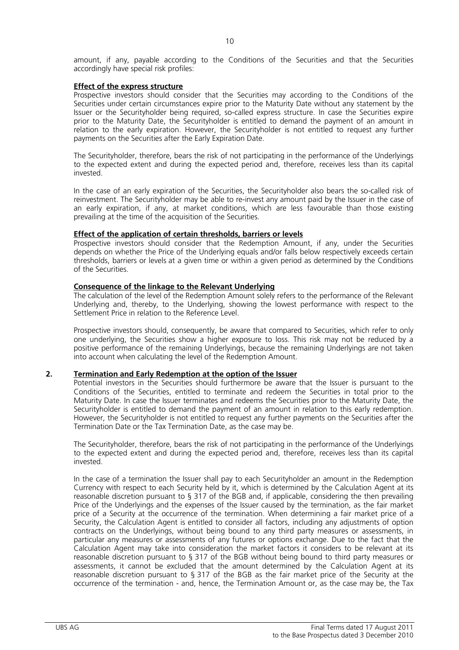amount, if any, payable according to the Conditions of the Securities and that the Securities accordingly have special risk profiles:

## **Effect of the express structure**

Prospective investors should consider that the Securities may according to the Conditions of the Securities under certain circumstances expire prior to the Maturity Date without any statement by the Issuer or the Securityholder being required, so-called express structure. In case the Securities expire prior to the Maturity Date, the Securityholder is entitled to demand the payment of an amount in relation to the early expiration. However, the Securityholder is not entitled to request any further payments on the Securities after the Early Expiration Date.

The Securityholder, therefore, bears the risk of not participating in the performance of the Underlyings to the expected extent and during the expected period and, therefore, receives less than its capital invested.

In the case of an early expiration of the Securities, the Securityholder also bears the so-called risk of reinvestment. The Securityholder may be able to re-invest any amount paid by the Issuer in the case of an early expiration, if any, at market conditions, which are less favourable than those existing prevailing at the time of the acquisition of the Securities.

## **Effect of the application of certain thresholds, barriers or levels**

Prospective investors should consider that the Redemption Amount, if any, under the Securities depends on whether the Price of the Underlying equals and/or falls below respectively exceeds certain thresholds, barriers or levels at a given time or within a given period as determined by the Conditions of the Securities.

## **Consequence of the linkage to the Relevant Underlying**

The calculation of the level of the Redemption Amount solely refers to the performance of the Relevant Underlying and, thereby, to the Underlying, showing the lowest performance with respect to the Settlement Price in relation to the Reference Level.

Prospective investors should, consequently, be aware that compared to Securities, which refer to only one underlying, the Securities show a higher exposure to loss. This risk may not be reduced by a positive performance of the remaining Underlyings, because the remaining Underlyings are not taken into account when calculating the level of the Redemption Amount.

# **2. Termination and Early Redemption at the option of the Issuer**

Potential investors in the Securities should furthermore be aware that the Issuer is pursuant to the Conditions of the Securities, entitled to terminate and redeem the Securities in total prior to the Maturity Date. In case the Issuer terminates and redeems the Securities prior to the Maturity Date, the Securityholder is entitled to demand the payment of an amount in relation to this early redemption. However, the Securityholder is not entitled to request any further payments on the Securities after the Termination Date or the Tax Termination Date, as the case may be.

The Securityholder, therefore, bears the risk of not participating in the performance of the Underlyings to the expected extent and during the expected period and, therefore, receives less than its capital invested.

In the case of a termination the Issuer shall pay to each Securityholder an amount in the Redemption Currency with respect to each Security held by it, which is determined by the Calculation Agent at its reasonable discretion pursuant to § 317 of the BGB and, if applicable, considering the then prevailing Price of the Underlyings and the expenses of the Issuer caused by the termination, as the fair market price of a Security at the occurrence of the termination. When determining a fair market price of a Security, the Calculation Agent is entitled to consider all factors, including any adjustments of option contracts on the Underlyings, without being bound to any third party measures or assessments, in particular any measures or assessments of any futures or options exchange. Due to the fact that the Calculation Agent may take into consideration the market factors it considers to be relevant at its reasonable discretion pursuant to § 317 of the BGB without being bound to third party measures or assessments, it cannot be excluded that the amount determined by the Calculation Agent at its reasonable discretion pursuant to § 317 of the BGB as the fair market price of the Security at the occurrence of the termination - and, hence, the Termination Amount or, as the case may be, the Tax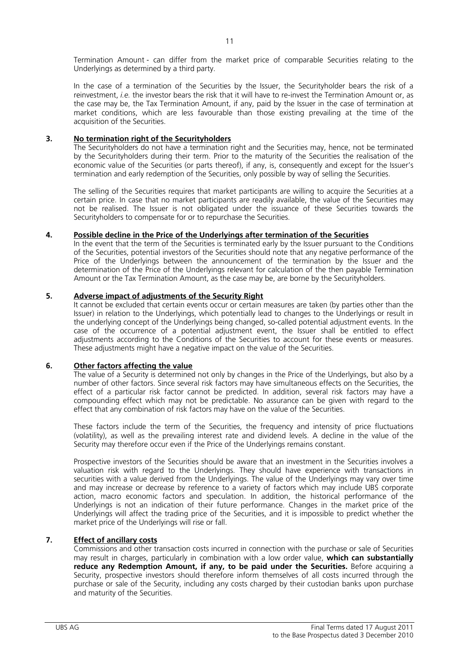In the case of a termination of the Securities by the Issuer, the Securityholder bears the risk of a reinvestment, *i.e.* the investor bears the risk that it will have to re-invest the Termination Amount or, as the case may be, the Tax Termination Amount, if any, paid by the Issuer in the case of termination at market conditions, which are less favourable than those existing prevailing at the time of the acquisition of the Securities.

# **3. No termination right of the Securityholders**

The Securityholders do not have a termination right and the Securities may, hence, not be terminated by the Securityholders during their term. Prior to the maturity of the Securities the realisation of the economic value of the Securities (or parts thereof), if any, is, consequently and except for the Issuer's termination and early redemption of the Securities, only possible by way of selling the Securities.

The selling of the Securities requires that market participants are willing to acquire the Securities at a certain price. In case that no market participants are readily available, the value of the Securities may not be realised. The Issuer is not obligated under the issuance of these Securities towards the Securityholders to compensate for or to repurchase the Securities.

# **4. Possible decline in the Price of the Underlyings after termination of the Securities**

In the event that the term of the Securities is terminated early by the Issuer pursuant to the Conditions of the Securities, potential investors of the Securities should note that any negative performance of the Price of the Underlyings between the announcement of the termination by the Issuer and the determination of the Price of the Underlyings relevant for calculation of the then payable Termination Amount or the Tax Termination Amount, as the case may be, are borne by the Securityholders.

# **5. Adverse impact of adjustments of the Security Right**

It cannot be excluded that certain events occur or certain measures are taken (by parties other than the Issuer) in relation to the Underlyings, which potentially lead to changes to the Underlyings or result in the underlying concept of the Underlyings being changed, so-called potential adjustment events. In the case of the occurrence of a potential adjustment event, the Issuer shall be entitled to effect adjustments according to the Conditions of the Securities to account for these events or measures. These adjustments might have a negative impact on the value of the Securities.

# **6. Other factors affecting the value**

The value of a Security is determined not only by changes in the Price of the Underlyings, but also by a number of other factors. Since several risk factors may have simultaneous effects on the Securities, the effect of a particular risk factor cannot be predicted. In addition, several risk factors may have a compounding effect which may not be predictable. No assurance can be given with regard to the effect that any combination of risk factors may have on the value of the Securities.

These factors include the term of the Securities, the frequency and intensity of price fluctuations (volatility), as well as the prevailing interest rate and dividend levels. A decline in the value of the Security may therefore occur even if the Price of the Underlyings remains constant.

Prospective investors of the Securities should be aware that an investment in the Securities involves a valuation risk with regard to the Underlyings. They should have experience with transactions in securities with a value derived from the Underlyings. The value of the Underlyings may vary over time and may increase or decrease by reference to a variety of factors which may include UBS corporate action, macro economic factors and speculation. In addition, the historical performance of the Underlyings is not an indication of their future performance. Changes in the market price of the Underlyings will affect the trading price of the Securities, and it is impossible to predict whether the market price of the Underlyings will rise or fall.

# **7. Effect of ancillary costs**

Commissions and other transaction costs incurred in connection with the purchase or sale of Securities may result in charges, particularly in combination with a low order value, **which can substantially reduce any Redemption Amount, if any, to be paid under the Securities.** Before acquiring a Security, prospective investors should therefore inform themselves of all costs incurred through the purchase or sale of the Security, including any costs charged by their custodian banks upon purchase and maturity of the Securities.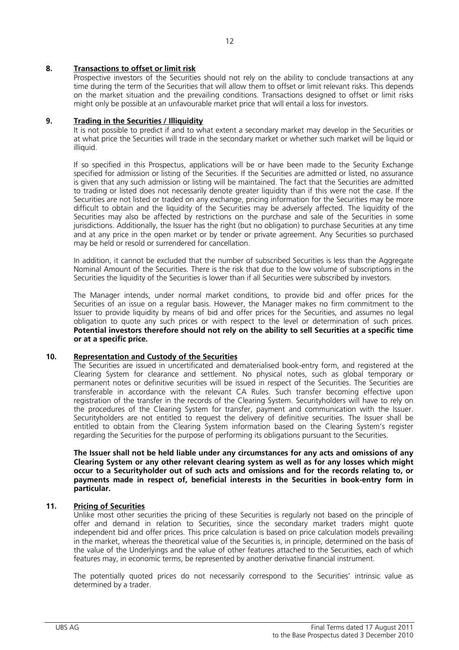# **8. Transactions to offset or limit risk**

Prospective investors of the Securities should not rely on the ability to conclude transactions at any time during the term of the Securities that will allow them to offset or limit relevant risks. This depends on the market situation and the prevailing conditions. Transactions designed to offset or limit risks might only be possible at an unfavourable market price that will entail a loss for investors.

# **9. Trading in the Securities / Illiquidity**

It is not possible to predict if and to what extent a secondary market may develop in the Securities or at what price the Securities will trade in the secondary market or whether such market will be liquid or illiquid.

If so specified in this Prospectus, applications will be or have been made to the Security Exchange specified for admission or listing of the Securities. If the Securities are admitted or listed, no assurance is given that any such admission or listing will be maintained. The fact that the Securities are admitted to trading or listed does not necessarily denote greater liquidity than if this were not the case. If the Securities are not listed or traded on any exchange, pricing information for the Securities may be more difficult to obtain and the liquidity of the Securities may be adversely affected. The liquidity of the Securities may also be affected by restrictions on the purchase and sale of the Securities in some jurisdictions. Additionally, the Issuer has the right (but no obligation) to purchase Securities at any time and at any price in the open market or by tender or private agreement. Any Securities so purchased may be held or resold or surrendered for cancellation.

In addition, it cannot be excluded that the number of subscribed Securities is less than the Aggregate Nominal Amount of the Securities. There is the risk that due to the low volume of subscriptions in the Securities the liquidity of the Securities is lower than if all Securities were subscribed by investors.

The Manager intends, under normal market conditions, to provide bid and offer prices for the Securities of an issue on a regular basis. However, the Manager makes no firm commitment to the Issuer to provide liquidity by means of bid and offer prices for the Securities, and assumes no legal obligation to quote any such prices or with respect to the level or determination of such prices. **Potential investors therefore should not rely on the ability to sell Securities at a specific time or at a specific price.**

# **10. Representation and Custody of the Securities**

The Securities are issued in uncertificated and dematerialised book-entry form, and registered at the Clearing System for clearance and settlement. No physical notes, such as global temporary or permanent notes or definitive securities will be issued in respect of the Securities. The Securities are transferable in accordance with the relevant CA Rules. Such transfer becoming effective upon registration of the transfer in the records of the Clearing System. Securityholders will have to rely on the procedures of the Clearing System for transfer, payment and communication with the Issuer. Securityholders are not entitled to request the delivery of definitive securities. The Issuer shall be entitled to obtain from the Clearing System information based on the Clearing System's register regarding the Securities for the purpose of performing its obligations pursuant to the Securities.

**The Issuer shall not be held liable under any circumstances for any acts and omissions of any Clearing System or any other relevant clearing system as well as for any losses which might occur to a Securityholder out of such acts and omissions and for the records relating to, or payments made in respect of, beneficial interests in the Securities in book-entry form in particular.** 

# **11. Pricing of Securities**

Unlike most other securities the pricing of these Securities is regularly not based on the principle of offer and demand in relation to Securities, since the secondary market traders might quote independent bid and offer prices. This price calculation is based on price calculation models prevailing in the market, whereas the theoretical value of the Securities is, in principle, determined on the basis of the value of the Underlyings and the value of other features attached to the Securities, each of which features may, in economic terms, be represented by another derivative financial instrument.

The potentially quoted prices do not necessarily correspond to the Securities' intrinsic value as determined by a trader.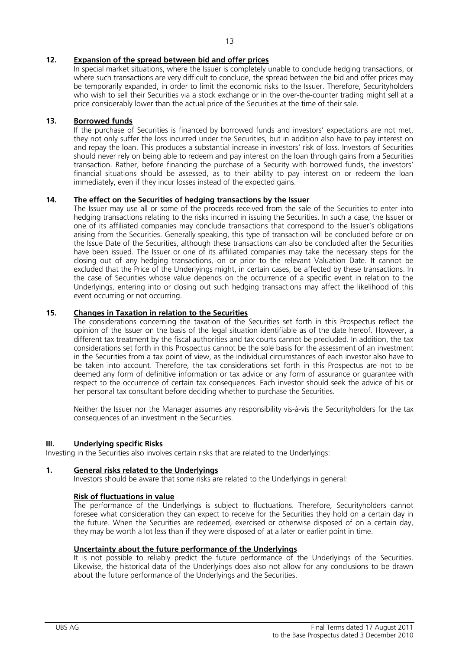# **12. Expansion of the spread between bid and offer prices**

In special market situations, where the Issuer is completely unable to conclude hedging transactions, or where such transactions are very difficult to conclude, the spread between the bid and offer prices may be temporarily expanded, in order to limit the economic risks to the Issuer. Therefore, Securityholders who wish to sell their Securities via a stock exchange or in the over-the-counter trading might sell at a price considerably lower than the actual price of the Securities at the time of their sale.

# **13. Borrowed funds**

If the purchase of Securities is financed by borrowed funds and investors' expectations are not met, they not only suffer the loss incurred under the Securities, but in addition also have to pay interest on and repay the loan. This produces a substantial increase in investors' risk of loss. Investors of Securities should never rely on being able to redeem and pay interest on the loan through gains from a Securities transaction. Rather, before financing the purchase of a Security with borrowed funds, the investors' financial situations should be assessed, as to their ability to pay interest on or redeem the loan immediately, even if they incur losses instead of the expected gains.

# **14. The effect on the Securities of hedging transactions by the Issuer**

The Issuer may use all or some of the proceeds received from the sale of the Securities to enter into hedging transactions relating to the risks incurred in issuing the Securities. In such a case, the Issuer or one of its affiliated companies may conclude transactions that correspond to the Issuer's obligations arising from the Securities. Generally speaking, this type of transaction will be concluded before or on the Issue Date of the Securities, although these transactions can also be concluded after the Securities have been issued. The Issuer or one of its affiliated companies may take the necessary steps for the closing out of any hedging transactions, on or prior to the relevant Valuation Date. It cannot be excluded that the Price of the Underlyings might, in certain cases, be affected by these transactions. In the case of Securities whose value depends on the occurrence of a specific event in relation to the Underlyings, entering into or closing out such hedging transactions may affect the likelihood of this event occurring or not occurring.

# **15. Changes in Taxation in relation to the Securities**

The considerations concerning the taxation of the Securities set forth in this Prospectus reflect the opinion of the Issuer on the basis of the legal situation identifiable as of the date hereof. However, a different tax treatment by the fiscal authorities and tax courts cannot be precluded. In addition, the tax considerations set forth in this Prospectus cannot be the sole basis for the assessment of an investment in the Securities from a tax point of view, as the individual circumstances of each investor also have to be taken into account. Therefore, the tax considerations set forth in this Prospectus are not to be deemed any form of definitive information or tax advice or any form of assurance or guarantee with respect to the occurrence of certain tax consequences. Each investor should seek the advice of his or her personal tax consultant before deciding whether to purchase the Securities.

Neither the Issuer nor the Manager assumes any responsibility vis-à-vis the Securityholders for the tax consequences of an investment in the Securities.

# **III. Underlying specific Risks**

Investing in the Securities also involves certain risks that are related to the Underlyings:

# **1. General risks related to the Underlyings**

Investors should be aware that some risks are related to the Underlyings in general:

# **Risk of fluctuations in value**

The performance of the Underlyings is subject to fluctuations. Therefore, Securityholders cannot foresee what consideration they can expect to receive for the Securities they hold on a certain day in the future. When the Securities are redeemed, exercised or otherwise disposed of on a certain day, they may be worth a lot less than if they were disposed of at a later or earlier point in time.

# **Uncertainty about the future performance of the Underlyings**

It is not possible to reliably predict the future performance of the Underlyings of the Securities. Likewise, the historical data of the Underlyings does also not allow for any conclusions to be drawn about the future performance of the Underlyings and the Securities.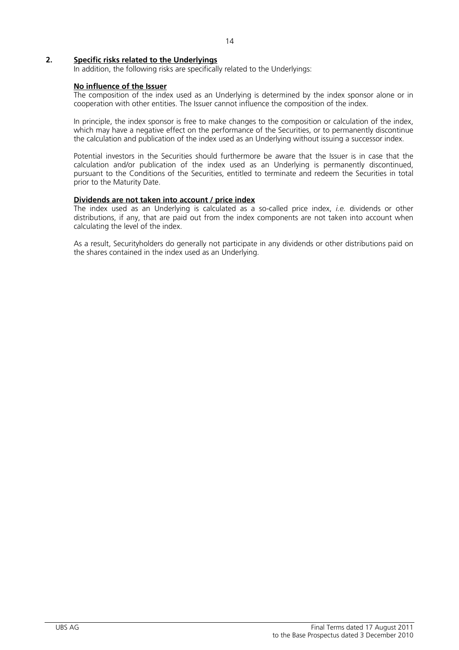# **2. Specific risks related to the Underlyings**

In addition, the following risks are specifically related to the Underlyings:

## **No influence of the Issuer**

The composition of the index used as an Underlying is determined by the index sponsor alone or in cooperation with other entities. The Issuer cannot influence the composition of the index.

In principle, the index sponsor is free to make changes to the composition or calculation of the index, which may have a negative effect on the performance of the Securities, or to permanently discontinue the calculation and publication of the index used as an Underlying without issuing a successor index.

Potential investors in the Securities should furthermore be aware that the Issuer is in case that the calculation and/or publication of the index used as an Underlying is permanently discontinued, pursuant to the Conditions of the Securities, entitled to terminate and redeem the Securities in total prior to the Maturity Date.

## **Dividends are not taken into account / price index**

The index used as an Underlying is calculated as a so-called price index, *i.e.* dividends or other distributions, if any, that are paid out from the index components are not taken into account when calculating the level of the index.

As a result, Securityholders do generally not participate in any dividends or other distributions paid on the shares contained in the index used as an Underlying.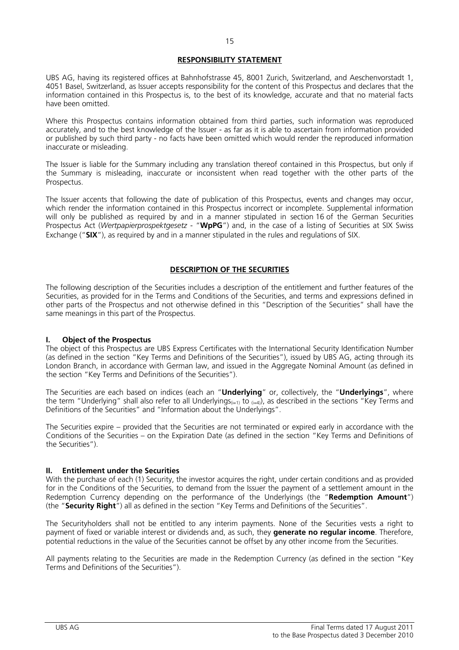# **RESPONSIBILITY STATEMENT**

UBS AG, having its registered offices at Bahnhofstrasse 45, 8001 Zurich, Switzerland, and Aeschenvorstadt 1, 4051 Basel, Switzerland, as Issuer accepts responsibility for the content of this Prospectus and declares that the information contained in this Prospectus is, to the best of its knowledge, accurate and that no material facts have been omitted.

Where this Prospectus contains information obtained from third parties, such information was reproduced accurately, and to the best knowledge of the Issuer - as far as it is able to ascertain from information provided or published by such third party - no facts have been omitted which would render the reproduced information inaccurate or misleading.

The Issuer is liable for the Summary including any translation thereof contained in this Prospectus, but only if the Summary is misleading, inaccurate or inconsistent when read together with the other parts of the Prospectus.

The Issuer accents that following the date of publication of this Prospectus, events and changes may occur, which render the information contained in this Prospectus incorrect or incomplete. Supplemental information will only be published as required by and in a manner stipulated in section 16 of the German Securities Prospectus Act (*Wertpapierprospektgesetz* - "**WpPG**") and, in the case of a listing of Securities at SIX Swiss Exchange ("**SIX**"), as required by and in a manner stipulated in the rules and regulations of SIX.

# **DESCRIPTION OF THE SECURITIES**

The following description of the Securities includes a description of the entitlement and further features of the Securities, as provided for in the Terms and Conditions of the Securities, and terms and expressions defined in other parts of the Prospectus and not otherwise defined in this "Description of the Securities" shall have the same meanings in this part of the Prospectus.

# **I. Object of the Prospectus**

The object of this Prospectus are UBS Express Certificates with the International Security Identification Number (as defined in the section "Key Terms and Definitions of the Securities"), issued by UBS AG, acting through its London Branch, in accordance with German law, and issued in the Aggregate Nominal Amount (as defined in the section "Key Terms and Definitions of the Securities").

The Securities are each based on indices (each an "**Underlying**" or, collectively, the "**Underlyings**", where the term "Underlying" shall also refer to all Underlyings<sub>(i=1)</sub> to  $_{(i=4)}$ ), as described in the sections "Key Terms and Definitions of the Securities" and "Information about the Underlyings".

The Securities expire – provided that the Securities are not terminated or expired early in accordance with the Conditions of the Securities – on the Expiration Date (as defined in the section "Key Terms and Definitions of the Securities").

# **II. Entitlement under the Securities**

With the purchase of each (1) Security, the investor acquires the right, under certain conditions and as provided for in the Conditions of the Securities, to demand from the Issuer the payment of a settlement amount in the Redemption Currency depending on the performance of the Underlyings (the "**Redemption Amount**") (the "**Security Right**") all as defined in the section "Key Terms and Definitions of the Securities".

The Securityholders shall not be entitled to any interim payments. None of the Securities vests a right to payment of fixed or variable interest or dividends and, as such, they **generate no regular income**. Therefore, potential reductions in the value of the Securities cannot be offset by any other income from the Securities.

All payments relating to the Securities are made in the Redemption Currency (as defined in the section "Key Terms and Definitions of the Securities").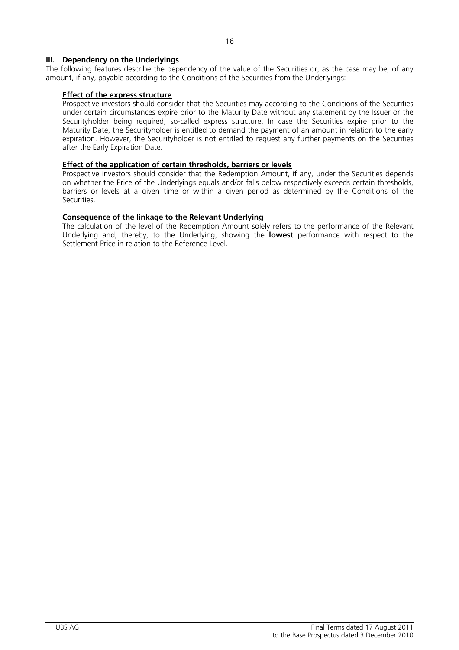# **III. Dependency on the Underlyings**

The following features describe the dependency of the value of the Securities or, as the case may be, of any amount, if any, payable according to the Conditions of the Securities from the Underlyings:

## **Effect of the express structure**

 Prospective investors should consider that the Securities may according to the Conditions of the Securities under certain circumstances expire prior to the Maturity Date without any statement by the Issuer or the Securityholder being required, so-called express structure. In case the Securities expire prior to the Maturity Date, the Securityholder is entitled to demand the payment of an amount in relation to the early expiration. However, the Securityholder is not entitled to request any further payments on the Securities after the Early Expiration Date.

## **Effect of the application of certain thresholds, barriers or levels**

 Prospective investors should consider that the Redemption Amount, if any, under the Securities depends on whether the Price of the Underlyings equals and/or falls below respectively exceeds certain thresholds, barriers or levels at a given time or within a given period as determined by the Conditions of the Securities.

# **Consequence of the linkage to the Relevant Underlying**

 The calculation of the level of the Redemption Amount solely refers to the performance of the Relevant Underlying and, thereby, to the Underlying, showing the **lowest** performance with respect to the Settlement Price in relation to the Reference Level.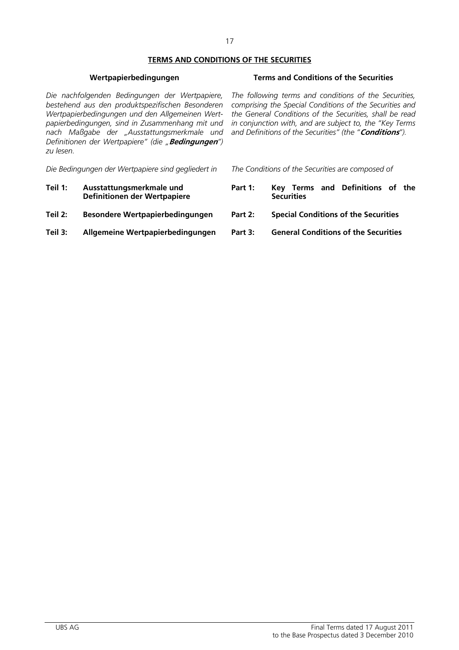# **TERMS AND CONDITIONS OF THE SECURITIES**

*Die nachfolgenden Bedingungen der Wertpapiere, bestehend aus den produktspezifischen Besonderen Wertpapierbedingungen und den Allgemeinen Wertpapierbedingungen, sind in Zusammenhang mit und nach Maßgabe der "Ausstattungsmerkmale und Definitionen der Wertpapiere" (die "***Bedingungen***") zu lesen.* 

*Die Bedingungen der Wertpapiere sind gegliedert in The Conditions of the Securities are composed of* 

- **Teil 1: Ausstattungsmerkmale und Definitionen der Wertpapiere**
- **Teil 2: Besondere Wertpapierbedingungen Part 2: Special Conditions of the Securities**
- **Teil 3: Allgemeine Wertpapierbedingungen Part 3: General Conditions of the Securities**

# **Wertpapierbedingungen Terms and Conditions of the Securities**

*The following terms and conditions of the Securities, comprising the Special Conditions of the Securities and the General Conditions of the Securities, shall be read in conjunction with, and are subject to, the "Key Terms and Definitions of the Securities" (the "***Conditions***").* 

- **Part 1: Key Terms and Definitions of the Securities**
- 
-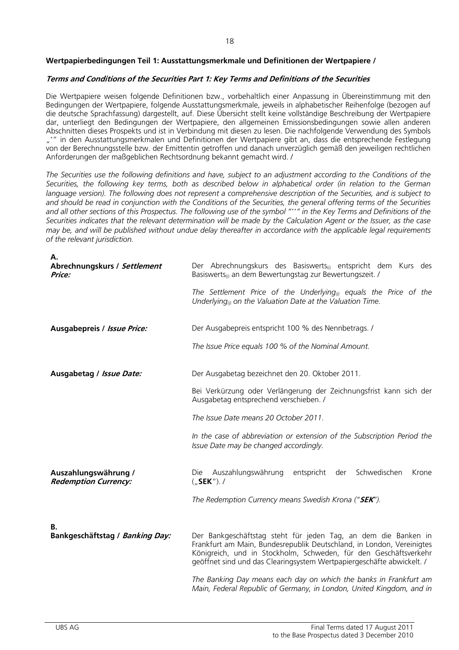# **Wertpapierbedingungen Teil 1: Ausstattungsmerkmale und Definitionen der Wertpapiere /**

## **Terms and Conditions of the Securities Part 1: Key Terms and Definitions of the Securities**

Die Wertpapiere weisen folgende Definitionen bzw., vorbehaltlich einer Anpassung in Übereinstimmung mit den Bedingungen der Wertpapiere, folgende Ausstattungsmerkmale, jeweils in alphabetischer Reihenfolge (bezogen auf die deutsche Sprachfassung) dargestellt, auf. Diese Übersicht stellt keine vollständige Beschreibung der Wertpapiere dar, unterliegt den Bedingungen der Wertpapiere, den allgemeinen Emissionsbedingungen sowie allen anderen Abschnitten dieses Prospekts und ist in Verbindung mit diesen zu lesen. Die nachfolgende Verwendung des Symbols "\*" in den Ausstattungsmerkmalen und Definitionen der Wertpapiere gibt an, dass die entsprechende Festlegung von der Berechnungsstelle bzw. der Emittentin getroffen und danach unverzüglich gemäß den jeweiligen rechtlichen Anforderungen der maßgeblichen Rechtsordnung bekannt gemacht wird. /

*The Securities use the following definitions and have, subject to an adjustment according to the Conditions of the Securities, the following key terms, both as described below in alphabetical order (in relation to the German language version). The following does not represent a comprehensive description of the Securities, and is subject to and should be read in conjunction with the Conditions of the Securities, the general offering terms of the Securities and all other sections of this Prospectus. The following use of the symbol "\*\*" in the Key Terms and Definitions of the Securities indicates that the relevant determination will be made by the Calculation Agent or the Issuer, as the case may be, and will be published without undue delay thereafter in accordance with the applicable legal requirements of the relevant jurisdiction.* 

| А.<br>Abrechnungskurs / Settlement                  | Der Abrechnungskurs des Basiswerts <sub>(i)</sub> entspricht dem Kurs des                                                                                                                                                                                                            |
|-----------------------------------------------------|--------------------------------------------------------------------------------------------------------------------------------------------------------------------------------------------------------------------------------------------------------------------------------------|
| Price:                                              | Basiswerts <sub>(i)</sub> an dem Bewertungstag zur Bewertungszeit. /                                                                                                                                                                                                                 |
|                                                     | The Settlement Price of the Underlying <sub>(i)</sub> equals the Price of the<br>Underlying <sub>(i)</sub> on the Valuation Date at the Valuation Time.                                                                                                                              |
| Ausgabepreis / Issue Price:                         | Der Ausgabepreis entspricht 100 % des Nennbetrags. /                                                                                                                                                                                                                                 |
|                                                     | The Issue Price equals 100 % of the Nominal Amount.                                                                                                                                                                                                                                  |
| Ausgabetag / Issue Date:                            | Der Ausgabetag bezeichnet den 20. Oktober 2011.                                                                                                                                                                                                                                      |
|                                                     | Bei Verkürzung oder Verlängerung der Zeichnungsfrist kann sich der<br>Ausgabetag entsprechend verschieben. /                                                                                                                                                                         |
|                                                     | The Issue Date means 20 October 2011.                                                                                                                                                                                                                                                |
|                                                     | In the case of abbreviation or extension of the Subscription Period the<br>Issue Date may be changed accordingly.                                                                                                                                                                    |
| Auszahlungswährung /<br><b>Redemption Currency:</b> | Schwedischen<br>Die Auszahlungswährung<br>entspricht<br>der<br>Krone<br>$($ "SEK"). /                                                                                                                                                                                                |
|                                                     | The Redemption Currency means Swedish Krona ("SEK").                                                                                                                                                                                                                                 |
| В.                                                  |                                                                                                                                                                                                                                                                                      |
| Bankgeschäftstag / Banking Day:                     | Der Bankgeschäftstag steht für jeden Tag, an dem die Banken in<br>Frankfurt am Main, Bundesrepublik Deutschland, in London, Vereinigtes<br>Königreich, und in Stockholm, Schweden, für den Geschäftsverkehr<br>geöffnet sind und das Clearingsystem Wertpapiergeschäfte abwickelt. / |
|                                                     | The Banking Day means each day on which the banks in Frankfurt am<br>Main, Federal Republic of Germany, in London, United Kingdom, and in                                                                                                                                            |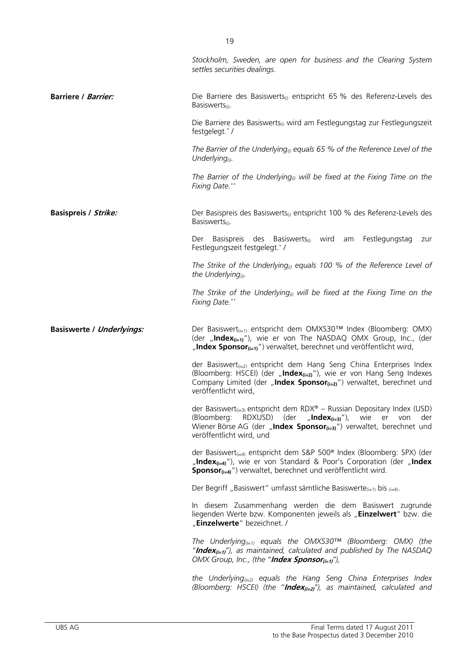|                                  | Stockholm, Sweden, are open for business and the Clearing System<br>settles securities dealings.                                                                                                                                                                  |  |  |  |  |
|----------------------------------|-------------------------------------------------------------------------------------------------------------------------------------------------------------------------------------------------------------------------------------------------------------------|--|--|--|--|
| <b>Barriere / Barrier:</b>       | Die Barriere des Basiswerts <sub>(i)</sub> entspricht 65 % des Referenz-Levels des<br>Basiswerts <sub>(i)</sub> .                                                                                                                                                 |  |  |  |  |
|                                  | Die Barriere des Basiswerts <sub>(i)</sub> wird am Festlegungstag zur Festlegungszeit<br>festgelegt.*/                                                                                                                                                            |  |  |  |  |
|                                  | The Barrier of the Underlying <sub>(i)</sub> equals 65 % of the Reference Level of the<br>Underlying $_{(i)}$ .                                                                                                                                                   |  |  |  |  |
|                                  | The Barrier of the Underlying <sub>(i)</sub> will be fixed at the Fixing Time on the<br>Fixing Date.**                                                                                                                                                            |  |  |  |  |
| <b>Basispreis / Strike:</b>      | Der Basispreis des Basiswerts <sub>(i)</sub> entspricht 100 % des Referenz-Levels des<br>Basiswerts <sub>(i)</sub> .                                                                                                                                              |  |  |  |  |
|                                  | Der Basispreis des Basiswerts <sub>(i)</sub> wird am Festlegungstag<br>zur<br>Festlegungszeit festgelegt.*/                                                                                                                                                       |  |  |  |  |
|                                  | The Strike of the Underlying <sub>(i)</sub> equals 100 % of the Reference Level of<br>the Underlying <sup>(i)</sup> .                                                                                                                                             |  |  |  |  |
|                                  | The Strike of the Underlying <sub>(i)</sub> will be fixed at the Fixing Time on the<br>Fixing Date.**                                                                                                                                                             |  |  |  |  |
|                                  |                                                                                                                                                                                                                                                                   |  |  |  |  |
| <b>Basiswerte / Underlyings:</b> | Der Basiswert <sub>(i=1)</sub> entspricht dem OMXS30™ Index (Bloomberg: OMX)<br>(der "Index $_{(i=1)}$ "), wie er von The NASDAQ OMX Group, Inc., (der<br>"Index Sponsor $_{\text{(i=1)}}$ ") verwaltet, berechnet und veröffentlicht wird,                       |  |  |  |  |
|                                  | der Basiswert $_{(i=2)}$ entspricht dem Hang Seng China Enterprises Index<br>(Bloomberg: HSCEI) (der "Index(i=2)"), wie er von Hang Seng Indexes<br>Company Limited (der "Index Sponsor <sub>(i=2)</sub> ") verwaltet, berechnet und<br>veröffentlicht wird,      |  |  |  |  |
|                                  | der Basiswert <sub>(i=3)</sub> entspricht dem RDX® – Russian Depositary Index (USD)<br>(Bloomberg: RDXUSD) (der "Index $_{(i=3)}$ "), wie er von<br>der<br>Wiener Börse AG (der "Index Sponsor $_{(i=3)}$ ") verwaltet, berechnet und<br>veröffentlicht wird, und |  |  |  |  |
|                                  | der Basiswert <sub>(i=4)</sub> entspricht dem S&P 500 <sup>®</sup> Index (Bloomberg: SPX) (der<br>"Index <sub>(i=4)</sub> "), wie er von Standard & Poor's Corporation (der "Index<br>Sponsor <sub>(i=4)</sub> ") verwaltet, berechnet und veröffentlicht wird.   |  |  |  |  |
|                                  | Der Begriff "Basiswert" umfasst sämtliche Basiswerte $_{(i=1)}$ bis $_{(i=4)}$ .                                                                                                                                                                                  |  |  |  |  |
|                                  | In diesem Zusammenhang werden die dem Basiswert zugrunde<br>liegenden Werte bzw. Komponenten jeweils als "Einzelwert" bzw. die<br>"Einzelwerte" bezeichnet. /                                                                                                     |  |  |  |  |
|                                  | The Underlying <sub>(i=1)</sub> equals the OMXS30 <sup>TM</sup> (Bloomberg: OMX) (the<br>" <b>Index</b> <sub><math>(i=1)</math></sub> "), as maintained, calculated and published by The NASDAQ<br>OMX Group, Inc., (the " <b>Index Sponsor</b> $_{(i=1)},$ "),   |  |  |  |  |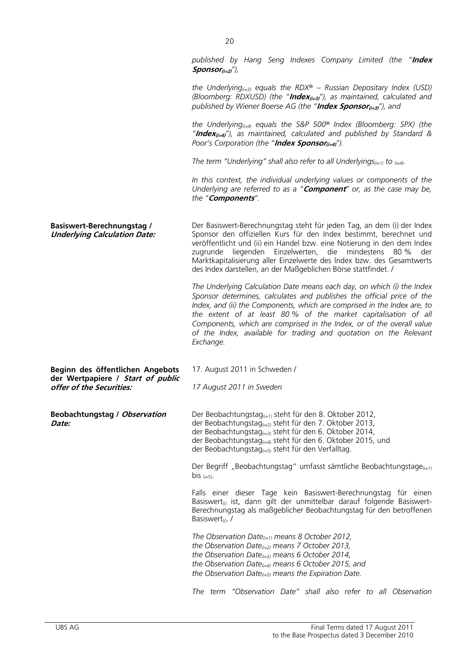*published by Hang Seng Indexes Company Limited (the "***Index Sponsor(i=2)***"),* 

*the Underlying(i=3) equals the RDX® – Russian Depositary Index (USD) (Bloomberg: RDXUSD) (the "***Index(i=3)***"), as maintained, calculated and published by Wiener Boerse AG (the "Index Sponsor<sub>(i=3)</sub>"), and* 

*the Underlying(i=4) equals the S&P 500® Index (Bloomberg: SPX) (the "***Index(i=4)***"), as maintained, calculated and published by Standard & Poor's Corporation (the "Index Sponsor<sub>(i=4)</sub>").* 

*The term "Underlying" shall also refer to all Underlyings*( $i=1$ ) to  $(i=4)$ .

*In this context, the individual underlying values or components of the Underlying are referred to as a "***Component***" or, as the case may be, the "***Components***".*

| <b>Basiswert-Berechnungstag /</b><br><b>Underlying Calculation Date:</b>                          | Der Basiswert-Berechnungstag steht für jeden Tag, an dem (i) der Index<br>Sponsor den offiziellen Kurs für den Index bestimmt, berechnet und<br>veröffentlicht und (ii) ein Handel bzw. eine Notierung in den dem Index<br>liegenden<br>Einzelwerten,<br>die mindestens 80 %<br>zugrunde<br>der<br>Marktkapitalisierung aller Einzelwerte des Index bzw. des Gesamtwerts<br>des Index darstellen, an der Maßgeblichen Börse stattfindet. /                |  |  |
|---------------------------------------------------------------------------------------------------|-----------------------------------------------------------------------------------------------------------------------------------------------------------------------------------------------------------------------------------------------------------------------------------------------------------------------------------------------------------------------------------------------------------------------------------------------------------|--|--|
|                                                                                                   | The Underlying Calculation Date means each day, on which (i) the Index<br>Sponsor determines, calculates and publishes the official price of the<br>Index, and (ii) the Components, which are comprised in the Index are, to<br>the extent of at least 80% of the market capitalisation of all<br>Components, which are comprised in the Index, or of the overall value<br>of the Index, available for trading and quotation on the Relevant<br>Exchange. |  |  |
| Beginn des öffentlichen Angebots<br>der Wertpapiere / Start of public<br>offer of the Securities: | 17. August 2011 in Schweden /<br>17 August 2011 in Sweden                                                                                                                                                                                                                                                                                                                                                                                                 |  |  |
| <b>Beobachtungstag / Observation</b><br>Date:                                                     | Der Beobachtungstag <sub>(i=1)</sub> steht für den 8. Oktober 2012,<br>der Beobachtungstag <sub>(i=2)</sub> steht für den 7. Oktober 2013,<br>der Beobachtungstag <sub>(i=3)</sub> steht für den 6. Oktober 2014,<br>der Beobachtungstag <sub>(i=4)</sub> steht für den 6. Oktober 2015, und<br>der Beobachtungstag <sub>(i=5)</sub> steht für den Verfalltag.                                                                                            |  |  |
|                                                                                                   | Der Begriff "Beobachtungstag" umfasst sämtliche Beobachtungstage(i=1)<br>bis $(i=5)$ .                                                                                                                                                                                                                                                                                                                                                                    |  |  |
|                                                                                                   | Falls einer dieser Tage kein Basiswert-Berechnungstag für einen<br>Basiswert <sub>(i)</sub> ist, dann gilt der unmittelbar darauf folgende Basiswert-<br>Berechnungstag als maßgeblicher Beobachtungstag für den betroffenen<br>Basiswert <sub>(i)</sub> . /                                                                                                                                                                                              |  |  |
|                                                                                                   | The Observation Date $_{(i=1)}$ means 8 October 2012,<br>the Observation Date(i=2) means 7 October 2013,<br>the Observation Date $_{(i=3)}$ means 6 October 2014,<br>the Observation Date $_{(i=4)}$ means 6 October 2015, and<br>the Observation Date $_{(i=5)}$ means the Expiration Date.                                                                                                                                                              |  |  |

*The term "Observation Date" shall also refer to all Observation*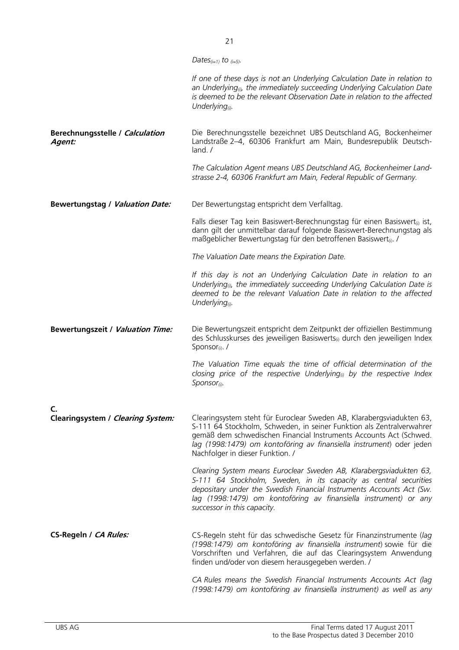|                                           | Dates <sub>(i=1)</sub> to $_{(i=5)}$ .                                                                                                                                                                                                                                                                                           |
|-------------------------------------------|----------------------------------------------------------------------------------------------------------------------------------------------------------------------------------------------------------------------------------------------------------------------------------------------------------------------------------|
|                                           | If one of these days is not an Underlying Calculation Date in relation to<br>an Underlying <sub>®</sub> , the immediately succeeding Underlying Calculation Date<br>is deemed to be the relevant Observation Date in relation to the affected<br>Underlying <sup>(j)</sup> .                                                     |
| Berechnungsstelle / Calculation<br>Agent: | Die Berechnungsstelle bezeichnet UBS Deutschland AG, Bockenheimer<br>Landstraße 2-4, 60306 Frankfurt am Main, Bundesrepublik Deutsch-<br>land. /                                                                                                                                                                                 |
|                                           | The Calculation Agent means UBS Deutschland AG, Bockenheimer Land-<br>strasse 2-4, 60306 Frankfurt am Main, Federal Republic of Germany.                                                                                                                                                                                         |
| <b>Bewertungstag / Valuation Date:</b>    | Der Bewertungstag entspricht dem Verfalltag.                                                                                                                                                                                                                                                                                     |
|                                           | Falls dieser Tag kein Basiswert-Berechnungstag für einen Basiswert <sub>(i)</sub> ist,<br>dann gilt der unmittelbar darauf folgende Basiswert-Berechnungstag als<br>maßgeblicher Bewertungstag für den betroffenen Basiswert <sub>ü</sub> ./                                                                                     |
|                                           | The Valuation Date means the Expiration Date.                                                                                                                                                                                                                                                                                    |
|                                           | If this day is not an Underlying Calculation Date in relation to an<br>Underlying <sub>(i)</sub> , the immediately succeeding Underlying Calculation Date is<br>deemed to be the relevant Valuation Date in relation to the affected<br>Underlying $_{(i)}$ .                                                                    |
| <b>Bewertungszeit / Valuation Time:</b>   | Die Bewertungszeit entspricht dem Zeitpunkt der offiziellen Bestimmung<br>des Schlusskurses des jeweiligen Basiswerts <sub>(i)</sub> durch den jeweiligen Index<br>Sponsor <sub>(i)</sub> . /                                                                                                                                    |
|                                           | The Valuation Time equals the time of official determination of the<br>closing price of the respective Underlying <sub>(i)</sub> by the respective Index<br>$S$ <i>ponsor</i> <sub>(i)</sub> .                                                                                                                                   |
| C.                                        |                                                                                                                                                                                                                                                                                                                                  |
| Clearingsystem / Clearing System:         | Clearingsystem steht für Euroclear Sweden AB, Klarabergsviadukten 63,<br>S-111 64 Stockholm, Schweden, in seiner Funktion als Zentralverwahrer<br>gemäß dem schwedischen Financial Instruments Accounts Act (Schwed.<br>lag (1998:1479) om kontoföring av finansiella instrument) oder jeden<br>Nachfolger in dieser Funktion. / |
|                                           | Clearing System means Euroclear Sweden AB, Klarabergsviadukten 63,<br>S-111 64 Stockholm, Sweden, in its capacity as central securities<br>depositary under the Swedish Financial Instruments Accounts Act (Sw.<br>lag (1998:1479) om kontoföring av finansiella instrument) or any<br>successor in this capacity.               |
| CS-Regeln / CA Rules:                     | CS-Regeln steht für das schwedische Gesetz für Finanzinstrumente (lag<br>(1998:1479) om kontoföring av finansiella instrument) sowie für die<br>Vorschriften und Verfahren, die auf das Clearingsystem Anwendung<br>finden und/oder von diesem herausgegeben werden. /                                                           |
|                                           | CA Rules means the Swedish Financial Instruments Accounts Act (lag<br>(1998:1479) om kontoföring av finansiella instrument) as well as any                                                                                                                                                                                       |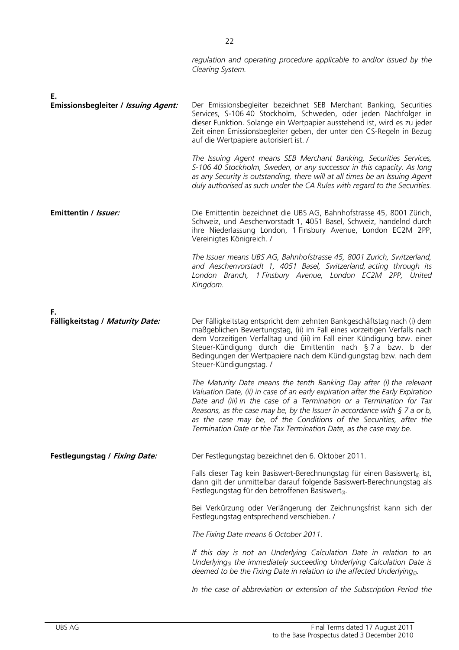|                                                  | regulation and operating procedure applicable to and/or issued by the<br>Clearing System.                                                                                                                                                                                                                                                                                                                                                                                                                                                                                                                                                         |
|--------------------------------------------------|---------------------------------------------------------------------------------------------------------------------------------------------------------------------------------------------------------------------------------------------------------------------------------------------------------------------------------------------------------------------------------------------------------------------------------------------------------------------------------------------------------------------------------------------------------------------------------------------------------------------------------------------------|
| Е.<br><b>Emissionsbegleiter / Issuing Agent:</b> | Der Emissionsbegleiter bezeichnet SEB Merchant Banking, Securities<br>Services, S-106 40 Stockholm, Schweden, oder jeden Nachfolger in<br>dieser Funktion. Solange ein Wertpapier ausstehend ist, wird es zu jeder<br>Zeit einen Emissionsbegleiter geben, der unter den CS-Regeln in Bezug<br>auf die Wertpapiere autorisiert ist. /<br>The Issuing Agent means SEB Merchant Banking, Securities Services,<br>S-106 40 Stockholm, Sweden, or any successor in this capacity. As long<br>as any Security is outstanding, there will at all times be an Issuing Agent<br>duly authorised as such under the CA Rules with regard to the Securities. |
| Emittentin / Issuer:                             | Die Emittentin bezeichnet die UBS AG, Bahnhofstrasse 45, 8001 Zürich,<br>Schweiz, und Aeschenvorstadt 1, 4051 Basel, Schweiz, handelnd durch<br>ihre Niederlassung London, 1 Finsbury Avenue, London EC2M 2PP,<br>Vereinigtes Königreich. /                                                                                                                                                                                                                                                                                                                                                                                                       |
|                                                  | The Issuer means UBS AG, Bahnhofstrasse 45, 8001 Zurich, Switzerland,<br>and Aeschenvorstadt 1, 4051 Basel, Switzerland, acting through its<br>London Branch, 1 Finsbury Avenue, London EC2M 2PP, United<br>Kingdom.                                                                                                                                                                                                                                                                                                                                                                                                                              |
| F.<br>Fälligkeitstag / Maturity Date:            | Der Fälligkeitstag entspricht dem zehnten Bankgeschäftstag nach (i) dem<br>maßgeblichen Bewertungstag, (ii) im Fall eines vorzeitigen Verfalls nach<br>dem Vorzeitigen Verfalltag und (iii) im Fall einer Kündigung bzw. einer<br>Steuer-Kündigung durch die Emittentin nach § 7 a bzw. b der<br>Bedingungen der Wertpapiere nach dem Kündigungstag bzw. nach dem<br>Steuer-Kündigungstag. /                                                                                                                                                                                                                                                      |
|                                                  | The Maturity Date means the tenth Banking Day after (i) the relevant<br>Valuation Date, (ii) in case of an early expiration after the Early Expiration<br>Date and (iii) in the case of a Termination or a Termination for Tax<br>Reasons, as the case may be, by the Issuer in accordance with $\S$ 7 a or b,<br>as the case may be, of the Conditions of the Securities, after the<br>Termination Date or the Tax Termination Date, as the case may be.                                                                                                                                                                                         |
| Festlegungstag / Fixing Date:                    | Der Festlegungstag bezeichnet den 6. Oktober 2011.                                                                                                                                                                                                                                                                                                                                                                                                                                                                                                                                                                                                |
|                                                  | Falls dieser Tag kein Basiswert-Berechnungstag für einen Basiswert <sub>(i)</sub> ist,<br>dann gilt der unmittelbar darauf folgende Basiswert-Berechnungstag als<br>Festlegungstag für den betroffenen Basiswert <sub>(i)</sub> .                                                                                                                                                                                                                                                                                                                                                                                                                 |
|                                                  | Bei Verkürzung oder Verlängerung der Zeichnungsfrist kann sich der<br>Festlegungstag entsprechend verschieben. /                                                                                                                                                                                                                                                                                                                                                                                                                                                                                                                                  |
|                                                  | The Fixing Date means 6 October 2011.                                                                                                                                                                                                                                                                                                                                                                                                                                                                                                                                                                                                             |
|                                                  | If this day is not an Underlying Calculation Date in relation to an<br>Underlying <sub>(<math>0</math></sub> the immediately succeeding Underlying Calculation Date is<br>deemed to be the Fixing Date in relation to the affected Underlying <sub><math>\omega</math></sub> .                                                                                                                                                                                                                                                                                                                                                                    |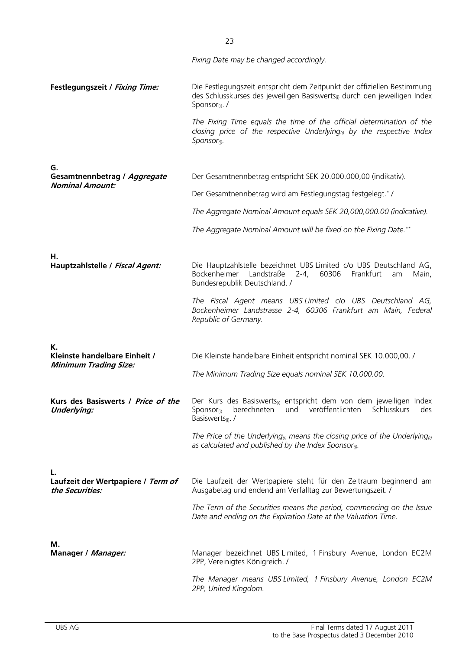|                                                          | Fixing Date may be changed accordingly.                                                                                                                                                             |
|----------------------------------------------------------|-----------------------------------------------------------------------------------------------------------------------------------------------------------------------------------------------------|
| Festlegungszeit / Fixing Time:                           | Die Festlegungszeit entspricht dem Zeitpunkt der offiziellen Bestimmung<br>des Schlusskurses des jeweiligen Basiswerts <sub>(i)</sub> durch den jeweiligen Index<br>Sponsor <sub>(i)</sub> . /      |
|                                                          | The Fixing Time equals the time of the official determination of the<br>closing price of the respective Underlying <sub>(i)</sub> by the respective Index<br>$S$ ponsor <sub>(i)</sub> .            |
| G.                                                       |                                                                                                                                                                                                     |
| Gesamtnennbetrag / Aggregate<br><b>Nominal Amount:</b>   | Der Gesamtnennbetrag entspricht SEK 20.000.000,00 (indikativ).                                                                                                                                      |
|                                                          | Der Gesamtnennbetrag wird am Festlegungstag festgelegt.*/                                                                                                                                           |
|                                                          | The Aggregate Nominal Amount equals SEK 20,000,000.00 (indicative).                                                                                                                                 |
|                                                          | The Aggregate Nominal Amount will be fixed on the Fixing Date.**                                                                                                                                    |
|                                                          |                                                                                                                                                                                                     |
| Н.<br>Hauptzahlstelle / Fiscal Agent:                    | Die Hauptzahlstelle bezeichnet UBS Limited c/o UBS Deutschland AG,<br>Bockenheimer<br>Landstraße<br>Frankfurt<br>$2 - 4,$<br>60306<br>Main,<br>am<br>Bundesrepublik Deutschland. /                  |
|                                                          | The Fiscal Agent means UBS Limited c/o UBS Deutschland AG,<br>Bockenheimer Landstrasse 2-4, 60306 Frankfurt am Main, Federal<br>Republic of Germany.                                                |
|                                                          |                                                                                                                                                                                                     |
| К.<br>Kleinste handelbare Einheit /                      | Die Kleinste handelbare Einheit entspricht nominal SEK 10.000,00. /                                                                                                                                 |
| <b>Minimum Trading Size:</b>                             | The Minimum Trading Size equals nominal SEK 10,000.00.                                                                                                                                              |
| Kurs des Basiswerts / Price of the<br><b>Underlying:</b> | Der Kurs des Basiswerts <sub>(i)</sub> entspricht dem von dem jeweiligen Index<br>veröffentlichten<br>berechneten<br>und<br>Schlusskurs<br>des<br>Sponsor $_{(i)}$<br>Basiswerts <sub>(i)</sub> . / |
|                                                          | The Price of the Underlying <sub>(i)</sub> means the closing price of the Underlying <sub>(i)</sub><br>as calculated and published by the Index Sponsor $_{\text{0}}$ .                             |
| L.                                                       |                                                                                                                                                                                                     |
| Laufzeit der Wertpapiere / Term of<br>the Securities:    | Die Laufzeit der Wertpapiere steht für den Zeitraum beginnend am<br>Ausgabetag und endend am Verfalltag zur Bewertungszeit. /                                                                       |
|                                                          | The Term of the Securities means the period, commencing on the Issue<br>Date and ending on the Expiration Date at the Valuation Time.                                                               |
| М.                                                       |                                                                                                                                                                                                     |
| Manager / Manager:                                       | Manager bezeichnet UBS Limited, 1 Finsbury Avenue, London EC2M<br>2PP, Vereinigtes Königreich. /                                                                                                    |
|                                                          | The Manager means UBS Limited, 1 Finsbury Avenue, London EC2M<br>2PP, United Kingdom.                                                                                                               |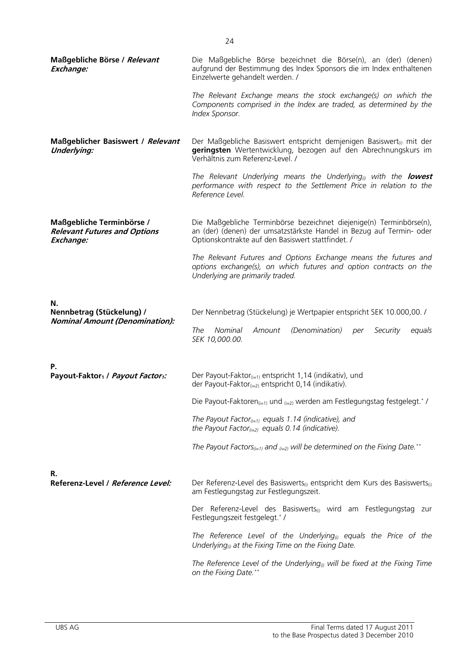| Maßgebliche Börse / Relevant<br>Exchange:                                     | Die Maßgebliche Börse bezeichnet die Börse(n), an (der) (denen)<br>aufgrund der Bestimmung des Index Sponsors die im Index enthaltenen<br>Einzelwerte gehandelt werden. /                        |
|-------------------------------------------------------------------------------|--------------------------------------------------------------------------------------------------------------------------------------------------------------------------------------------------|
|                                                                               | The Relevant Exchange means the stock exchange(s) on which the<br>Components comprised in the Index are traded, as determined by the<br>Index Sponsor.                                           |
| Maßgeblicher Basiswert / Relevant<br><b>Underlying:</b>                       | Der Maßgebliche Basiswert entspricht demjenigen Basiswert <sub>(i)</sub> mit der<br>geringsten Wertentwicklung, bezogen auf den Abrechnungskurs im<br>Verhältnis zum Referenz-Level. /           |
|                                                                               | The Relevant Underlying means the Underlying <sub>®</sub> with the <b>lowest</b><br>performance with respect to the Settlement Price in relation to the<br>Reference Level.                      |
| Maßgebliche Terminbörse /<br><b>Relevant Futures and Options</b><br>Exchange: | Die Maßgebliche Terminbörse bezeichnet diejenige(n) Terminbörse(n),<br>an (der) (denen) der umsatzstärkste Handel in Bezug auf Termin- oder<br>Optionskontrakte auf den Basiswert stattfindet. / |
|                                                                               | The Relevant Futures and Options Exchange means the futures and<br>options exchange(s), on which futures and option contracts on the<br>Underlying are primarily traded.                         |
| N.<br>Nennbetrag (Stückelung) /                                               | Der Nennbetrag (Stückelung) je Wertpapier entspricht SEK 10.000,00. /                                                                                                                            |
| <b>Nominal Amount (Denomination):</b>                                         | Nominal<br>Amount<br>(Denomination)<br>The<br>Security<br>per<br>equals<br>SEK 10,000.00.                                                                                                        |
|                                                                               |                                                                                                                                                                                                  |
| Ρ.<br>Payout-Faktor <sub>1</sub> / Payout Factor <sub>1</sub> :               | Der Payout-Faktor $_{(i=1)}$ entspricht 1,14 (indikativ), und<br>der Payout-Faktor $_{(i=2)}$ entspricht 0,14 (indikativ).                                                                       |
|                                                                               | Die Payout-Faktoren $_{(i=1)}$ und $_{(i=2)}$ werden am Festlegungstag festgelegt.* /                                                                                                            |
|                                                                               | The Payout Factor $_{(i=1)}$ equals 1.14 (indicative), and<br>the Payout Factor(i=2) equals 0.14 (indicative).                                                                                   |
|                                                                               | The Payout Factors <sub>(i=1)</sub> and $_{(i=2)}$ will be determined on the Fixing Date. <sup>**</sup>                                                                                          |
|                                                                               |                                                                                                                                                                                                  |
| R.<br>Referenz-Level / Reference Level:                                       | Der Referenz-Level des Basiswerts <sub>(i)</sub> entspricht dem Kurs des Basiswerts <sub>(i)</sub><br>am Festlegungstag zur Festlegungszeit.                                                     |
|                                                                               | Der Referenz-Level des Basiswerts <sub>(i)</sub> wird am Festlegungstag zur<br>Festlegungszeit festgelegt.*/                                                                                     |
|                                                                               | The Reference Level of the Underlying <sub>(i)</sub> equals the Price of the<br>Underlying <sub>(i)</sub> at the Fixing Time on the Fixing Date.                                                 |
|                                                                               | The Reference Level of the Underlying <sub>®</sub> will be fixed at the Fixing Time<br>on the Fixing Date.**                                                                                     |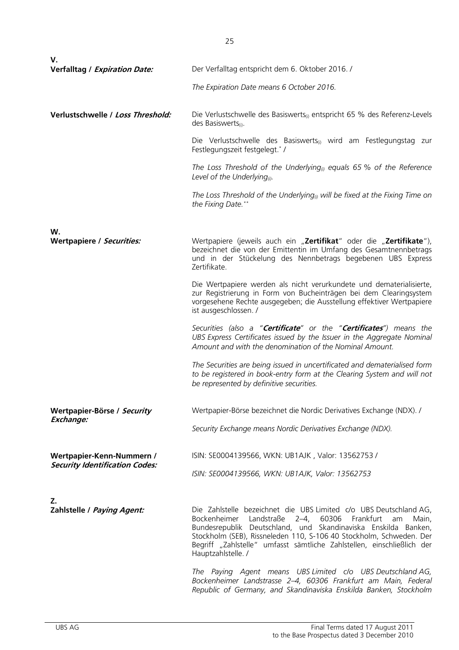| V.                                    |                                                                                                                                                                                                                                                                                                                                                                                 |  |  |  |
|---------------------------------------|---------------------------------------------------------------------------------------------------------------------------------------------------------------------------------------------------------------------------------------------------------------------------------------------------------------------------------------------------------------------------------|--|--|--|
| <b>Verfalltag / Expiration Date:</b>  | Der Verfalltag entspricht dem 6. Oktober 2016. /                                                                                                                                                                                                                                                                                                                                |  |  |  |
|                                       | The Expiration Date means 6 October 2016.                                                                                                                                                                                                                                                                                                                                       |  |  |  |
| Verlustschwelle / Loss Threshold:     | Die Verlustschwelle des Basiswerts <sub>(i)</sub> entspricht 65 % des Referenz-Levels<br>des Basiswerts $(i)$ .                                                                                                                                                                                                                                                                 |  |  |  |
|                                       | Die Verlustschwelle des Basiswerts <sub>(i)</sub> wird am Festlegungstag zur<br>Festlegungszeit festgelegt.*/                                                                                                                                                                                                                                                                   |  |  |  |
|                                       | The Loss Threshold of the Underlying <sub>(i)</sub> equals 65 % of the Reference<br>Level of the Underlying $_{\scriptscriptstyle (\!\chi\!)}$ .                                                                                                                                                                                                                                |  |  |  |
|                                       | The Loss Threshold of the Underlying <sub>(i)</sub> will be fixed at the Fixing Time on<br>the Fixing Date.**                                                                                                                                                                                                                                                                   |  |  |  |
| W.                                    |                                                                                                                                                                                                                                                                                                                                                                                 |  |  |  |
| Wertpapiere / Securities:             | Wertpapiere (jeweils auch ein "Zertifikat" oder die "Zertifikate"),<br>bezeichnet die von der Emittentin im Umfang des Gesamtnennbetrags<br>und in der Stückelung des Nennbetrags begebenen UBS Express<br>Zertifikate.                                                                                                                                                         |  |  |  |
|                                       | Die Wertpapiere werden als nicht verurkundete und dematerialisierte,<br>zur Registrierung in Form von Bucheinträgen bei dem Clearingsystem<br>vorgesehene Rechte ausgegeben; die Ausstellung effektiver Wertpapiere<br>ist ausgeschlossen. /                                                                                                                                    |  |  |  |
|                                       | Securities (also a " <b>Certificate</b> " or the " <b>Certificates</b> ") means the<br>UBS Express Certificates issued by the Issuer in the Aggregate Nominal<br>Amount and with the denomination of the Nominal Amount.                                                                                                                                                        |  |  |  |
|                                       | The Securities are being issued in uncertificated and dematerialised form<br>to be registered in book-entry form at the Clearing System and will not<br>be represented by definitive securities.                                                                                                                                                                                |  |  |  |
| Wertpapier-Börse / Security           | Wertpapier-Börse bezeichnet die Nordic Derivatives Exchange (NDX). /                                                                                                                                                                                                                                                                                                            |  |  |  |
| Exchange:                             | Security Exchange means Nordic Derivatives Exchange (NDX).                                                                                                                                                                                                                                                                                                                      |  |  |  |
| Wertpapier-Kenn-Nummern /             | ISIN: SE0004139566, WKN: UB1AJK, Valor: 13562753 /                                                                                                                                                                                                                                                                                                                              |  |  |  |
| <b>Security Identification Codes:</b> | ISIN: SE0004139566, WKN: UB1AJK, Valor: 13562753                                                                                                                                                                                                                                                                                                                                |  |  |  |
|                                       |                                                                                                                                                                                                                                                                                                                                                                                 |  |  |  |
| Z.<br>Zahlstelle / Paying Agent:      | Die Zahlstelle bezeichnet die UBS Limited c/o UBS Deutschland AG,<br>Bockenheimer Landstraße 2-4,<br>60306<br>Frankfurt<br>Main,<br>am<br>Bundesrepublik Deutschland, und Skandinaviska Enskilda Banken,<br>Stockholm (SEB), Rissneleden 110, S-106 40 Stockholm, Schweden. Der<br>Begriff "Zahlstelle" umfasst sämtliche Zahlstellen, einschließlich der<br>Hauptzahlstelle. / |  |  |  |
|                                       | The Paying Agent means UBS Limited c/o UBS Deutschland AG,<br>Bockenheimer Landstrasse 2-4, 60306 Frankfurt am Main, Federal<br>Republic of Germany, and Skandinaviska Enskilda Banken, Stockholm                                                                                                                                                                               |  |  |  |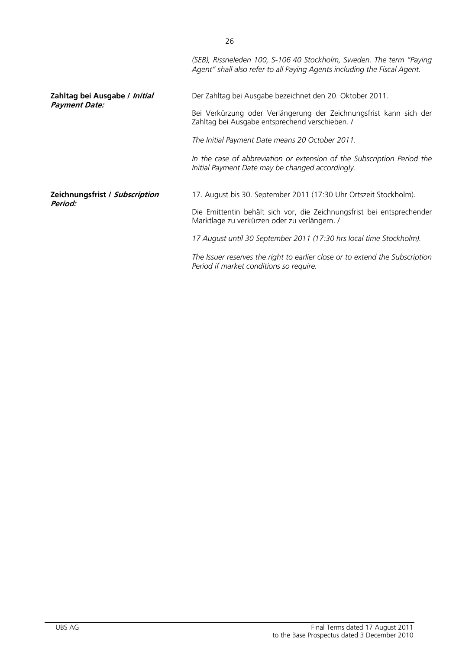|                                | (SEB), Rissneleden 100, S-106 40 Stockholm, Sweden. The term "Paying<br>Agent" shall also refer to all Paying Agents including the Fiscal Agent. |  |
|--------------------------------|--------------------------------------------------------------------------------------------------------------------------------------------------|--|
| Zahltag bei Ausgabe / Initial  | Der Zahltag bei Ausgabe bezeichnet den 20. Oktober 2011.                                                                                         |  |
| <b>Payment Date:</b>           | Bei Verkürzung oder Verlängerung der Zeichnungsfrist kann sich der<br>Zahltag bei Ausgabe entsprechend verschieben. /                            |  |
|                                | The Initial Payment Date means 20 October 2011.                                                                                                  |  |
|                                | In the case of abbreviation or extension of the Subscription Period the<br>Initial Payment Date may be changed accordingly.                      |  |
| Zeichnungsfrist / Subscription | 17. August bis 30. September 2011 (17:30 Uhr Ortszeit Stockholm).                                                                                |  |
| Period:                        | Die Emittentin behält sich vor, die Zeichnungsfrist bei entsprechender<br>Marktlage zu verkürzen oder zu verlängern. /                           |  |
|                                | 17 August until 30 September 2011 (17:30 hrs local time Stockholm).                                                                              |  |
|                                | The Issuer reserves the right to earlier close or to extend the Subscription<br>Period if market conditions so require.                          |  |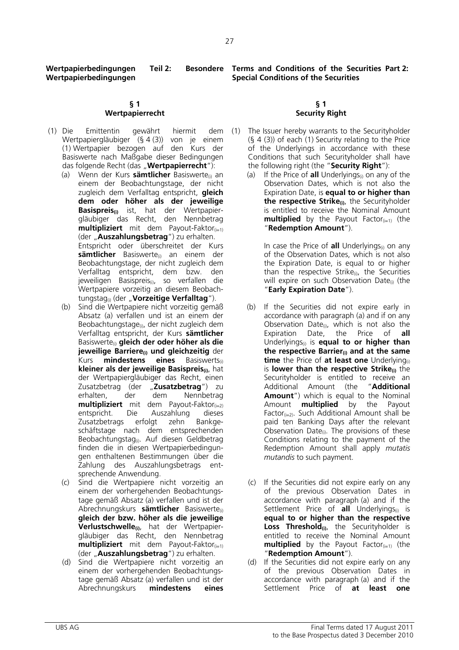27

**Wertpapierbedingungen Teil 2: Wertpapierbedingungen** 

## **§ 1 Wertpapierrecht**

- (1) Die Emittentin gewährt hiermit dem Wertpapiergläubiger (§ 4 (3)) von je einem (1) Wertpapier bezogen auf den Kurs der Basiswerte nach Maßgabe dieser Bedingungen das folgende Recht (das "**Wertpapierrecht**"):
	- (a) Wenn der Kurs **sämtlicher** Basiswerte<sub>(i)</sub> an einem der Beobachtungstage, der nicht zugleich dem Verfalltag entspricht, **gleich dem oder höher als der jeweilige Basispreis(i)** ist, hat der Wertpapiergläubiger das Recht, den Nennbetrag **multipliziert** mit dem Payout-Faktor<sub>(i=1)</sub> (der "**Auszahlungsbetrag**") zu erhalten. Entspricht oder überschreitet der Kurs sämtlicher Basiswerte<sub>(i)</sub> an einem der Beobachtungstage, der nicht zugleich dem Verfalltag entspricht, dem bzw. den jeweiligen Basispreis<sub>(i)</sub>, so verfallen die Wertpapiere vorzeitig an diesem Beobachtungstag<sub>(i)</sub> (der "**Vorzeitige Verfalltag**").
	- (b) Sind die Wertpapiere nicht vorzeitig gemäß Absatz (a) verfallen und ist an einem der Beobachtungstage<sub>(i)</sub>, der nicht zugleich dem Verfalltag entspricht, der Kurs **sämtlicher** Basiswerte(i) **gleich der oder höher als die jeweilige Barriere(i) und gleichzeitig** der Kurs **mindestens eines** Basiswerts<sub>(i)</sub> **kleiner als der jeweilige Basispreis(i)**, hat der Wertpapiergläubiger das Recht, einen Zusatzbetrag (der "**Zusatzbetrag**") zu erhalten, der dem Nennbetrag **multipliziert** mit dem Payout-Faktor<sub>(i=2)</sub> entspricht. Die Auszahlung dieses Zusatzbetrags erfolgt zehn Bankgeschäftstage nach dem entsprechenden Beobachtungstag<sub>(i)</sub>. Auf diesen Geldbetrag finden die in diesen Wertpapierbedingungen enthaltenen Bestimmungen über die Zahlung des Auszahlungsbetrags entsprechende Anwendung.
	- (c) Sind die Wertpapiere nicht vorzeitig an einem der vorhergehenden Beobachtungstage gemäß Absatz (a) verfallen und ist der Abrechnungskurs **sämtlicher** Basiswerte(i) **gleich der bzw. höher als die jeweilige Verlustschwelle(i)**, hat der Wertpapiergläubiger das Recht, den Nennbetrag **multipliziert** mit dem Payout-Faktor<sub>(i=1)</sub> (der "**Auszahlungsbetrag**") zu erhalten.
	- (d) Sind die Wertpapiere nicht vorzeitig an einem der vorhergehenden Beobachtungstage gemäß Absatz (a) verfallen und ist der Abrechnungskurs **mindestens eines**

**Terms and Conditions of the Securities Part 2: Special Conditions of the Securities** 

#### **§ 1 Security Right**

- The Issuer hereby warrants to the Securityholder (§ 4 (3)) of each (1) Security relating to the Price of the Underlyings in accordance with these Conditions that such Securityholder shall have the following right (the "**Security Right**"):
	- (a) If the Price of **all** Underlyings<sub>(i)</sub> on any of the Observation Dates, which is not also the Expiration Date, is **equal to or higher than the respective Strike**<sub>(i)</sub>, the Securityholder is entitled to receive the Nominal Amount **multiplied** by the Payout Factor $_{(i=1)}$  (the "**Redemption Amount**").

In case the Price of **all** Underlyings<sub>(i)</sub> on any of the Observation Dates, which is not also the Expiration Date, is equal to or higher than the respective Strike $_{(i)}$ , the Securities will expire on such Observation Date $_{(i)}$  (the "**Early Expiration Date**").

- (b) If the Securities did not expire early in accordance with paragraph (a) and if on any Observation Date $(i)$ , which is not also the Expiration Date, the Price of **all** Underlyings(i) is **equal to or higher than the respective Barrier(i) and at the same time** the Price of **at least one** Underlying<sub>(i)</sub> is **lower than the respective Strike**<sub>(i)</sub> the Securityholder is entitled to receive an Additional Amount (the "**Additional Amount**") which is equal to the Nominal Amount **multiplied** by the Payout Factor $(i=2)$ . Such Additional Amount shall be paid ten Banking Days after the relevant Observation Date<sub>(i)</sub>. The provisions of these Conditions relating to the payment of the Redemption Amount shall apply *mutatis mutandis* to such payment.
- (c) If the Securities did not expire early on any of the previous Observation Dates in accordance with paragraph (a) and if the Settlement Price of **all** Underlyings<sub>(i)</sub> is **equal to or higher than the respective Loss Threshold(i)**, the Securityholder is entitled to receive the Nominal Amount **multiplied** by the Payout Factor<sub>(i=1)</sub> (the "**Redemption Amount**").
- (d) If the Securities did not expire early on any of the previous Observation Dates in accordance with paragraph (a) and if the Settlement Price of **at least one**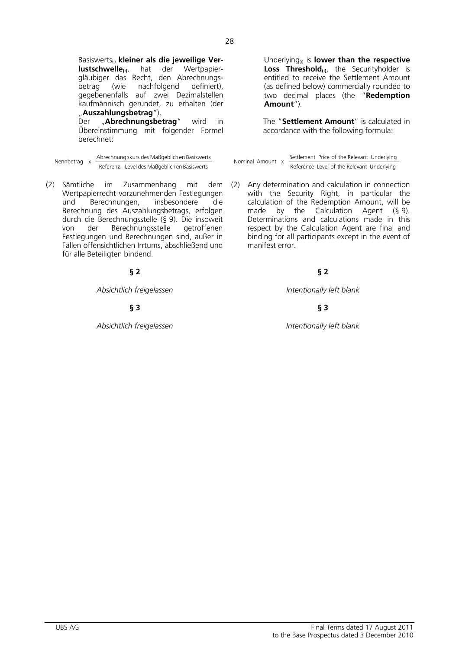Basiswerts<sub>(i)</sub> kleiner als die jeweilige Ver**lustschwelle(i)**, hat der Wertpapiergläubiger das Recht, den Abrechnungsbetrag (wie nachfolgend definiert), gegebenenfalls auf zwei Dezimalstellen kaufmännisch gerundet, zu erhalten (der "**Auszahlungsbetrag**").

Der "**Abrechnungsbetrag**" wird in Übereinstimmung mit folgender Formel berechnet:

(2) Sämtliche im Zusammenhang mit dem Wertpapierrecht vorzunehmenden Festlegungen und Berechnungen, insbesondere die Berechnung des Auszahlungsbetrags, erfolgen durch die Berechnungsstelle (§ 9). Die insoweit von der Berechnungsstelle Festlegungen und Berechnungen sind, außer in Fällen offensichtlichen Irrtums, abschließend und für alle Beteiligten bindend.

# **§ 2 § 2**

*Absichtlich freigelassen Intentionally left blank*

# **§ 3 § 3**

*Absichtlich freigelassen Intentionally left blank*

Underlying(i) is **lower than the respective**  Loss Threshold<sub>(i)</sub>, the Securityholder is entitled to receive the Settlement Amount (as defined below) commercially rounded to two decimal places (the "**Redemption Amount**").

The "**Settlement Amount**" is calculated in accordance with the following formula:

Nennbetrag x Abrechnung skurs des Maßgeblichen Basiswerts Mominal Amount x Settlement Price of the Relevant Underlying<br>Reference Level of the Relevant Underlying Reference Level of the Relevant Underlying Nominal Amount x Settlement Price of the Relevant Underlying<br>Reference Level of the Relevant Underlying

> (2) Any determination and calculation in connection with the Security Right, in particular the calculation of the Redemption Amount, will be made by the Calculation Agent (§ 9). Determinations and calculations made in this respect by the Calculation Agent are final and binding for all participants except in the event of manifest error.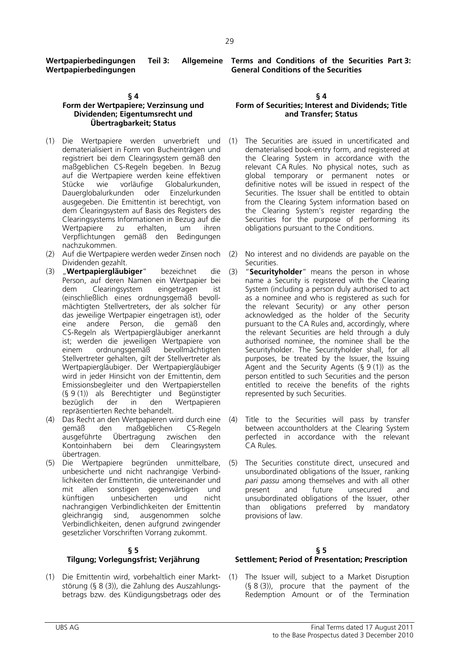**Wertpapierbedingungen Teil 3: Wertpapierbedingungen** 

# **§ 4**

# **Form der Wertpapiere; Verzinsung und Dividenden; Eigentumsrecht und Übertragbarkeit; Status**

- (1) Die Wertpapiere werden unverbrieft und dematerialisiert in Form von Bucheinträgen und registriert bei dem Clearingsystem gemäß den maßgeblichen CS-Regeln begeben. In Bezug auf die Wertpapiere werden keine effektiven Stücke wie vorläufige Globalurkunden, Dauerglobalurkunden oder Einzelurkunden ausgegeben. Die Emittentin ist berechtigt, von dem Clearingsystem auf Basis des Registers des Clearingsystems Informationen in Bezug auf die Wertpapiere zu erhalten, um ihren Verpflichtungen gemäß den Bedingungen nachzukommen.
- (2) Auf die Wertpapiere werden weder Zinsen noch Dividenden gezahlt.
- (3) "**Wertpapiergläubiger**" bezeichnet die Person, auf deren Namen ein Wertpapier bei dem Clearingsystem eingetragen ist (einschließlich eines ordnungsgemäß bevollmächtigten Stellvertreters, der als solcher für das jeweilige Wertpapier eingetragen ist), oder eine andere Person, die gemäß den CS-Regeln als Wertpapiergläubiger anerkannt ist; werden die jeweiligen Wertpapiere von  $e$ inem ordnungsgemäß Stellvertreter gehalten, gilt der Stellvertreter als Wertpapiergläubiger. Der Wertpapiergläubiger wird in jeder Hinsicht von der Emittentin, dem Emissionsbegleiter und den Wertpapierstellen (§ 9 (1)) als Berechtigter und Begünstigter bezüglich der in den Wertpapieren repräsentierten Rechte behandelt.
- (4) Das Recht an den Wertpapieren wird durch eine gemäß den maßgeblichen CS-Regeln ausgeführte Übertragung zwischen den Kontoinhabern bei dem Clearingsystem übertragen.
- (5) Die Wertpapiere begründen unmittelbare, unbesicherte und nicht nachrangige Verbindlichkeiten der Emittentin, die untereinander und mit allen sonstigen gegenwärtigen und künftigen unbesicherten und nicht nachrangigen Verbindlichkeiten der Emittentin gleichrangig sind, ausgenommen solche Verbindlichkeiten, denen aufgrund zwingender gesetzlicher Vorschriften Vorrang zukommt.

# **§ 5**

# **Tilgung; Vorlegungsfrist; Verjährung**

störung (§ 8 (3)), die Zahlung des Auszahlungsbetrags bzw. des Kündigungsbetrags oder des

**Terms and Conditions of the Securities Part 3: General Conditions of the Securities** 

# **§ 4**

# **Form of Securities; Interest and Dividends; Title and Transfer; Status**

- (1) The Securities are issued in uncertificated and dematerialised book-entry form, and registered at the Clearing System in accordance with the relevant CA Rules. No physical notes, such as global temporary or permanent notes or definitive notes will be issued in respect of the Securities. The Issuer shall be entitled to obtain from the Clearing System information based on the Clearing System's register regarding the Securities for the purpose of performing its obligations pursuant to the Conditions.
	- No interest and no dividends are payable on the Securities.
- (3) "**Securityholder**" means the person in whose name a Security is registered with the Clearing System (including a person duly authorised to act as a nominee and who is registered as such for the relevant Security) or any other person acknowledged as the holder of the Security pursuant to the CA Rules and, accordingly, where the relevant Securities are held through a duly authorised nominee, the nominee shall be the Securityholder. The Securityholder shall, for all purposes, be treated by the Issuer, the Issuing Agent and the Security Agents  $(§ 9(1))$  as the person entitled to such Securities and the person entitled to receive the benefits of the rights represented by such Securities.
- (4) Title to the Securities will pass by transfer between accountholders at the Clearing System perfected in accordance with the relevant CA Rules.
- (5) The Securities constitute direct, unsecured and unsubordinated obligations of the Issuer, ranking *pari passu* among themselves and with all other present and future unsecured and unsubordinated obligations of the Issuer, other than obligations preferred by mandatory provisions of law.

## **§ 5 Settlement; Period of Presentation; Prescription**

(1) Die Emittentin wird, vorbehaltlich einer Markt-(1) The Issuer will, subject to a Market Disruption (§ 8 (3)), procure that the payment of the Redemption Amount or of the Termination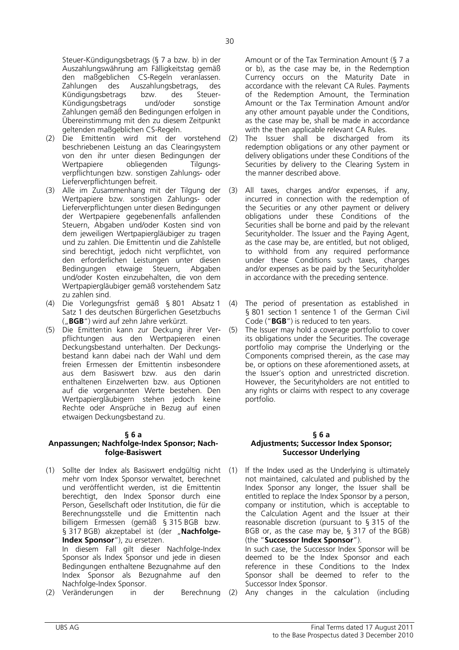Steuer-Kündigungsbetrags (§ 7 a bzw. b) in der Auszahlungswährung am Fälligkeitstag gemäß den maßgeblichen CS-Regeln veranlassen. Zahlungen des Auszahlungsbetrags, des Kündigungsbetrags bzw. des Steuer-Kündigungsbetrags und/oder sonstige Zahlungen gemäß den Bedingungen erfolgen in Übereinstimmung mit den zu diesem Zeitpunkt geltenden maßgeblichen CS-Regeln.

- (2) Die Emittentin wird mit der vorstehend beschriebenen Leistung an das Clearingsystem von den ihr unter diesen Bedingungen der Wertpapiere obliegenden Tilgungsverpflichtungen bzw. sonstigen Zahlungs- oder Lieferverpflichtungen befreit.
- (3) Alle im Zusammenhang mit der Tilgung der Wertpapiere bzw. sonstigen Zahlungs- oder Lieferverpflichtungen unter diesen Bedingungen der Wertpapiere gegebenenfalls anfallenden Steuern, Abgaben und/oder Kosten sind von dem jeweiligen Wertpapiergläubiger zu tragen und zu zahlen. Die Emittentin und die Zahlstelle sind berechtigt, jedoch nicht verpflichtet, von den erforderlichen Leistungen unter diesen<br>Bedingungen etwaige Steuern, Abgaben Bedingungen etwaige und/oder Kosten einzubehalten, die von dem Wertpapiergläubiger gemäß vorstehendem Satz zu zahlen sind.
- (4) Die Vorlegungsfrist gemäß § 801 Absatz 1 Satz 1 des deutschen Bürgerlichen Gesetzbuchs ("**BGB**") wird auf zehn Jahre verkürzt.
- (5) Die Emittentin kann zur Deckung ihrer Verpflichtungen aus den Wertpapieren einen Deckungsbestand unterhalten. Der Deckungsbestand kann dabei nach der Wahl und dem freien Ermessen der Emittentin insbesondere aus dem Basiswert bzw. aus den darin enthaltenen Einzelwerten bzw. aus Optionen auf die vorgenannten Werte bestehen. Den Wertpapiergläubigern stehen jedoch keine Rechte oder Ansprüche in Bezug auf einen etwaigen Deckungsbestand zu.

## **§ 6 a Anpassungen; Nachfolge-Index Sponsor; Nachfolge-Basiswert**

- (1) Sollte der Index als Basiswert endgültig nicht mehr vom Index Sponsor verwaltet, berechnet und veröffentlicht werden, ist die Emittentin berechtigt, den Index Sponsor durch eine Person, Gesellschaft oder Institution, die für die Berechnungsstelle und die Emittentin nach billigem Ermessen (gemäß § 315 BGB bzw. § 317 BGB) akzeptabel ist (der "**Nachfolge-Index Sponsor**"), zu ersetzen. In diesem Fall gilt dieser Nachfolge-Index Sponsor als Index Sponsor und jede in diesen Bedingungen enthaltene Bezugnahme auf den Index Sponsor als Bezugnahme auf den Nachfolge-Index Sponsor.
- (2) Veränderungen in der Berechnung (2) Any changes in the calculation (including

Amount or of the Tax Termination Amount (§ 7 a or b), as the case may be, in the Redemption Currency occurs on the Maturity Date in accordance with the relevant CA Rules. Payments of the Redemption Amount, the Termination Amount or the Tax Termination Amount and/or any other amount payable under the Conditions, as the case may be, shall be made in accordance with the then applicable relevant CA Rules.

- (2) The Issuer shall be discharged from its redemption obligations or any other payment or delivery obligations under these Conditions of the Securities by delivery to the Clearing System in the manner described above.
- (3) All taxes, charges and/or expenses, if any, incurred in connection with the redemption of the Securities or any other payment or delivery obligations under these Conditions of the Securities shall be borne and paid by the relevant Securityholder. The Issuer and the Paying Agent, as the case may be, are entitled, but not obliged, to withhold from any required performance under these Conditions such taxes, charges and/or expenses as be paid by the Securityholder in accordance with the preceding sentence.
- (4) The period of presentation as established in § 801 section 1 sentence 1 of the German Civil Code ("**BGB**") is reduced to ten years.
- (5) The Issuer may hold a coverage portfolio to cover its obligations under the Securities. The coverage portfolio may comprise the Underlying or the Components comprised therein, as the case may be, or options on these aforementioned assets, at the Issuer's option and unrestricted discretion. However, the Securityholders are not entitled to any rights or claims with respect to any coverage portfolio.

#### **§ 6 a Adjustments; Successor Index Sponsor; Successor Underlying**

- (1) If the Index used as the Underlying is ultimately not maintained, calculated and published by the Index Sponsor any longer, the Issuer shall be entitled to replace the Index Sponsor by a person, company or institution, which is acceptable to the Calculation Agent and the Issuer at their reasonable discretion (pursuant to § 315 of the BGB or, as the case may be, § 317 of the BGB) (the "**Successor Index Sponsor**"). In such case, the Successor Index Sponsor will be deemed to be the Index Sponsor and each reference in these Conditions to the Index Sponsor shall be deemed to refer to the Successor Index Sponsor.
	-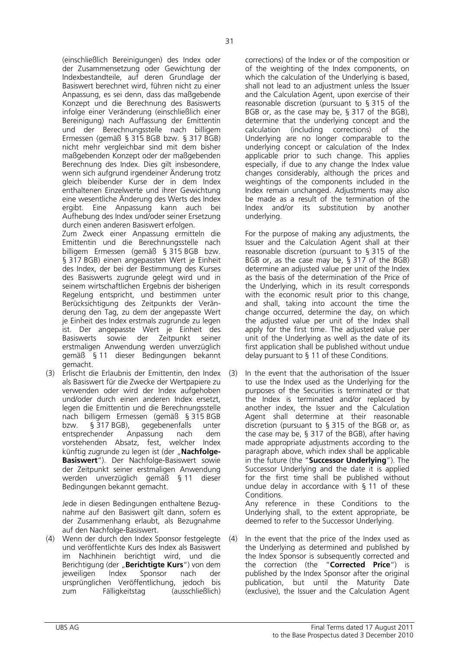(einschließlich Bereinigungen) des Index oder der Zusammensetzung oder Gewichtung der Indexbestandteile, auf deren Grundlage der Basiswert berechnet wird, führen nicht zu einer Anpassung, es sei denn, dass das maßgebende Konzept und die Berechnung des Basiswerts infolge einer Veränderung (einschließlich einer Bereinigung) nach Auffassung der Emittentin und der Berechnungsstelle nach billigem Ermessen (gemäß § 315 BGB bzw. § 317 BGB) nicht mehr vergleichbar sind mit dem bisher maßgebenden Konzept oder der maßgebenden Berechnung des Index. Dies gilt insbesondere, wenn sich aufgrund irgendeiner Änderung trotz gleich bleibender Kurse der in dem Index enthaltenen Einzelwerte und ihrer Gewichtung eine wesentliche Änderung des Werts des Index ergibt. Eine Anpassung kann auch bei Aufhebung des Index und/oder seiner Ersetzung durch einen anderen Basiswert erfolgen.

 Zum Zweck einer Anpassung ermitteln die Emittentin und die Berechnungsstelle nach billigem Ermessen (gemäß § 315 BGB bzw. § 317 BGB) einen angepassten Wert je Einheit des Index, der bei der Bestimmung des Kurses des Basiswerts zugrunde gelegt wird und in seinem wirtschaftlichen Ergebnis der bisherigen Regelung entspricht, und bestimmen unter Berücksichtigung des Zeitpunkts der Veränderung den Tag, zu dem der angepasste Wert je Einheit des Index erstmals zugrunde zu legen ist. Der angepasste Wert je Einheit des Basiswerts sowie der Zeitpunkt seiner erstmaligen Anwendung werden unverzüglich gemäß § 11 dieser Bedingungen bekannt gemacht.

(3) Erlischt die Erlaubnis der Emittentin, den Index als Basiswert für die Zwecke der Wertpapiere zu verwenden oder wird der Index aufgehoben und/oder durch einen anderen Index ersetzt, legen die Emittentin und die Berechnungsstelle nach billigem Ermessen (gemäß § 315 BGB bzw. § 317 BGB), gegebenenfalls unter entsprechender Anpassung nach dem vorstehenden Absatz, fest, welcher Index künftig zugrunde zu legen ist (der "Nachfolge-**Basiswert**"). Der Nachfolge-Basiswert sowie der Zeitpunkt seiner erstmaligen Anwendung werden unverzüglich gemäß § 11 dieser Bedingungen bekannt gemacht.

 Jede in diesen Bedingungen enthaltene Bezugnahme auf den Basiswert gilt dann, sofern es der Zusammenhang erlaubt, als Bezugnahme auf den Nachfolge-Basiswert.

(4) Wenn der durch den Index Sponsor festgelegte und veröffentlichte Kurs des Index als Basiswert im Nachhinein berichtigt wird, und die Berichtigung (der "**Berichtigte Kurs**") von dem jeweiligen Index Sponsor nach der ursprünglichen Veröffentlichung, jedoch bis zum Fälligkeitstag (ausschließlich)

corrections) of the Index or of the composition or of the weighting of the Index components, on which the calculation of the Underlying is based, shall not lead to an adjustment unless the Issuer and the Calculation Agent, upon exercise of their reasonable discretion (pursuant to § 315 of the BGB or, as the case may be, § 317 of the BGB), determine that the underlying concept and the calculation (including corrections) of the Underlying are no longer comparable to the underlying concept or calculation of the Index applicable prior to such change. This applies especially, if due to any change the Index value changes considerably, although the prices and weightings of the components included in the Index remain unchanged. Adjustments may also be made as a result of the termination of the Index and/or its substitution by another underlying.

 For the purpose of making any adjustments, the Issuer and the Calculation Agent shall at their reasonable discretion (pursuant to § 315 of the BGB or, as the case may be, § 317 of the BGB) determine an adjusted value per unit of the Index as the basis of the determination of the Price of the Underlying, which in its result corresponds with the economic result prior to this change, and shall, taking into account the time the change occurred, determine the day, on which the adjusted value per unit of the Index shall apply for the first time. The adjusted value per unit of the Underlying as well as the date of its first application shall be published without undue delay pursuant to § 11 of these Conditions.

(3) In the event that the authorisation of the Issuer to use the Index used as the Underlying for the purposes of the Securities is terminated or that the Index is terminated and/or replaced by another index, the Issuer and the Calculation Agent shall determine at their reasonable discretion (pursuant to § 315 of the BGB or, as the case may be, § 317 of the BGB), after having made appropriate adjustments according to the paragraph above, which index shall be applicable in the future (the "**Successor Underlying**"). The Successor Underlying and the date it is applied for the first time shall be published without undue delay in accordance with § 11 of these Conditions.

 Any reference in these Conditions to the Underlying shall, to the extent appropriate, be deemed to refer to the Successor Underlying.

(4) In the event that the price of the Index used as the Underlying as determined and published by the Index Sponsor is subsequently corrected and the correction (the "**Corrected Price**") is published by the Index Sponsor after the original publication, but until the Maturity Date (exclusive), the Issuer and the Calculation Agent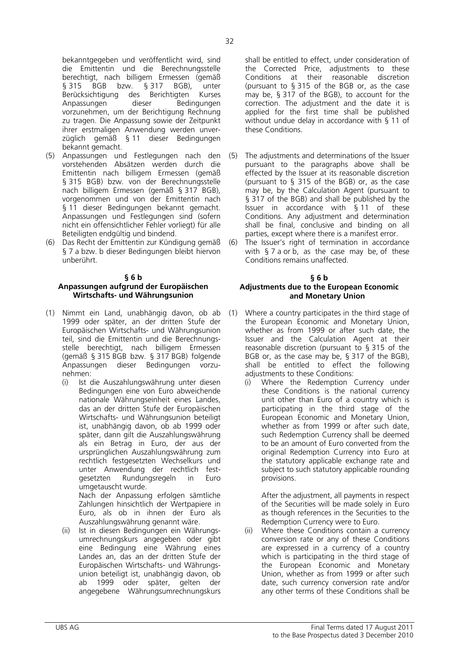berechtigt, nach billigem Ermessen (gemäß<br>§ 315 BGB bzw. § 317 BGB), unter § 315 BGB bzw. § 317 BGB), unter Berücksichtigung des Berichtigten Kurses Anpassungen dieser Bedingungen vorzunehmen, um der Berichtigung Rechnung zu tragen. Die Anpassung sowie der Zeitpunkt ihrer erstmaligen Anwendung werden unverzüglich gemäß § 11 dieser Bedingungen bekannt gemacht.

- (5) Anpassungen und Festlegungen nach den vorstehenden Absätzen werden durch die Emittentin nach billigem Ermessen (gemäß § 315 BGB) bzw. von der Berechnungsstelle nach billigem Ermessen (gemäß § 317 BGB), vorgenommen und von der Emittentin nach § 11 dieser Bedingungen bekannt gemacht. Anpassungen und Festlegungen sind (sofern nicht ein offensichtlicher Fehler vorliegt) für alle Beteiligten endgültig und bindend.
- Das Recht der Emittentin zur Kündigung gemäß § 7 a bzw. b dieser Bedingungen bleibt hiervon unberührt.

## **§ 6 b**

# **Anpassungen aufgrund der Europäischen Wirtschafts- und Währungsunion**

- (1) Nimmt ein Land, unabhängig davon, ob ab 1999 oder später, an der dritten Stufe der Europäischen Wirtschafts- und Währungsunion teil, sind die Emittentin und die Berechnungsstelle berechtigt, nach billigem Ermessen (gemäß § 315 BGB bzw. § 317 BGB) folgende Anpassungen dieser Bedingungen vorzunehmen:
	- (i) Ist die Auszahlungswährung unter diesen Bedingungen eine von Euro abweichende nationale Währungseinheit eines Landes, das an der dritten Stufe der Europäischen Wirtschafts- und Währungsunion beteiligt ist, unabhängig davon, ob ab 1999 oder später, dann gilt die Auszahlungswährung als ein Betrag in Euro, der aus der ursprünglichen Auszahlungswährung zum rechtlich festgesetzten Wechselkurs und unter Anwendung der rechtlich festgesetzten Rundungsregeln in Euro umgetauscht wurde. Nach der Anpassung erfolgen sämtliche

Zahlungen hinsichtlich der Wertpapiere in Euro, als ob in ihnen der Euro als Auszahlungswährung genannt wäre.

(ii) Ist in diesen Bedingungen ein Währungsumrechnungskurs angegeben oder gibt eine Bedingung eine Währung eines Landes an, das an der dritten Stufe der Europäischen Wirtschafts- und Währungsunion beteiligt ist, unabhängig davon, ob ab 1999 oder später, gelten der angegebene Währungsumrechnungskurs shall be entitled to effect, under consideration of the Corrected Price, adjustments to these Conditions at their reasonable discretion (pursuant to § 315 of the BGB or, as the case may be, § 317 of the BGB), to account for the correction. The adjustment and the date it is applied for the first time shall be published without undue delay in accordance with § 11 of these Conditions.

- (5) The adjustments and determinations of the Issuer pursuant to the paragraphs above shall be effected by the Issuer at its reasonable discretion (pursuant to § 315 of the BGB) or, as the case may be, by the Calculation Agent (pursuant to § 317 of the BGB) and shall be published by the Issuer in accordance with § 11 of these Conditions. Any adjustment and determination shall be final, conclusive and binding on all parties, except where there is a manifest error.
- (6) The Issuer's right of termination in accordance with § 7 a or b, as the case may be, of these Conditions remains unaffected.

## **§ 6 b Adjustments due to the European Economic and Monetary Union**

- (1) Where a country participates in the third stage of the European Economic and Monetary Union, whether as from 1999 or after such date, the Issuer and the Calculation Agent at their reasonable discretion (pursuant to § 315 of the BGB or, as the case may be, § 317 of the BGB), shall be entitled to effect the following adjustments to these Conditions:
	- (i) Where the Redemption Currency under these Conditions is the national currency unit other than Euro of a country which is participating in the third stage of the European Economic and Monetary Union, whether as from 1999 or after such date, such Redemption Currency shall be deemed to be an amount of Euro converted from the original Redemption Currency into Euro at the statutory applicable exchange rate and subject to such statutory applicable rounding provisions.

After the adjustment, all payments in respect of the Securities will be made solely in Euro as though references in the Securities to the Redemption Currency were to Euro.

(ii) Where these Conditions contain a currency conversion rate or any of these Conditions are expressed in a currency of a country which is participating in the third stage of the European Economic and Monetary Union, whether as from 1999 or after such date, such currency conversion rate and/or any other terms of these Conditions shall be

32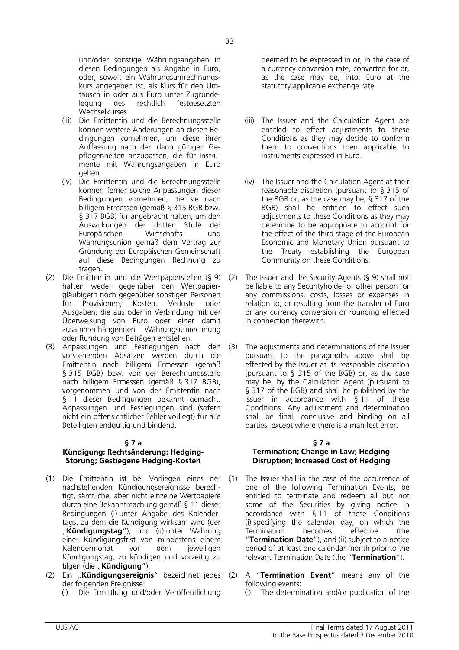Wechselkurses. (iii) Die Emittentin und die Berechnungsstelle können weitere Änderungen an diesen Bedingungen vornehmen, um diese ihrer Auffassung nach den dann gültigen Gepflogenheiten anzupassen, die für Instrumente mit Währungsangaben in Euro gelten.

legung des rechtlich festgesetzten

- (iv) Die Emittentin und die Berechnungsstelle können ferner solche Anpassungen dieser Bedingungen vornehmen, die sie nach billigem Ermessen (gemäß § 315 BGB bzw. § 317 BGB) für angebracht halten, um den Auswirkungen der dritten Stufe der Europäischen Wirtschafts- und Währungsunion gemäß dem Vertrag zur Gründung der Europäischen Gemeinschaft auf diese Bedingungen Rechnung zu tragen.
- (2) Die Emittentin und die Wertpapierstellen (§ 9) haften weder gegenüber den Wertpapiergläubigern noch gegenüber sonstigen Personen für Provisionen, Kosten, Verluste oder Ausgaben, die aus oder in Verbindung mit der Überweisung von Euro oder einer damit zusammenhängenden Währungsumrechnung oder Rundung von Beträgen entstehen.
- (3) Anpassungen und Festlegungen nach den vorstehenden Absätzen werden durch die Emittentin nach billigem Ermessen (gemäß § 315 BGB) bzw. von der Berechnungsstelle nach billigem Ermessen (gemäß § 317 BGB), vorgenommen und von der Emittentin nach § 11 dieser Bedingungen bekannt gemacht. Anpassungen und Festlegungen sind (sofern nicht ein offensichtlicher Fehler vorliegt) für alle Beteiligten endgültig und bindend.

# **§ 7 a**

# **Kündigung; Rechtsänderung; Hedging-Störung; Gestiegene Hedging-Kosten**

- (1) Die Emittentin ist bei Vorliegen eines der nachstehenden Kündigungsereignisse berechtigt, sämtliche, aber nicht einzelne Wertpapiere durch eine Bekanntmachung gemäß § 11 dieser Bedingungen (i) unter Angabe des Kalendertags, zu dem die Kündigung wirksam wird (der "**Kündigungstag**"), und (ii) unter Wahrung einer Kündigungsfrist von mindestens einem Kalendermonat vor dem jeweiligen Kündigungstag, zu kündigen und vorzeitig zu tilgen (die "**Kündigung**").
- (2) Ein "**Kündigungsereignis**" bezeichnet jedes der folgenden Ereignisse:
	-

deemed to be expressed in or, in the case of a currency conversion rate, converted for or, as the case may be, into, Euro at the statutory applicable exchange rate.

- (iii) The Issuer and the Calculation Agent are entitled to effect adjustments to these Conditions as they may decide to conform them to conventions then applicable to instruments expressed in Euro.
- (iv) The Issuer and the Calculation Agent at their reasonable discretion (pursuant to § 315 of the BGB or, as the case may be, § 317 of the BGB) shall be entitled to effect such adjustments to these Conditions as they may determine to be appropriate to account for the effect of the third stage of the European Economic and Monetary Union pursuant to the Treaty establishing the European Community on these Conditions.
- (2) The Issuer and the Security Agents (§ 9) shall not be liable to any Securityholder or other person for any commissions, costs, losses or expenses in relation to, or resulting from the transfer of Euro or any currency conversion or rounding effected in connection therewith.
- (3) The adjustments and determinations of the Issuer pursuant to the paragraphs above shall be effected by the Issuer at its reasonable discretion (pursuant to § 315 of the BGB) or, as the case may be, by the Calculation Agent (pursuant to § 317 of the BGB) and shall be published by the Issuer in accordance with § 11 of these Conditions. Any adjustment and determination shall be final, conclusive and binding on all parties, except where there is a manifest error.

## **§ 7 a Termination; Change in Law; Hedging Disruption; Increased Cost of Hedging**

- (1) The Issuer shall in the case of the occurrence of one of the following Termination Events, be entitled to terminate and redeem all but not some of the Securities by giving notice in accordance with § 11 of these Conditions (i) specifying the calendar day, on which the Termination becomes effective (the "**Termination Date**"), and (ii) subject to a notice period of at least one calendar month prior to the relevant Termination Date (the "**Termination**").
- (2) A "**Termination Event**" means any of the following events:
- (i) Die Ermittlung und/oder Veröffentlichung (i) The determination and/or publication of the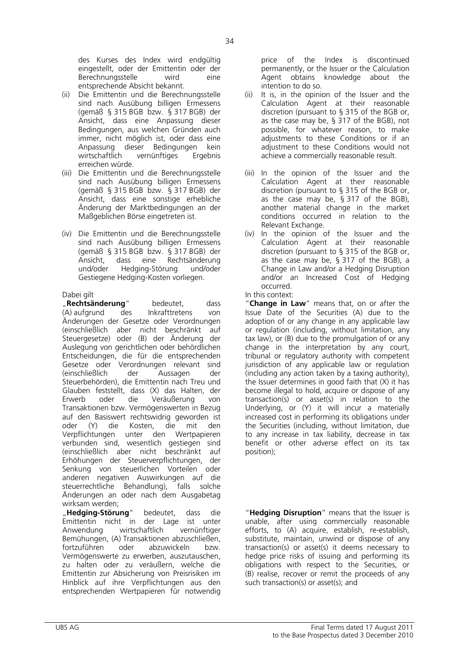des Kurses des Index wird endgültig eingestellt, oder der Emittentin oder der Berechnungsstelle wird eine entsprechende Absicht bekannt.

- (ii) Die Emittentin und die Berechnungsstelle sind nach Ausübung billigen Ermessens (gemäß § 315 BGB bzw. § 317 BGB) der Ansicht, dass eine Anpassung dieser Bedingungen, aus welchen Gründen auch immer, nicht möglich ist, oder dass eine Anpassung dieser Bedingungen kein wirtschaftlich vernünftiges Ergebnis erreichen würde.
- (iii) Die Emittentin und die Berechnungsstelle sind nach Ausübung billigen Ermessens (gemäß § 315 BGB bzw. § 317 BGB) der Ansicht, dass eine sonstige erhebliche Änderung der Marktbedingungen an der Maßgeblichen Börse eingetreten ist.
- (iv) Die Emittentin und die Berechnungsstelle sind nach Ausübung billigen Ermessens (gemäß § 315 BGB bzw. § 317 BGB) der Ansicht, dass eine Rechtsänderung und/oder Hedging-Störung und/oder Gestiegene Hedging-Kosten vorliegen.

 "**Rechtsänderung**" bedeutet, dass (A) aufgrund des Inkrafttretens von Änderungen der Gesetze oder Verordnungen (einschließlich aber nicht beschränkt auf Steuergesetze) oder (B) der Änderung der Auslegung von gerichtlichen oder behördlichen Entscheidungen, die für die entsprechenden Gesetze oder Verordnungen relevant sind (einschließlich der Aussagen der Steuerbehörden), die Emittentin nach Treu und Glauben feststellt, dass (X) das Halten, der Erwerb oder die Veräußerung von Transaktionen bzw. Vermögenswerten in Bezug auf den Basiswert rechtswidrig geworden ist oder (Y) die Kosten, die mit den Verpflichtungen unter den Wertpapieren verbunden sind, wesentlich gestiegen sind (einschließlich aber nicht beschränkt auf Erhöhungen der Steuerverpflichtungen, der Senkung von steuerlichen Vorteilen oder anderen negativen Auswirkungen auf die steuerrechtliche Behandlung), falls solche Änderungen an oder nach dem Ausgabetag wirksam werden;

 "**Hedging-Störung**" bedeutet, dass die Emittentin nicht in der Lage ist unter Anwendung wirtschaftlich vernünftiger Bemühungen, (A) Transaktionen abzuschließen, fortzuführen oder abzuwickeln bzw. Vermögenswerte zu erwerben, auszutauschen, zu halten oder zu veräußern, welche die Emittentin zur Absicherung von Preisrisiken im Hinblick auf ihre Verpflichtungen aus den entsprechenden Wertpapieren für notwendig

price of the Index is discontinued permanently, or the Issuer or the Calculation Agent obtains knowledge about the intention to do so.

- (ii) It is, in the opinion of the Issuer and the Calculation Agent at their reasonable discretion (pursuant to § 315 of the BGB or, as the case may be, § 317 of the BGB), not possible, for whatever reason, to make adjustments to these Conditions or if an adjustment to these Conditions would not achieve a commercially reasonable result.
- (iii) In the opinion of the Issuer and the Calculation Agent at their reasonable discretion (pursuant to § 315 of the BGB or, as the case may be, § 317 of the BGB), another material change in the market conditions occurred in relation to the Relevant Exchange.
- (iv) In the opinion of the Issuer and the Calculation Agent at their reasonable discretion (pursuant to § 315 of the BGB or, as the case may be, § 317 of the BGB), a Change in Law and/or a Hedging Disruption and/or an Increased Cost of Hedging occurred.

## Dabei gilt **In this context:**

 "**Change in Law**" means that, on or after the Issue Date of the Securities (A) due to the adoption of or any change in any applicable law or regulation (including, without limitation, any tax law), or (B) due to the promulgation of or any change in the interpretation by any court, tribunal or regulatory authority with competent jurisdiction of any applicable law or regulation (including any action taken by a taxing authority), the Issuer determines in good faith that (X) it has become illegal to hold, acquire or dispose of any transaction(s) or asset(s) in relation to the Underlying, or (Y) it will incur a materially increased cost in performing its obligations under the Securities (including, without limitation, due to any increase in tax liability, decrease in tax benefit or other adverse effect on its tax position);

 "**Hedging Disruption**" means that the Issuer is unable, after using commercially reasonable efforts, to (A) acquire, establish, re-establish, substitute, maintain, unwind or dispose of any transaction(s) or asset(s) it deems necessary to hedge price risks of issuing and performing its obligations with respect to the Securities, or (B) realise, recover or remit the proceeds of any such transaction(s) or asset(s); and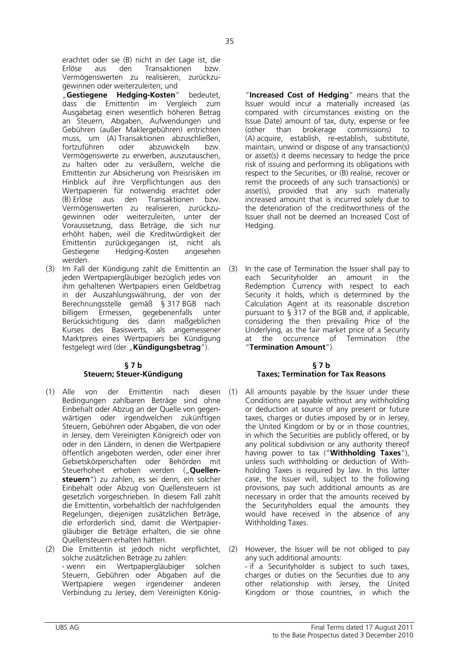erachtet oder sie (B) nicht in der Lage ist, die Erlöse aus den Transaktionen bzw. Vermögenswerten zu realisieren, zurückzugewinnen oder weiterzuleiten; und

"Gestiegene Hedging-Kosten" bedeutet, dass die Emittentin im Vergleich zum Ausgabetag einen wesentlich höheren Betrag an Steuern, Abgaben, Aufwendungen und Gebühren (außer Maklergebühren) entrichten muss, um (A) Transaktionen abzuschließen, fortzuführen oder abzuwickeln bzw. Vermögenswerte zu erwerben, auszutauschen, zu halten oder zu veräußern, welche die Emittentin zur Absicherung von Preisrisiken im Hinblick auf ihre Verpflichtungen aus den Wertpapieren für notwendig erachtet oder (B) Erlöse aus den Transaktionen bzw. Vermögenswerten zu realisieren, zurückzugewinnen oder weiterzuleiten, unter der Voraussetzung, dass Beträge, die sich nur erhöht haben, weil die Kreditwürdigkeit der Emittentin zurückgegangen ist, nicht als Gestiegene Hedging-Kosten angesehen werden.

(3) Im Fall der Kündigung zahlt die Emittentin an jeden Wertpapiergläubiger bezüglich jedes von ihm gehaltenen Wertpapiers einen Geldbetrag in der Auszahlungswährung, der von der Berechnungsstelle gemäß § 317 BGB nach billigem Ermessen, gegebenenfalls unter Berücksichtigung des dann maßgeblichen Kurses des Basiswerts, als angemessener Marktpreis eines Wertpapiers bei Kündigung festgelegt wird (der "**Kündigungsbetrag**").

# **§ 7 b Steuern; Steuer-Kündigung**

- (1) Alle von der Emittentin nach diesen Bedingungen zahlbaren Beträge sind ohne Einbehalt oder Abzug an der Quelle von gegenwärtigen oder irgendwelchen zukünftigen Steuern, Gebühren oder Abgaben, die von oder in Jersey, dem Vereinigten Königreich oder von oder in den Ländern, in denen die Wertpapiere öffentlich angeboten werden, oder einer ihrer Gebietskörperschaften oder Behörden mit Steuerhoheit erhoben werden ("**Quellensteuern**") zu zahlen, es sei denn, ein solcher Einbehalt oder Abzug von Quellensteuern ist gesetzlich vorgeschrieben. In diesem Fall zahlt die Emittentin, vorbehaltlich der nachfolgenden Regelungen, diejenigen zusätzlichen Beträge, die erforderlich sind, damit die Wertpapiergläubiger die Beträge erhalten, die sie ohne Quellensteuern erhalten hätten.
- (2) Die Emittentin ist jedoch nicht verpflichtet, solche zusätzlichen Beträge zu zahlen: - wenn ein Wertpapiergläubiger solchen Steuern, Gebühren oder Abgaben auf die Wertpapiere wegen irgendeiner anderen Verbindung zu Jersey, dem Vereinigten König-

 "**Increased Cost of Hedging**" means that the Issuer would incur a materially increased (as compared with circumstances existing on the Issue Date) amount of tax, duty, expense or fee (other than brokerage commissions) to (A) acquire, establish, re-establish, substitute, maintain, unwind or dispose of any transaction(s) or asset(s) it deems necessary to hedge the price risk of issuing and performing its obligations with respect to the Securities, or (B) realise, recover or remit the proceeds of any such transaction(s) or asset(s), provided that any such materially increased amount that is incurred solely due to the deterioration of the creditworthiness of the Issuer shall not be deemed an Increased Cost of Hedging.

(3) In the case of Termination the Issuer shall pay to each Securityholder an amount in the Redemption Currency with respect to each Security it holds, which is determined by the Calculation Agent at its reasonable discretion pursuant to § 317 of the BGB and, if applicable, considering the then prevailing Price of the Underlying, as the fair market price of a Security at the occurrence of Termination (the "**Termination Amount**").

# **§ 7 b Taxes; Termination for Tax Reasons**

- (1) All amounts payable by the Issuer under these Conditions are payable without any withholding or deduction at source of any present or future taxes, charges or duties imposed by or in Jersey, the United Kingdom or by or in those countries, in which the Securities are publicly offered, or by any political subdivision or any authority thereof having power to tax ("**Withholding Taxes**"), unless such withholding or deduction of Withholding Taxes is required by law. In this latter case, the Issuer will, subject to the following provisions, pay such additional amounts as are necessary in order that the amounts received by the Securityholders equal the amounts they would have received in the absence of any Withholding Taxes.
- (2) However, the Issuer will be not obliged to pay any such additional amounts:

- if a Securityholder is subject to such taxes, charges or duties on the Securities due to any other relationship with Jersey, the United Kingdom or those countries, in which the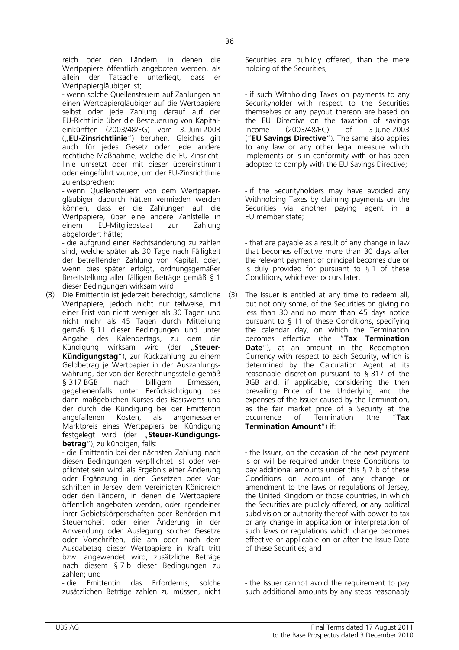reich oder den Ländern, in denen die Wertpapiere öffentlich angeboten werden, als allein der Tatsache unterliegt, dass er Wertpapiergläubiger ist;

- wenn solche Quellensteuern auf Zahlungen an einen Wertpapiergläubiger auf die Wertpapiere selbst oder jede Zahlung darauf auf der EU-Richtlinie über die Besteuerung von Kapitaleinkünften (2003/48/EG) vom 3. Juni 2003 ("**EU-Zinsrichtlinie**") beruhen. Gleiches gilt auch für jedes Gesetz oder jede andere rechtliche Maßnahme, welche die EU-Zinsrichtlinie umsetzt oder mit dieser übereinstimmt oder eingeführt wurde, um der EU-Zinsrichtlinie zu entsprechen;

- wenn Quellensteuern von dem Wertpapiergläubiger dadurch hätten vermieden werden können, dass er die Zahlungen auf die Wertpapiere, über eine andere Zahlstelle in einem EU-Mitgliedstaat zur Zahlung abgefordert hätte;

- die aufgrund einer Rechtsänderung zu zahlen sind, welche später als 30 Tage nach Fälligkeit der betreffenden Zahlung von Kapital, oder, wenn dies später erfolgt, ordnungsgemäßer Bereitstellung aller fälligen Beträge gemäß § 1 dieser Bedingungen wirksam wird.

(3) Die Emittentin ist jederzeit berechtigt, sämtliche Wertpapiere, jedoch nicht nur teilweise, mit einer Frist von nicht weniger als 30 Tagen und nicht mehr als 45 Tagen durch Mitteilung gemäß § 11 dieser Bedingungen und unter Angabe des Kalendertags, zu dem die Kündigung wirksam wird (der "Steuer-**Kündigungstag**"), zur Rückzahlung zu einem Geldbetrag je Wertpapier in der Auszahlungswährung, der von der Berechnungsstelle gemäß § 317 BGB nach billigem Ermessen, gegebenenfalls unter Berücksichtigung des dann maßgeblichen Kurses des Basiswerts und der durch die Kündigung bei der Emittentin angefallenen Kosten, als angemessener Marktpreis eines Wertpapiers bei Kündigung festgelegt wird (der "Steuer-Kündigungs**betrag**"), zu kündigen, falls:

- die Emittentin bei der nächsten Zahlung nach diesen Bedingungen verpflichtet ist oder verpflichtet sein wird, als Ergebnis einer Änderung oder Ergänzung in den Gesetzen oder Vorschriften in Jersey, dem Vereinigten Königreich oder den Ländern, in denen die Wertpapiere öffentlich angeboten werden, oder irgendeiner ihrer Gebietskörperschaften oder Behörden mit Steuerhoheit oder einer Änderung in der Anwendung oder Auslegung solcher Gesetze oder Vorschriften, die am oder nach dem Ausgabetag dieser Wertpapiere in Kraft tritt bzw. angewendet wird, zusätzliche Beträge nach diesem § 7 b dieser Bedingungen zu zahlen; und

- die Emittentin das Erfordernis, solche zusätzlichen Beträge zahlen zu müssen, nicht Securities are publicly offered, than the mere holding of the Securities;

- if such Withholding Taxes on payments to any Securityholder with respect to the Securities themselves or any payout thereon are based on the EU Directive on the taxation of savings income (2003/48/EC) of 3 June 2003 ("**EU Savings Directive**"). The same also applies to any law or any other legal measure which implements or is in conformity with or has been adopted to comply with the EU Savings Directive;

- if the Securityholders may have avoided any Withholding Taxes by claiming payments on the Securities via another paying agent in a EU member state;

- that are payable as a result of any change in law that becomes effective more than 30 days after the relevant payment of principal becomes due or is duly provided for pursuant to § 1 of these Conditions, whichever occurs later.

(3) The Issuer is entitled at any time to redeem all, but not only some, of the Securities on giving no less than 30 and no more than 45 days notice pursuant to § 11 of these Conditions, specifying the calendar day, on which the Termination becomes effective (the "**Tax Termination Date**"), at an amount in the Redemption Currency with respect to each Security, which is determined by the Calculation Agent at its reasonable discretion pursuant to § 317 of the BGB and, if applicable, considering the then prevailing Price of the Underlying and the expenses of the Issuer caused by the Termination, as the fair market price of a Security at the occurrence of Termination (the "**Tax Termination Amount**") if:

- the Issuer, on the occasion of the next payment is or will be required under these Conditions to pay additional amounts under this § 7 b of these Conditions on account of any change or amendment to the laws or regulations of Jersey, the United Kingdom or those countries, in which the Securities are publicly offered, or any political subdivision or authority thereof with power to tax or any change in application or interpretation of such laws or regulations which change becomes effective or applicable on or after the Issue Date of these Securities; and

- the Issuer cannot avoid the requirement to pay such additional amounts by any steps reasonably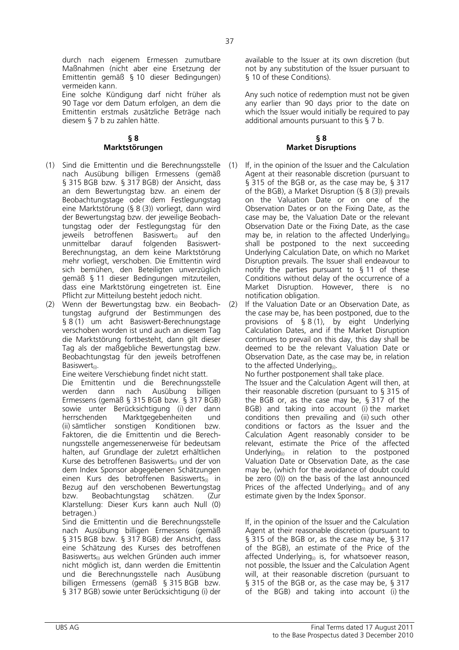durch nach eigenem Ermessen zumutbare Maßnahmen (nicht aber eine Ersetzung der Emittentin gemäß § 10 dieser Bedingungen) vermeiden kann. Eine solche Kündigung darf nicht früher als

90 Tage vor dem Datum erfolgen, an dem die Emittentin erstmals zusätzliche Beträge nach diesem § 7 b zu zahlen hätte.

# **§ 8 Marktstörungen**

- (1) Sind die Emittentin und die Berechnungsstelle nach Ausübung billigen Ermessens (gemäß § 315 BGB bzw. § 317 BGB) der Ansicht, dass an dem Bewertungstag bzw. an einem der Beobachtungstage oder dem Festlegungstag eine Marktstörung (§ 8 (3)) vorliegt, dann wird der Bewertungstag bzw. der jeweilige Beobachtungstag oder der Festlegungstag für den jeweils betroffenen Basiswert $_{(i)}$  auf den unmittelbar darauf folgenden Basiswertunmittelbar Berechnungstag, an dem keine Marktstörung mehr vorliegt, verschoben. Die Emittentin wird sich bemühen, den Beteiligten unverzüglich gemäß § 11 dieser Bedingungen mitzuteilen, dass eine Marktstörung eingetreten ist. Eine Pflicht zur Mitteilung besteht jedoch nicht.
- (2) Wenn der Bewertungstag bzw. ein Beobachtungstag aufgrund der Bestimmungen des § 8 (1) um acht Basiswert-Berechnungstage verschoben worden ist und auch an diesem Tag die Marktstörung fortbesteht, dann gilt dieser Tag als der maßgebliche Bewertungstag bzw. Beobachtungstag für den jeweils betroffenen Basiswert<sub>(i)</sub>.

 Eine weitere Verschiebung findet nicht statt. No further postponement shall take place. Die Emittentin und die Berechnungsstelle werden dann nach Ausübung billigen Ermessens (gemäß § 315 BGB bzw. § 317 BGB) sowie unter Berücksichtigung (i) der dann herrschenden Marktgegebenheiten und (ii) sämtlicher sonstigen Konditionen bzw. Faktoren, die die Emittentin und die Berechnungsstelle angemessenerweise für bedeutsam halten, auf Grundlage der zuletzt erhältlichen Kurse des betroffenen Basiswerts<sub>(i)</sub> und der von dem Index Sponsor abgegebenen Schätzungen einen Kurs des betroffenen Basiswerts<sub>(i)</sub> in Bezug auf den verschobenen Bewertungstag bzw. Beobachtungstag schätzen. (Zur Klarstellung: Dieser Kurs kann auch Null (0) betragen.)

 Sind die Emittentin und die Berechnungsstelle nach Ausübung billigen Ermessens (gemäß § 315 BGB bzw. § 317 BGB) der Ansicht, dass eine Schätzung des Kurses des betroffenen Basiswerts(i) aus welchen Gründen auch immer nicht möglich ist, dann werden die Emittentin und die Berechnungsstelle nach Ausübung billigen Ermessens (gemäß § 315 BGB bzw. § 317 BGB) sowie unter Berücksichtigung (i) der

available to the Issuer at its own discretion (but not by any substitution of the Issuer pursuant to § 10 of these Conditions).

Any such notice of redemption must not be given any earlier than 90 days prior to the date on which the Issuer would initially be required to pay additional amounts pursuant to this § 7 b.

## **§ 8 Market Disruptions**

- (1) If, in the opinion of the Issuer and the Calculation Agent at their reasonable discretion (pursuant to § 315 of the BGB or, as the case may be, § 317 of the BGB), a Market Disruption  $(§ 8 (3))$  prevails on the Valuation Date or on one of the Observation Dates or on the Fixing Date, as the case may be, the Valuation Date or the relevant Observation Date or the Fixing Date, as the case may be, in relation to the affected Underlying shall be postponed to the next succeeding Underlying Calculation Date, on which no Market Disruption prevails. The Issuer shall endeavour to notify the parties pursuant to § 11 of these Conditions without delay of the occurrence of a Market Disruption. However, there is no notification obligation.
- (2) If the Valuation Date or an Observation Date, as the case may be, has been postponed, due to the provisions of § 8 (1), by eight Underlying Calculation Dates, and if the Market Disruption continues to prevail on this day, this day shall be deemed to be the relevant Valuation Date or Observation Date, as the case may be, in relation to the affected Underlying<sub>(i)</sub>.

 The Issuer and the Calculation Agent will then, at their reasonable discretion (pursuant to § 315 of the BGB or, as the case may be, § 317 of the BGB) and taking into account (i) the market conditions then prevailing and (ii) such other conditions or factors as the Issuer and the Calculation Agent reasonably consider to be relevant, estimate the Price of the affected Underlying $\omega$  in relation to the postponed Valuation Date or Observation Date, as the case may be, (which for the avoidance of doubt could be zero (0)) on the basis of the last announced Prices of the affected Underlying $_{(i)}$  and of any estimate given by the Index Sponsor.

 If, in the opinion of the Issuer and the Calculation Agent at their reasonable discretion (pursuant to § 315 of the BGB or, as the case may be, § 317 of the BGB), an estimate of the Price of the affected Underlying $\omega$  is, for whatsoever reason, not possible, the Issuer and the Calculation Agent will, at their reasonable discretion (pursuant to § 315 of the BGB or, as the case may be, § 317 of the BGB) and taking into account (i) the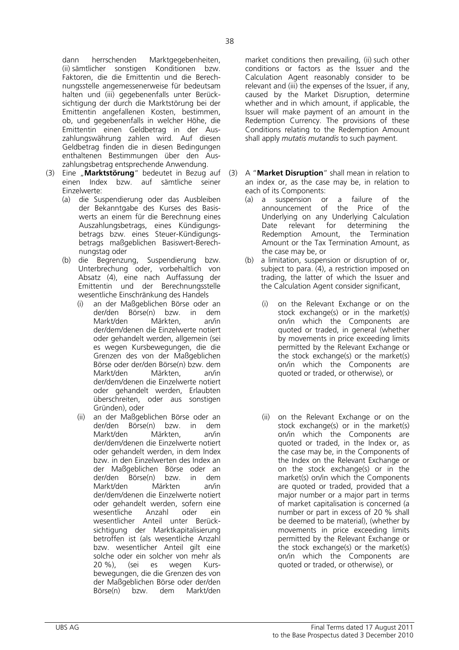dann herrschenden Marktgegebenheiten, (ii) sämtlicher sonstigen Konditionen bzw. Faktoren, die die Emittentin und die Berechnungsstelle angemessenerweise für bedeutsam halten und (iii) gegebenenfalls unter Berücksichtigung der durch die Marktstörung bei der Emittentin angefallenen Kosten, bestimmen, ob, und gegebenenfalls in welcher Höhe, die Emittentin einen Geldbetrag in der Auszahlungswährung zahlen wird. Auf diesen Geldbetrag finden die in diesen Bedingungen enthaltenen Bestimmungen über den Auszahlungsbetrag entsprechende Anwendung.

- (3) Eine "**Marktstörung**" bedeutet in Bezug auf einen Index bzw. auf sämtliche seiner Einzelwerte:
	- (a) die Suspendierung oder das Ausbleiben der Bekanntgabe des Kurses des Basiswerts an einem für die Berechnung eines Auszahlungsbetrags, eines Kündigungsbetrags bzw. eines Steuer-Kündigungsbetrags maßgeblichen Basiswert-Berechnungstag oder
	- (b) die Begrenzung, Suspendierung bzw. Unterbrechung oder, vorbehaltlich von Absatz (4), eine nach Auffassung der Emittentin und der Berechnungsstelle wesentliche Einschränkung des Handels
		- (i) an der Maßgeblichen Börse oder an der/den Börse(n) bzw. in dem Markt/den Märkten, an/in der/dem/denen die Einzelwerte notiert oder gehandelt werden, allgemein (sei es wegen Kursbewegungen, die die Grenzen des von der Maßgeblichen Börse oder der/den Börse(n) bzw. dem Markt/den Märkten, an/in der/dem/denen die Einzelwerte notiert oder gehandelt werden, Erlaubten überschreiten, oder aus sonstigen Gründen), oder
		- (ii) an der Maßgeblichen Börse oder an der/den Börse(n) bzw. in dem Markt/den Märkten, an/in der/dem/denen die Einzelwerte notiert oder gehandelt werden, in dem Index bzw. in den Einzelwerten des Index an der Maßgeblichen Börse oder an der/den Börse(n) bzw. in dem Markt/den Märkten an/in der/dem/denen die Einzelwerte notiert oder gehandelt werden, sofern eine wesentliche Anzahl oder ein wesentlicher Anteil unter Berücksichtigung der Marktkapitalisierung betroffen ist (als wesentliche Anzahl bzw. wesentlicher Anteil gilt eine solche oder ein solcher von mehr als 20 %), (sei es wegen Kursbewegungen, die die Grenzen des von der Maßgeblichen Börse oder der/den Börse(n) bzw. dem Markt/den

market conditions then prevailing, (ii) such other conditions or factors as the Issuer and the Calculation Agent reasonably consider to be relevant and (iii) the expenses of the Issuer, if any, caused by the Market Disruption, determine whether and in which amount, if applicable, the Issuer will make payment of an amount in the Redemption Currency. The provisions of these Conditions relating to the Redemption Amount shall apply *mutatis mutandis* to such payment.

- (3) A "**Market Disruption**" shall mean in relation to an index or, as the case may be, in relation to each of its Components:
	- (a) a suspension or a failure of the announcement of the Price of the Underlying on any Underlying Calculation Date relevant for determining the Redemption Amount, the Termination Amount or the Tax Termination Amount, as the case may be, or
	- (b) a limitation, suspension or disruption of or, subject to para. (4), a restriction imposed on trading, the latter of which the Issuer and the Calculation Agent consider significant,
		- (i) on the Relevant Exchange or on the stock exchange(s) or in the market(s) on/in which the Components are quoted or traded, in general (whether by movements in price exceeding limits permitted by the Relevant Exchange or the stock exchange(s) or the market(s) on/in which the Components are quoted or traded, or otherwise), or
		- (ii) on the Relevant Exchange or on the stock exchange(s) or in the market(s) on/in which the Components are quoted or traded, in the Index or, as the case may be, in the Components of the Index on the Relevant Exchange or on the stock exchange(s) or in the market(s) on/in which the Components are quoted or traded, provided that a major number or a major part in terms of market capitalisation is concerned (a number or part in excess of 20 % shall be deemed to be material), (whether by movements in price exceeding limits permitted by the Relevant Exchange or the stock exchange(s) or the market(s) on/in which the Components are quoted or traded, or otherwise), or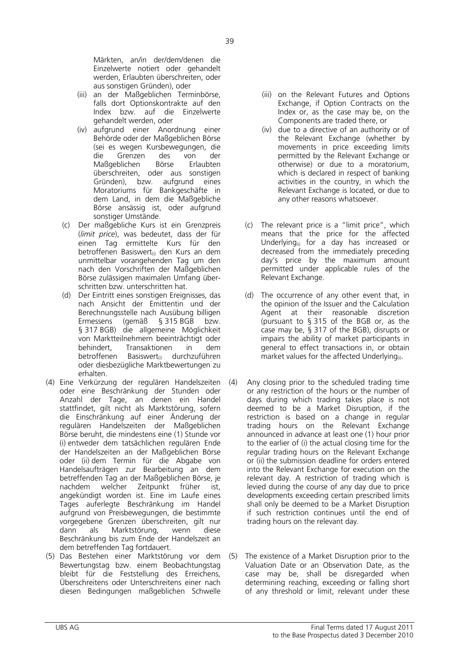Märkten, an/in der/dem/denen die Einzelwerte notiert oder gehandelt werden, Erlaubten überschreiten, oder aus sonstigen Gründen), oder

- (iii) an der Maßgeblichen Terminbörse, falls dort Optionskontrakte auf den Index bzw. auf die Einzelwerte gehandelt werden, oder
- (iv) aufgrund einer Anordnung einer Behörde oder der Maßgeblichen Börse (sei es wegen Kursbewegungen, die die Grenzen des von der Maßgeblichen Börse Erlaubten überschreiten, oder aus sonstigen Gründen), bzw. aufgrund eines Moratoriums für Bankgeschäfte in dem Land, in dem die Maßgebliche Börse ansässig ist, oder aufgrund sonstiger Umstände.
- (c) Der maßgebliche Kurs ist ein Grenzpreis (*limit price*), was bedeutet, dass der für einen Tag ermittelte Kurs für den betroffenen Basiswert<sub>(i)</sub> den Kurs an dem unmittelbar vorangehenden Tag um den nach den Vorschriften der Maßgeblichen Börse zulässigen maximalen Umfang überschritten bzw. unterschritten hat.
- (d) Der Eintritt eines sonstigen Ereignisses, das nach Ansicht der Emittentin und der Berechnungsstelle nach Ausübung billigen Ermessens (gemäß § 315 BGB bzw. § 317 BGB) die allgemeine Möglichkeit von Marktteilnehmern beeinträchtigt oder behindert, Transaktionen in dem betroffenen Basiswert<sub>(i)</sub> durchzuführen oder diesbezügliche Marktbewertungen zu erhalten.
- (4) Eine Verkürzung der regulären Handelszeiten oder eine Beschränkung der Stunden oder Anzahl der Tage, an denen ein Handel stattfindet, gilt nicht als Marktstörung, sofern die Einschränkung auf einer Änderung der regulären Handelszeiten der Maßgeblichen Börse beruht, die mindestens eine (1) Stunde vor (i) entweder dem tatsächlichen regulären Ende der Handelszeiten an der Maßgeblichen Börse oder (ii) dem Termin für die Abgabe von Handelsaufträgen zur Bearbeitung an dem betreffenden Tag an der Maßgeblichen Börse, je<br>nachdem welcher Zeitpunkt früher ist nachdem welcher Zeitpunkt früher ist, angekündigt worden ist. Eine im Laufe eines Tages auferlegte Beschränkung im Handel aufgrund von Preisbewegungen, die bestimmte vorgegebene Grenzen überschreiten, gilt nur dann als Marktstörung, wenn diese Beschränkung bis zum Ende der Handelszeit an dem betreffenden Tag fortdauert.
- (5) Das Bestehen einer Marktstörung vor dem Bewertungstag bzw. einem Beobachtungstag bleibt für die Feststellung des Erreichens, Überschreitens oder Unterschreitens einer nach diesen Bedingungen maßgeblichen Schwelle
- (iii) on the Relevant Futures and Options Exchange, if Option Contracts on the Index or, as the case may be, on the Components are traded there, or
- (iv) due to a directive of an authority or of the Relevant Exchange (whether by movements in price exceeding limits permitted by the Relevant Exchange or otherwise) or due to a moratorium, which is declared in respect of banking activities in the country, in which the Relevant Exchange is located, or due to any other reasons whatsoever.
- (c) The relevant price is a "limit price", which means that the price for the affected Underlying<sub>(i)</sub> for a day has increased or decreased from the immediately preceding day's price by the maximum amount permitted under applicable rules of the Relevant Exchange.
- (d) The occurrence of any other event that, in the opinion of the Issuer and the Calculation Agent at their reasonable discretion (pursuant to § 315 of the BGB or, as the case may be, § 317 of the BGB), disrupts or impairs the ability of market participants in general to effect transactions in, or obtain market values for the affected Underlying $_{(i)}$ .
- (4) Any closing prior to the scheduled trading time or any restriction of the hours or the number of days during which trading takes place is not deemed to be a Market Disruption, if the restriction is based on a change in regular trading hours on the Relevant Exchange announced in advance at least one (1) hour prior to the earlier of (i) the actual closing time for the regular trading hours on the Relevant Exchange or (ii) the submission deadline for orders entered into the Relevant Exchange for execution on the relevant day. A restriction of trading which is levied during the course of any day due to price developments exceeding certain prescribed limits shall only be deemed to be a Market Disruption if such restriction continues until the end of trading hours on the relevant day.
- (5) The existence of a Market Disruption prior to the Valuation Date or an Observation Date, as the case may be, shall be disregarded when determining reaching, exceeding or falling short of any threshold or limit, relevant under these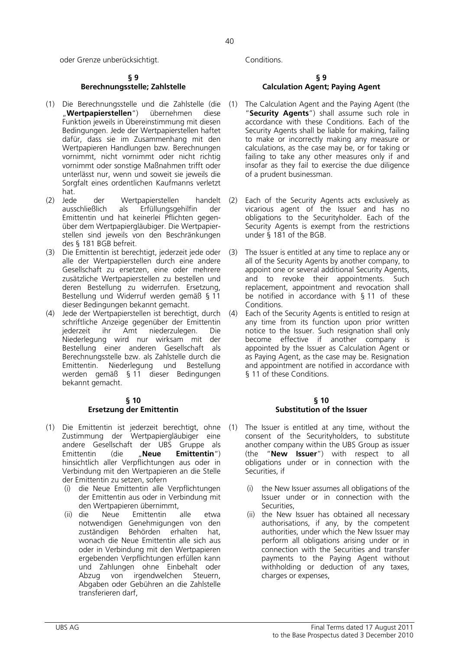oder Grenze unberücksichtigt. Conditions.

### **§ 9 Berechnungsstelle; Zahlstelle**

- (1) Die Berechnungsstelle und die Zahlstelle (die "**Wertpapierstellen**") übernehmen diese Funktion jeweils in Übereinstimmung mit diesen Bedingungen. Jede der Wertpapierstellen haftet dafür, dass sie im Zusammenhang mit den Wertpapieren Handlungen bzw. Berechnungen vornimmt, nicht vornimmt oder nicht richtig vornimmt oder sonstige Maßnahmen trifft oder unterlässt nur, wenn und soweit sie jeweils die Sorgfalt eines ordentlichen Kaufmanns verletzt hat.<br>(2) Jede
- (2) Jede der Wertpapierstellen handelt<br>Lausschließlich als Erfüllungsgehilfin der als Erfüllungsgehilfin der Emittentin und hat keinerlei Pflichten gegenüber dem Wertpapiergläubiger. Die Wertpapierstellen sind jeweils von den Beschränkungen des § 181 BGB befreit.
- (3) Die Emittentin ist berechtigt, jederzeit jede oder alle der Wertpapierstellen durch eine andere Gesellschaft zu ersetzen, eine oder mehrere zusätzliche Wertpapierstellen zu bestellen und deren Bestellung zu widerrufen. Ersetzung, Bestellung und Widerruf werden gemäß § 11 dieser Bedingungen bekannt gemacht.
- (4) Jede der Wertpapierstellen ist berechtigt, durch schriftliche Anzeige gegenüber der Emittentin jederzeit ihr Amt niederzulegen. Die Niederlegung wird nur wirksam mit der Bestellung einer anderen Gesellschaft als Berechnungsstelle bzw. als Zahlstelle durch die Emittentin. Niederlegung und Bestellung werden gemäß § 11 dieser Bedingungen bekannt gemacht.

## **§ 10 Ersetzung der Emittentin**

- (1) Die Emittentin ist jederzeit berechtigt, ohne Zustimmung der Wertpapiergläubiger eine andere Gesellschaft der UBS Gruppe als Emittentin (die "**Neue Emittentin**") hinsichtlich aller Verpflichtungen aus oder in Verbindung mit den Wertpapieren an die Stelle der Emittentin zu setzen, sofern
	- (i) die Neue Emittentin alle Verpflichtungen der Emittentin aus oder in Verbindung mit den Wertpapieren übernimmt,
	- (ii) die Neue Emittentin alle etwa notwendigen Genehmigungen von den zuständigen Behörden erhalten hat. wonach die Neue Emittentin alle sich aus oder in Verbindung mit den Wertpapieren ergebenden Verpflichtungen erfüllen kann und Zahlungen ohne Einbehalt oder Abzug von irgendwelchen Steuern, Abgaben oder Gebühren an die Zahlstelle transferieren darf,

### **§ 9 Calculation Agent; Paying Agent**

- The Calculation Agent and the Paying Agent (the "**Security Agents**") shall assume such role in accordance with these Conditions. Each of the Security Agents shall be liable for making, failing to make or incorrectly making any measure or calculations, as the case may be, or for taking or failing to take any other measures only if and insofar as they fail to exercise the due diligence of a prudent businessman.
- (2) Each of the Security Agents acts exclusively as vicarious agent of the Issuer and has no obligations to the Securityholder. Each of the Security Agents is exempt from the restrictions under § 181 of the BGB.
- (3) The Issuer is entitled at any time to replace any or all of the Security Agents by another company, to appoint one or several additional Security Agents, and to revoke their appointments. Such replacement, appointment and revocation shall be notified in accordance with § 11 of these Conditions.
- (4) Each of the Security Agents is entitled to resign at any time from its function upon prior written notice to the Issuer. Such resignation shall only become effective if another company is appointed by the Issuer as Calculation Agent or as Paying Agent, as the case may be. Resignation and appointment are notified in accordance with § 11 of these Conditions.

## **§ 10 Substitution of the Issuer**

- The Issuer is entitled at any time, without the consent of the Securityholders, to substitute another company within the UBS Group as issuer (the "**New Issuer**") with respect to all obligations under or in connection with the Securities, if
	- (i) the New Issuer assumes all obligations of the Issuer under or in connection with the Securities,
	- (ii) the New Issuer has obtained all necessary authorisations, if any, by the competent authorities, under which the New Issuer may perform all obligations arising under or in connection with the Securities and transfer payments to the Paying Agent without withholding or deduction of any taxes, charges or expenses,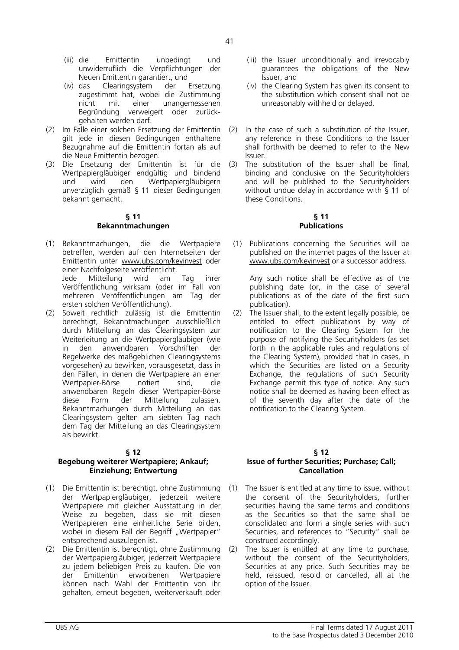- (iii) die Emittentin unbedingt und unwiderruflich die Verpflichtungen der Neuen Emittentin garantiert, und
- (iv) das Clearingsystem der Ersetzung zugestimmt hat, wobei die Zustimmung nicht mit einer unangemessenen Begründung verweigert oder zurückgehalten werden darf.
- (2) Im Falle einer solchen Ersetzung der Emittentin gilt jede in diesen Bedingungen enthaltene Bezugnahme auf die Emittentin fortan als auf die Neue Emittentin bezogen.
- (3) Die Ersetzung der Emittentin ist für die Wertpapiergläubiger endgültig und bindend und wird den Wertpapiergläubigern unverzüglich gemäß § 11 dieser Bedingungen bekannt gemacht.

# **§ 11 Bekanntmachungen**

- (1) Bekanntmachungen, die die Wertpapiere betreffen, werden auf den Internetseiten der Emittentin unter www.ubs.com/keyinvest oder einer Nachfolgeseite veröffentlicht. Jede Mitteilung wird am Tag ihrer Veröffentlichung wirksam (oder im Fall von mehreren Veröffentlichungen am Tag der ersten solchen Veröffentlichung).
- (2) Soweit rechtlich zulässig ist die Emittentin berechtigt, Bekanntmachungen ausschließlich durch Mitteilung an das Clearingsystem zur Weiterleitung an die Wertpapiergläubiger (wie in den anwendbaren Vorschriften der Regelwerke des maßgeblichen Clearingsystems vorgesehen) zu bewirken, vorausgesetzt, dass in den Fällen, in denen die Wertpapiere an einer Wertpapier-Börse notiert sind, die anwendbaren Regeln dieser Wertpapier-Börse diese Form der Mitteilung zulassen. Bekanntmachungen durch Mitteilung an das Clearingsystem gelten am siebten Tag nach dem Tag der Mitteilung an das Clearingsystem als bewirkt.

#### **§ 12**

## **Begebung weiterer Wertpapiere; Ankauf; Einziehung; Entwertung**

- (1) Die Emittentin ist berechtigt, ohne Zustimmung der Wertpapiergläubiger, jederzeit weitere Wertpapiere mit gleicher Ausstattung in der Weise zu begeben, dass sie mit diesen Wertpapieren eine einheitliche Serie bilden, wobei in diesem Fall der Begriff "Wertpapier" entsprechend auszulegen ist.
- (2) Die Emittentin ist berechtigt, ohne Zustimmung der Wertpapiergläubiger, jederzeit Wertpapiere zu jedem beliebigen Preis zu kaufen. Die von der Emittentin erworbenen Wertpapiere können nach Wahl der Emittentin von ihr gehalten, erneut begeben, weiterverkauft oder
- (iii) the Issuer unconditionally and irrevocably guarantees the obligations of the New Issuer, and
- (iv) the Clearing System has given its consent to the substitution which consent shall not be unreasonably withheld or delayed.
- (2) In the case of such a substitution of the Issuer, any reference in these Conditions to the Issuer shall forthwith be deemed to refer to the New Issuer.
- (3) The substitution of the Issuer shall be final, binding and conclusive on the Securityholders and will be published to the Securityholders without undue delay in accordance with § 11 of these Conditions.

## **§ 11 Publications**

(1) Publications concerning the Securities will be published on the internet pages of the Issuer at www.ubs.com/keyinvest or a successor address.

 Any such notice shall be effective as of the publishing date (or, in the case of several publications as of the date of the first such publication).

(2) The Issuer shall, to the extent legally possible, be entitled to effect publications by way of notification to the Clearing System for the purpose of notifying the Securityholders (as set forth in the applicable rules and regulations of the Clearing System), provided that in cases, in which the Securities are listed on a Security Exchange, the regulations of such Security Exchange permit this type of notice. Any such notice shall be deemed as having been effect as of the seventh day after the date of the notification to the Clearing System.

#### **§ 12 Issue of further Securities; Purchase; Call; Cancellation**

- (1) The Issuer is entitled at any time to issue, without the consent of the Securityholders, further securities having the same terms and conditions as the Securities so that the same shall be consolidated and form a single series with such Securities, and references to "Security" shall be construed accordingly.
- (2) The Issuer is entitled at any time to purchase, without the consent of the Securityholders, Securities at any price. Such Securities may be held, reissued, resold or cancelled, all at the option of the Issuer.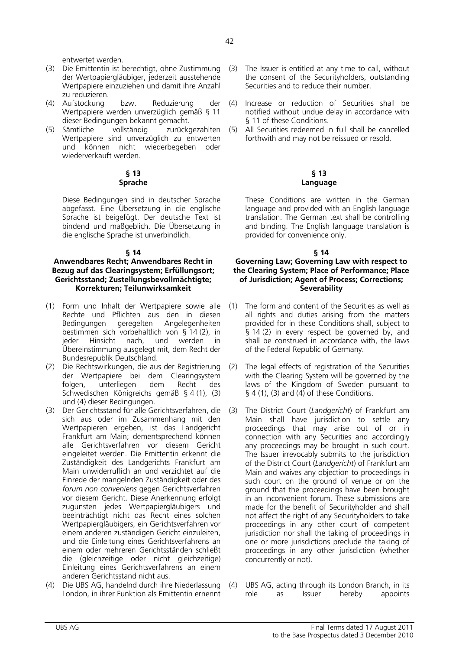entwertet werden.

- (3) Die Emittentin ist berechtigt, ohne Zustimmung der Wertpapiergläubiger, jederzeit ausstehende Wertpapiere einzuziehen und damit ihre Anzahl zu reduzieren.
- (4) Aufstockung bzw. Reduzierung der Wertpapiere werden unverzüglich gemäß § 11 dieser Bedingungen bekannt gemacht.
- (5) Sämtliche vollständig zurückgezahlten Wertpapiere sind unverzüglich zu entwerten und können nicht wiederbegeben oder wiederverkauft werden.

## **§ 13 Sprache**

 Diese Bedingungen sind in deutscher Sprache abgefasst. Eine Übersetzung in die englische Sprache ist beigefügt. Der deutsche Text ist bindend und maßgeblich. Die Übersetzung in die englische Sprache ist unverbindlich.

## **§ 14**

## **Anwendbares Recht; Anwendbares Recht in Bezug auf das Clearingsystem; Erfüllungsort; Gerichtsstand; Zustellungsbevollmächtigte; Korrekturen; Teilunwirksamkeit**

- (1) Form und Inhalt der Wertpapiere sowie alle Rechte und Pflichten aus den in diesen<br>Bedingungen geregelten Angelegenheiten Bedingungen geregelten Angelegenheiten bestimmen sich vorbehaltlich von § 14 (2), in<br>jeder Hinsicht nach, und werden in jeder Hinsicht nach, und Übereinstimmung ausgelegt mit, dem Recht der Bundesrepublik Deutschland.
- (2) Die Rechtswirkungen, die aus der Registrierung der Wertpapiere bei dem Clearingsystem folgen, unterliegen dem Recht des Schwedischen Königreichs gemäß § 4 (1), (3) und (4) dieser Bedingungen.
- (3) Der Gerichtsstand für alle Gerichtsverfahren, die sich aus oder im Zusammenhang mit den Wertpapieren ergeben, ist das Landgericht Frankfurt am Main; dementsprechend können alle Gerichtsverfahren vor diesem Gericht eingeleitet werden. Die Emittentin erkennt die Zuständigkeit des Landgerichts Frankfurt am Main unwiderruflich an und verzichtet auf die Einrede der mangelnden Zuständigkeit oder des *forum non conveniens* gegen Gerichtsverfahren vor diesem Gericht. Diese Anerkennung erfolgt zugunsten jedes Wertpapiergläubigers und beeinträchtigt nicht das Recht eines solchen Wertpapiergläubigers, ein Gerichtsverfahren vor einem anderen zuständigen Gericht einzuleiten, und die Einleitung eines Gerichtsverfahrens an einem oder mehreren Gerichtsständen schließt die (gleichzeitige oder nicht gleichzeitige) Einleitung eines Gerichtsverfahrens an einem anderen Gerichtsstand nicht aus.
- (4) Die UBS AG, handelnd durch ihre Niederlassung London, in ihrer Funktion als Emittentin ernennt
- (3) The Issuer is entitled at any time to call, without the consent of the Securityholders, outstanding Securities and to reduce their number.
- (4) Increase or reduction of Securities shall be notified without undue delay in accordance with § 11 of these Conditions.
- (5) All Securities redeemed in full shall be cancelled forthwith and may not be reissued or resold.

### **§ 13 Language**

 These Conditions are written in the German language and provided with an English language translation. The German text shall be controlling and binding. The English language translation is provided for convenience only.

## **§ 14**

## **Governing Law; Governing Law with respect to the Clearing System; Place of Performance; Place of Jurisdiction; Agent of Process; Corrections; Severability**

- (1) The form and content of the Securities as well as all rights and duties arising from the matters provided for in these Conditions shall, subject to § 14 (2) in every respect be governed by, and shall be construed in accordance with, the laws of the Federal Republic of Germany.
- (2) The legal effects of registration of the Securities with the Clearing System will be governed by the laws of the Kingdom of Sweden pursuant to  $\S$  4 (1), (3) and (4) of these Conditions.
- (3) The District Court (*Landgericht*) of Frankfurt am Main shall have jurisdiction to settle any proceedings that may arise out of or in connection with any Securities and accordingly any proceedings may be brought in such court. The Issuer irrevocably submits to the jurisdiction of the District Court (*Landgericht*) of Frankfurt am Main and waives any objection to proceedings in such court on the ground of venue or on the ground that the proceedings have been brought in an inconvenient forum. These submissions are made for the benefit of Securityholder and shall not affect the right of any Securityholders to take proceedings in any other court of competent jurisdiction nor shall the taking of proceedings in one or more jurisdictions preclude the taking of proceedings in any other jurisdiction (whether concurrently or not).
- (4) UBS AG, acting through its London Branch, in its role as Issuer hereby appoints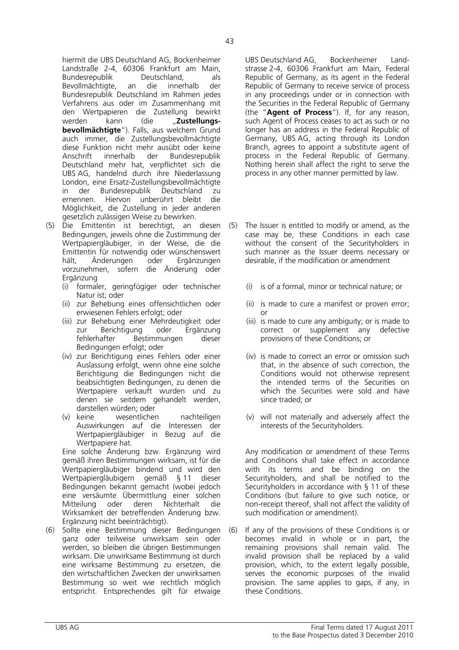hiermit die UBS Deutschland AG, Bockenheimer Landstraße 2-4, 60306 Frankfurt am Main, Bundesrepublik Deutschland, als Bevollmächtigte, an die innerhalb der Bundesrepublik Deutschland im Rahmen jedes Verfahrens aus oder im Zusammenhang mit den Wertpapieren die Zustellung bewirkt werden kann (die "**Zustellungsbevollmächtigte**"). Falls, aus welchem Grund auch immer, die Zustellungsbevollmächtigte diese Funktion nicht mehr ausübt oder keine Anschrift innerhalb der Bundesrepublik Deutschland mehr hat, verpflichtet sich die UBS AG, handelnd durch ihre Niederlassung London, eine Ersatz-Zustellungsbevollmächtigte in der Bundesrepublik Deutschland zu ernennen. Hiervon unberührt bleibt die Möglichkeit, die Zustellung in jeder anderen gesetzlich zulässigen Weise zu bewirken.

- (5) Die Emittentin ist berechtigt, an diesen Bedingungen, jeweils ohne die Zustimmung der Wertpapiergläubiger, in der Weise, die die Emittentin für notwendig oder wünschenswert hält, Änderungen oder Ergänzungen vorzunehmen, sofern die Änderung oder Ergänzung
	- (i) formaler, geringfügiger oder technischer Natur ist; oder
	- (ii) zur Behebung eines offensichtlichen oder erwiesenen Fehlers erfolgt; oder
	- (iii) zur Behebung einer Mehrdeutigkeit oder zur Berichtigung oder Ergänzung fehlerhafter Bestimmungen dieser Bedingungen erfolgt; oder
	- (iv) zur Berichtigung eines Fehlers oder einer Auslassung erfolgt, wenn ohne eine solche Berichtigung die Bedingungen nicht die beabsichtigten Bedingungen, zu denen die Wertpapiere verkauft wurden und zu denen sie seitdem gehandelt werden, darstellen würden; oder
	- (v) keine wesentlichen nachteiligen Auswirkungen auf die Interessen der Wertpapiergläubiger in Bezug auf die Wertpapiere hat.

 Eine solche Änderung bzw. Ergänzung wird gemäß ihren Bestimmungen wirksam, ist für die Wertpapiergläubiger bindend und wird den  $W$ ertpapiergläubigern gemäß § 11 Bedingungen bekannt gemacht (wobei jedoch eine versäumte Übermittlung einer solchen Mitteilung oder deren Nichterhalt die Wirksamkeit der betreffenden Änderung bzw. Ergänzung nicht beeinträchtigt).

(6) Sollte eine Bestimmung dieser Bedingungen ganz oder teilweise unwirksam sein oder werden, so bleiben die übrigen Bestimmungen wirksam. Die unwirksame Bestimmung ist durch eine wirksame Bestimmung zu ersetzen, die den wirtschaftlichen Zwecken der unwirksamen Bestimmung so weit wie rechtlich möglich entspricht. Entsprechendes gilt für etwaige

UBS Deutschland AG, Bockenheimer Landstrasse 2-4, 60306 Frankfurt am Main, Federal Republic of Germany, as its agent in the Federal Republic of Germany to receive service of process in any proceedings under or in connection with the Securities in the Federal Republic of Germany (the "**Agent of Process**"). If, for any reason, such Agent of Process ceases to act as such or no longer has an address in the Federal Republic of Germany, UBS AG, acting through its London Branch, agrees to appoint a substitute agent of process in the Federal Republic of Germany. Nothing herein shall affect the right to serve the process in any other manner permitted by law.

- (5) The Issuer is entitled to modify or amend, as the case may be, these Conditions in each case without the consent of the Securityholders in such manner as the Issuer deems necessary or desirable, if the modification or amendment
	- (i) is of a formal, minor or technical nature; or
	- (ii) is made to cure a manifest or proven error; or
	- (iii) is made to cure any ambiguity; or is made to correct or supplement any defective provisions of these Conditions; or
	- (iv) is made to correct an error or omission such that, in the absence of such correction, the Conditions would not otherwise represent the intended terms of the Securities on which the Securities were sold and have since traded; or
	- (v) will not materially and adversely affect the interests of the Securityholders.

 Any modification or amendment of these Terms and Conditions shall take effect in accordance with its terms and be binding on the Securityholders, and shall be notified to the Securityholders in accordance with § 11 of these Conditions (but failure to give such notice, or non-receipt thereof, shall not affect the validity of such modification or amendment).

(6) If any of the provisions of these Conditions is or becomes invalid in whole or in part, the remaining provisions shall remain valid. The invalid provision shall be replaced by a valid provision, which, to the extent legally possible, serves the economic purposes of the invalid provision. The same applies to gaps, if any, in these Conditions.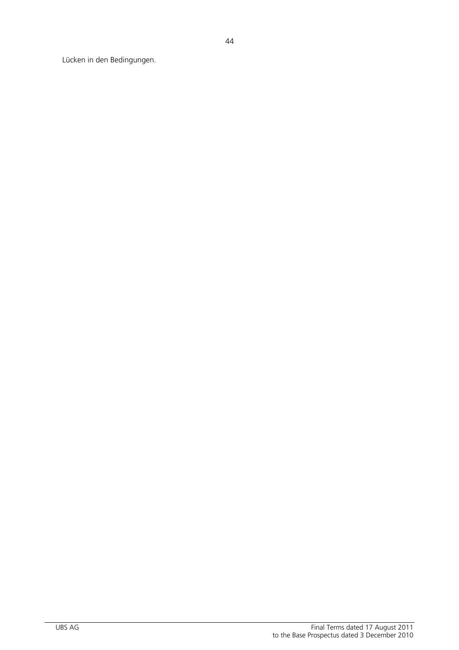Lücken in den Bedingungen.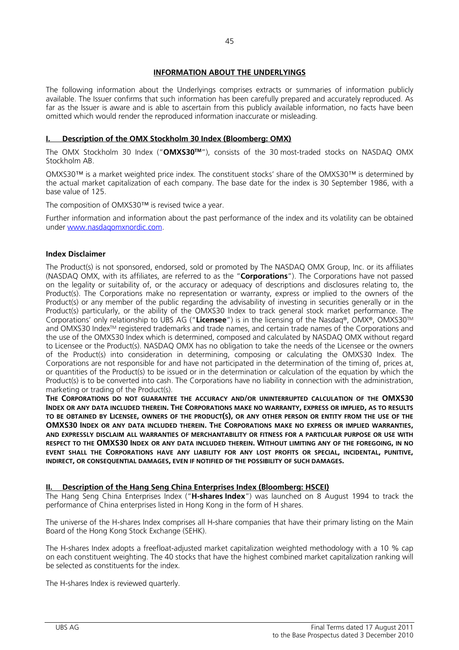# **INFORMATION ABOUT THE UNDERLYINGS**

The following information about the Underlyings comprises extracts or summaries of information publicly available. The Issuer confirms that such information has been carefully prepared and accurately reproduced. As far as the Issuer is aware and is able to ascertain from this publicly available information, no facts have been omitted which would render the reproduced information inaccurate or misleading.

# **I. Description of the OMX Stockholm 30 Index (Bloomberg: OMX)**

The OMX Stockholm 30 Index ("**OMXS30TM**"), consists of the 30 most-traded stocks on NASDAQ OMX Stockholm AB.

OMXS30™ is a market weighted price index. The constituent stocks' share of the OMXS30™ is determined by the actual market capitalization of each company. The base date for the index is 30 September 1986, with a base value of 125.

The composition of OMXS30™ is revised twice a year.

Further information and information about the past performance of the index and its volatility can be obtained under www.nasdaqomxnordic.com.

## **Index Disclaimer**

The Product(s) is not sponsored, endorsed, sold or promoted by The NASDAQ OMX Group, Inc. or its affiliates (NASDAQ OMX, with its affiliates, are referred to as the "**Corporations**"). The Corporations have not passed on the legality or suitability of, or the accuracy or adequacy of descriptions and disclosures relating to, the Product(s). The Corporations make no representation or warranty, express or implied to the owners of the Product(s) or any member of the public regarding the advisability of investing in securities generally or in the Product(s) particularly, or the ability of the OMXS30 Index to track general stock market performance. The Corporations' only relationship to UBS AG ("**Licensee**") is in the licensing of the Nasdaq®, OMX®, OMXS30TM and OMXS30 IndexTM registered trademarks and trade names, and certain trade names of the Corporations and the use of the OMXS30 Index which is determined, composed and calculated by NASDAQ OMX without regard to Licensee or the Product(s). NASDAQ OMX has no obligation to take the needs of the Licensee or the owners of the Product(s) into consideration in determining, composing or calculating the OMXS30 Index. The Corporations are not responsible for and have not participated in the determination of the timing of, prices at, or quantities of the Product(s) to be issued or in the determination or calculation of the equation by which the Product(s) is to be converted into cash. The Corporations have no liability in connection with the administration, marketing or trading of the Product(s).

**THE CORPORATIONS DO NOT GUARANTEE THE ACCURACY AND/OR UNINTERRUPTED CALCULATION OF THE OMXS30 INDEX OR ANY DATA INCLUDED THEREIN. THE CORPORATIONS MAKE NO WARRANTY, EXPRESS OR IMPLIED, AS TO RESULTS TO BE OBTAINED BY LICENSEE, OWNERS OF THE PRODUCT(S), OR ANY OTHER PERSON OR ENTITY FROM THE USE OF THE OMXS30 INDEX OR ANY DATA INCLUDED THEREIN. THE CORPORATIONS MAKE NO EXPRESS OR IMPLIED WARRANTIES, AND EXPRESSLY DISCLAIM ALL WARRANTIES OF MERCHANTABILITY OR FITNESS FOR A PARTICULAR PURPOSE OR USE WITH RESPECT TO THE OMXS30 INDEX OR ANY DATA INCLUDED THEREIN. WITHOUT LIMITING ANY OF THE FOREGOING, IN NO EVENT SHALL THE CORPORATIONS HAVE ANY LIABILITY FOR ANY LOST PROFITS OR SPECIAL, INCIDENTAL, PUNITIVE, INDIRECT, OR CONSEQUENTIAL DAMAGES, EVEN IF NOTIFIED OF THE POSSIBILITY OF SUCH DAMAGES.**

## **II. Description of the Hang Seng China Enterprises Index (Bloomberg: HSCEI)**

The Hang Seng China Enterprises Index ("**H-shares Index**") was launched on 8 August 1994 to track the performance of China enterprises listed in Hong Kong in the form of H shares.

The universe of the H-shares Index comprises all H-share companies that have their primary listing on the Main Board of the Hong Kong Stock Exchange (SEHK).

The H-shares Index adopts a freefloat-adjusted market capitalization weighted methodology with a 10 % cap on each constituent weighting. The 40 stocks that have the highest combined market capitalization ranking will be selected as constituents for the index.

The H-shares Index is reviewed quarterly.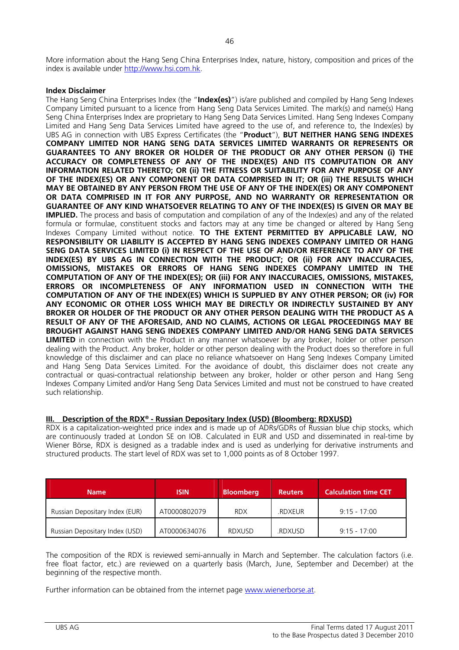More information about the Hang Seng China Enterprises Index, nature, history, composition and prices of the index is available under http://www.hsi.com.hk.

## **Index Disclaimer**

The Hang Seng China Enterprises Index (the "**Index(es)**") is/are published and compiled by Hang Seng Indexes Company Limited pursuant to a licence from Hang Seng Data Services Limited. The mark(s) and name(s) Hang Seng China Enterprises Index are proprietary to Hang Seng Data Services Limited. Hang Seng Indexes Company Limited and Hang Seng Data Services Limited have agreed to the use of, and reference to, the Index(es) by UBS AG in connection with UBS Express Certificates (the "**Product**"), **BUT NEITHER HANG SENG INDEXES COMPANY LIMITED NOR HANG SENG DATA SERVICES LIMITED WARRANTS OR REPRESENTS OR GUARANTEES TO ANY BROKER OR HOLDER OF THE PRODUCT OR ANY OTHER PERSON (i) THE ACCURACY OR COMPLETENESS OF ANY OF THE INDEX(ES) AND ITS COMPUTATION OR ANY INFORMATION RELATED THERETO; OR (ii) THE FITNESS OR SUITABILITY FOR ANY PURPOSE OF ANY OF THE INDEX(ES) OR ANY COMPONENT OR DATA COMPRISED IN IT; OR (iii) THE RESULTS WHICH MAY BE OBTAINED BY ANY PERSON FROM THE USE OF ANY OF THE INDEX(ES) OR ANY COMPONENT OR DATA COMPRISED IN IT FOR ANY PURPOSE, AND NO WARRANTY OR REPRESENTATION OR GUARANTEE OF ANY KIND WHATSOEVER RELATING TO ANY OF THE INDEX(ES) IS GIVEN OR MAY BE IMPLIED.** The process and basis of computation and compilation of any of the Index(es) and any of the related formula or formulae, constituent stocks and factors may at any time be changed or altered by Hang Seng Indexes Company Limited without notice. **TO THE EXTENT PERMITTED BY APPLICABLE LAW, NO RESPONSIBILITY OR LIABILITY IS ACCEPTED BY HANG SENG INDEXES COMPANY LIMITED OR HANG SENG DATA SERVICES LIMITED (i) IN RESPECT OF THE USE OF AND/OR REFERENCE TO ANY OF THE INDEX(ES) BY UBS AG IN CONNECTION WITH THE PRODUCT; OR (ii) FOR ANY INACCURACIES, OMISSIONS, MISTAKES OR ERRORS OF HANG SENG INDEXES COMPANY LIMITED IN THE COMPUTATION OF ANY OF THE INDEX(ES); OR (iii) FOR ANY INACCURACIES, OMISSIONS, MISTAKES, ERRORS OR INCOMPLETENESS OF ANY INFORMATION USED IN CONNECTION WITH THE COMPUTATION OF ANY OF THE INDEX(ES) WHICH IS SUPPLIED BY ANY OTHER PERSON; OR (iv) FOR ANY ECONOMIC OR OTHER LOSS WHICH MAY BE DIRECTLY OR INDIRECTLY SUSTAINED BY ANY BROKER OR HOLDER OF THE PRODUCT OR ANY OTHER PERSON DEALING WITH THE PRODUCT AS A RESULT OF ANY OF THE AFORESAID, AND NO CLAIMS, ACTIONS OR LEGAL PROCEEDINGS MAY BE BROUGHT AGAINST HANG SENG INDEXES COMPANY LIMITED AND/OR HANG SENG DATA SERVICES LIMITED** in connection with the Product in any manner whatsoever by any broker, holder or other person dealing with the Product. Any broker, holder or other person dealing with the Product does so therefore in full knowledge of this disclaimer and can place no reliance whatsoever on Hang Seng Indexes Company Limited and Hang Seng Data Services Limited. For the avoidance of doubt, this disclaimer does not create any contractual or quasi-contractual relationship between any broker, holder or other person and Hang Seng Indexes Company Limited and/or Hang Seng Data Services Limited and must not be construed to have created such relationship.

# **III. Description of the RDX® - Russian Depositary Index (USD) (Bloomberg: RDXUSD)**

RDX is a capitalization-weighted price index and is made up of ADRs/GDRs of Russian blue chip stocks, which are continuously traded at London SE on IOB. Calculated in EUR and USD and disseminated in real-time by Wiener Börse, RDX is designed as a tradable index and is used as underlying for derivative instruments and structured products. The start level of RDX was set to 1,000 points as of 8 October 1997.

| <b>Name</b>                    | <b>ISIN</b>  | <b>Bloomberg</b> | <b>Reuters</b> | <b>Calculation time CET</b> |
|--------------------------------|--------------|------------------|----------------|-----------------------------|
| Russian Depositary Index (EUR) | AT0000802079 | <b>RDX</b>       | <b>RDXEUR</b>  | $9:15 - 17:00$              |
| Russian Depositary Index (USD) | AT0000634076 | <b>RDXUSD</b>    | .RDXUSD        | $9:15 - 17:00$              |

The composition of the RDX is reviewed semi-annually in March and September. The calculation factors (i.e. free float factor, etc.) are reviewed on a quarterly basis (March, June, September and December) at the beginning of the respective month.

Further information can be obtained from the internet page www.wienerborse.at.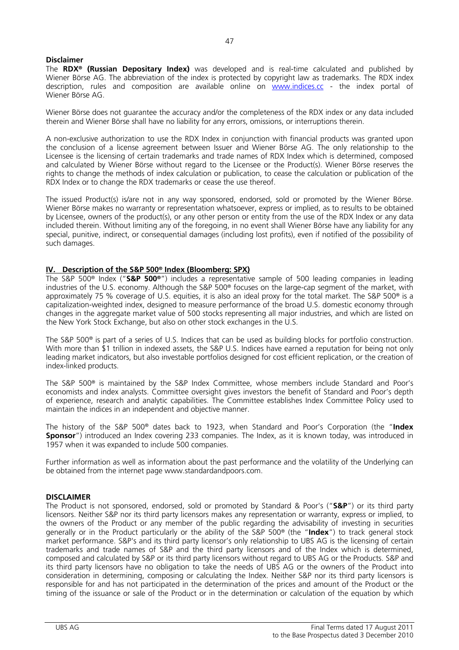## **Disclaimer**

The **RDX® (Russian Depositary Index)** was developed and is real-time calculated and published by Wiener Börse AG. The abbreviation of the index is protected by copyright law as trademarks. The RDX index description, rules and composition are available online on www.indices.cc - the index portal of Wiener Börse AG.

Wiener Börse does not guarantee the accuracy and/or the completeness of the RDX index or any data included therein and Wiener Börse shall have no liability for any errors, omissions, or interruptions therein.

A non-exclusive authorization to use the RDX Index in conjunction with financial products was granted upon the conclusion of a license agreement between Issuer and Wiener Börse AG. The only relationship to the Licensee is the licensing of certain trademarks and trade names of RDX Index which is determined, composed and calculated by Wiener Börse without regard to the Licensee or the Product(s). Wiener Börse reserves the rights to change the methods of index calculation or publication, to cease the calculation or publication of the RDX Index or to change the RDX trademarks or cease the use thereof.

The issued Product(s) is/are not in any way sponsored, endorsed, sold or promoted by the Wiener Börse. Wiener Börse makes no warranty or representation whatsoever, express or implied, as to results to be obtained by Licensee, owners of the product(s), or any other person or entity from the use of the RDX Index or any data included therein. Without limiting any of the foregoing, in no event shall Wiener Börse have any liability for any special, punitive, indirect, or consequential damages (including lost profits), even if notified of the possibility of such damages.

## **IV. Description of the S&P 500® Index (Bloomberg: SPX)**

The S&P 500® Index ("**S&P 500®**") includes a representative sample of 500 leading companies in leading industries of the U.S. economy. Although the S&P 500® focuses on the large-cap segment of the market, with approximately 75 % coverage of U.S. equities, it is also an ideal proxy for the total market. The S&P 500® is a capitalization-weighted index, designed to measure performance of the broad U.S. domestic economy through changes in the aggregate market value of 500 stocks representing all major industries, and which are listed on the New York Stock Exchange, but also on other stock exchanges in the U.S.

The S&P 500® is part of a series of U.S. Indices that can be used as building blocks for portfolio construction. With more than \$1 trillion in indexed assets, the S&P U.S. Indices have earned a reputation for being not only leading market indicators, but also investable portfolios designed for cost efficient replication, or the creation of index-linked products.

The S&P 500® is maintained by the S&P Index Committee, whose members include Standard and Poor's economists and index analysts. Committee oversight gives investors the benefit of Standard and Poor's depth of experience, research and analytic capabilities. The Committee establishes Index Committee Policy used to maintain the indices in an independent and objective manner.

The history of the S&P 500® dates back to 1923, when Standard and Poor's Corporation (the "**Index Sponsor**") introduced an Index covering 233 companies. The Index, as it is known today, was introduced in 1957 when it was expanded to include 500 companies.

Further information as well as information about the past performance and the volatility of the Underlying can be obtained from the internet page www.standardandpoors.com.

## **DISCLAIMER**

The Product is not sponsored, endorsed, sold or promoted by Standard & Poor's ("**S&P**") or its third party licensors. Neither S&P nor its third party licensors makes any representation or warranty, express or implied, to the owners of the Product or any member of the public regarding the advisability of investing in securities generally or in the Product particularly or the ability of the S&P 500® (the "**Index**") to track general stock market performance. S&P's and its third party licensor's only relationship to UBS AG is the licensing of certain trademarks and trade names of S&P and the third party licensors and of the Index which is determined, composed and calculated by S&P or its third party licensors without regard to UBS AG or the Products. S&P and its third party licensors have no obligation to take the needs of UBS AG or the owners of the Product into consideration in determining, composing or calculating the Index. Neither S&P nor its third party licensors is responsible for and has not participated in the determination of the prices and amount of the Product or the timing of the issuance or sale of the Product or in the determination or calculation of the equation by which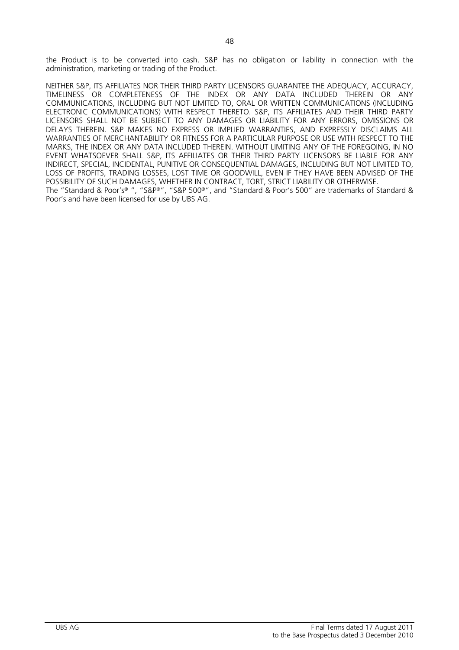NEITHER S&P, ITS AFFILIATES NOR THEIR THIRD PARTY LICENSORS GUARANTEE THE ADEQUACY, ACCURACY, TIMELINESS OR COMPLETENESS OF THE INDEX OR ANY DATA INCLUDED THEREIN OR ANY COMMUNICATIONS, INCLUDING BUT NOT LIMITED TO, ORAL OR WRITTEN COMMUNICATIONS (INCLUDING ELECTRONIC COMMUNICATIONS) WITH RESPECT THERETO. S&P, ITS AFFILIATES AND THEIR THIRD PARTY LICENSORS SHALL NOT BE SUBJECT TO ANY DAMAGES OR LIABILITY FOR ANY ERRORS, OMISSIONS OR DELAYS THEREIN. S&P MAKES NO EXPRESS OR IMPLIED WARRANTIES, AND EXPRESSLY DISCLAIMS ALL WARRANTIES OF MERCHANTABILITY OR FITNESS FOR A PARTICULAR PURPOSE OR USE WITH RESPECT TO THE MARKS, THE INDEX OR ANY DATA INCLUDED THEREIN. WITHOUT LIMITING ANY OF THE FOREGOING, IN NO EVENT WHATSOEVER SHALL S&P, ITS AFFILIATES OR THEIR THIRD PARTY LICENSORS BE LIABLE FOR ANY INDIRECT, SPECIAL, INCIDENTAL, PUNITIVE OR CONSEQUENTIAL DAMAGES, INCLUDING BUT NOT LIMITED TO, LOSS OF PROFITS, TRADING LOSSES, LOST TIME OR GOODWILL, EVEN IF THEY HAVE BEEN ADVISED OF THE POSSIBILITY OF SUCH DAMAGES, WHETHER IN CONTRACT, TORT, STRICT LIABILITY OR OTHERWISE. The "Standard & Poor's® ", "S&P®", "S&P 500®", and "Standard & Poor's 500" are trademarks of Standard & Poor's and have been licensed for use by UBS AG.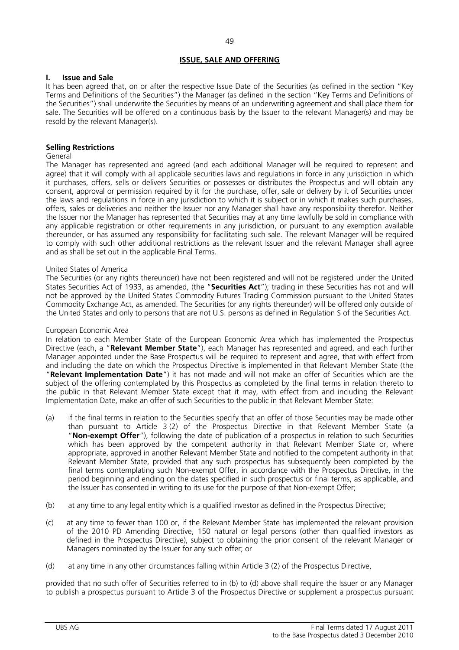# **ISSUE, SALE AND OFFERING**

# **I. Issue and Sale**

It has been agreed that, on or after the respective Issue Date of the Securities (as defined in the section "Key Terms and Definitions of the Securities") the Manager (as defined in the section "Key Terms and Definitions of the Securities") shall underwrite the Securities by means of an underwriting agreement and shall place them for sale. The Securities will be offered on a continuous basis by the Issuer to the relevant Manager(s) and may be resold by the relevant Manager(s).

# **Selling Restrictions**

# General

The Manager has represented and agreed (and each additional Manager will be required to represent and agree) that it will comply with all applicable securities laws and regulations in force in any jurisdiction in which it purchases, offers, sells or delivers Securities or possesses or distributes the Prospectus and will obtain any consent, approval or permission required by it for the purchase, offer, sale or delivery by it of Securities under the laws and regulations in force in any jurisdiction to which it is subject or in which it makes such purchases, offers, sales or deliveries and neither the Issuer nor any Manager shall have any responsibility therefor. Neither the Issuer nor the Manager has represented that Securities may at any time lawfully be sold in compliance with any applicable registration or other requirements in any jurisdiction, or pursuant to any exemption available thereunder, or has assumed any responsibility for facilitating such sale. The relevant Manager will be required to comply with such other additional restrictions as the relevant Issuer and the relevant Manager shall agree and as shall be set out in the applicable Final Terms.

# United States of America

The Securities (or any rights thereunder) have not been registered and will not be registered under the United States Securities Act of 1933, as amended, (the "**Securities Act**"); trading in these Securities has not and will not be approved by the United States Commodity Futures Trading Commission pursuant to the United States Commodity Exchange Act, as amended. The Securities (or any rights thereunder) will be offered only outside of the United States and only to persons that are not U.S. persons as defined in Regulation S of the Securities Act.

# European Economic Area

In relation to each Member State of the European Economic Area which has implemented the Prospectus Directive (each, a "**Relevant Member State**"), each Manager has represented and agreed, and each further Manager appointed under the Base Prospectus will be required to represent and agree, that with effect from and including the date on which the Prospectus Directive is implemented in that Relevant Member State (the "**Relevant Implementation Date**") it has not made and will not make an offer of Securities which are the subject of the offering contemplated by this Prospectus as completed by the final terms in relation thereto to the public in that Relevant Member State except that it may, with effect from and including the Relevant Implementation Date, make an offer of such Securities to the public in that Relevant Member State:

- (a) if the final terms in relation to the Securities specify that an offer of those Securities may be made other than pursuant to Article 3 (2) of the Prospectus Directive in that Relevant Member State (a "**Non-exempt Offer**"), following the date of publication of a prospectus in relation to such Securities which has been approved by the competent authority in that Relevant Member State or, where appropriate, approved in another Relevant Member State and notified to the competent authority in that Relevant Member State, provided that any such prospectus has subsequently been completed by the final terms contemplating such Non-exempt Offer, in accordance with the Prospectus Directive, in the period beginning and ending on the dates specified in such prospectus or final terms, as applicable, and the Issuer has consented in writing to its use for the purpose of that Non-exempt Offer;
- (b) at any time to any legal entity which is a qualified investor as defined in the Prospectus Directive;
- (c) at any time to fewer than 100 or, if the Relevant Member State has implemented the relevant provision of the 2010 PD Amending Directive, 150 natural or legal persons (other than qualified investors as defined in the Prospectus Directive), subject to obtaining the prior consent of the relevant Manager or Managers nominated by the Issuer for any such offer; or
- (d) at any time in any other circumstances falling within Article 3 (2) of the Prospectus Directive,

provided that no such offer of Securities referred to in (b) to (d) above shall require the Issuer or any Manager to publish a prospectus pursuant to Article 3 of the Prospectus Directive or supplement a prospectus pursuant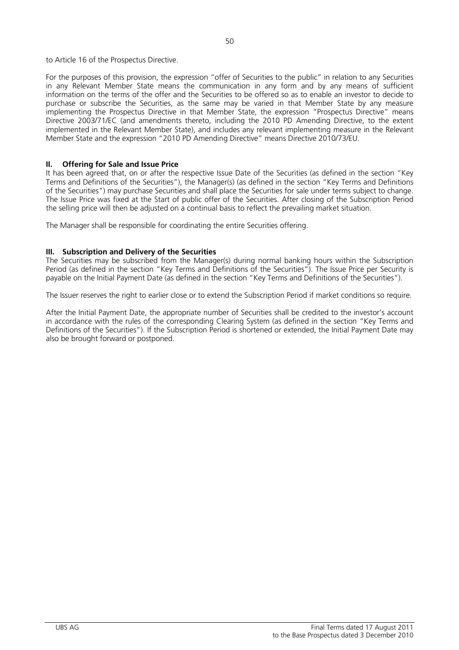to Article 16 of the Prospectus Directive.

For the purposes of this provision, the expression "offer of Securities to the public" in relation to any Securities in any Relevant Member State means the communication in any form and by any means of sufficient information on the terms of the offer and the Securities to be offered so as to enable an investor to decide to purchase or subscribe the Securities, as the same may be varied in that Member State by any measure implementing the Prospectus Directive in that Member State, the expression "Prospectus Directive" means Directive 2003/71/EC (and amendments thereto, including the 2010 PD Amending Directive, to the extent implemented in the Relevant Member State), and includes any relevant implementing measure in the Relevant Member State and the expression "2010 PD Amending Directive" means Directive 2010/73/EU.

# **II. Offering for Sale and Issue Price**

It has been agreed that, on or after the respective Issue Date of the Securities (as defined in the section "Key Terms and Definitions of the Securities"), the Manager(s) (as defined in the section "Key Terms and Definitions of the Securities") may purchase Securities and shall place the Securities for sale under terms subject to change. The Issue Price was fixed at the Start of public offer of the Securities. After closing of the Subscription Period the selling price will then be adjusted on a continual basis to reflect the prevailing market situation.

The Manager shall be responsible for coordinating the entire Securities offering.

# **III. Subscription and Delivery of the Securities**

The Securities may be subscribed from the Manager(s) during normal banking hours within the Subscription Period (as defined in the section "Key Terms and Definitions of the Securities"). The Issue Price per Security is payable on the Initial Payment Date (as defined in the section "Key Terms and Definitions of the Securities").

The Issuer reserves the right to earlier close or to extend the Subscription Period if market conditions so require.

After the Initial Payment Date, the appropriate number of Securities shall be credited to the investor's account in accordance with the rules of the corresponding Clearing System (as defined in the section "Key Terms and Definitions of the Securities"). If the Subscription Period is shortened or extended, the Initial Payment Date may also be brought forward or postponed.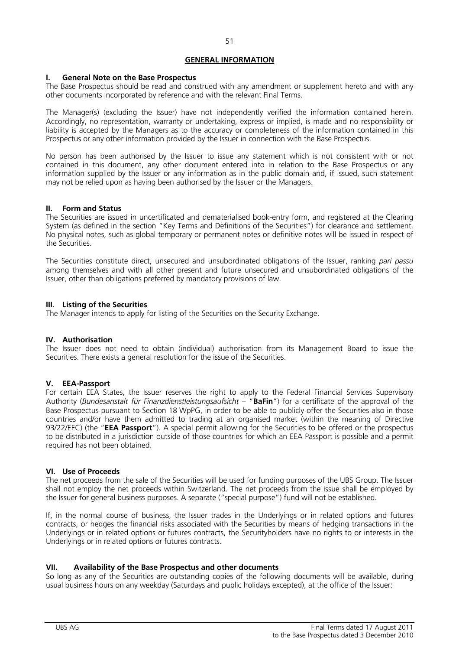# **GENERAL INFORMATION**

# **I. General Note on the Base Prospectus**

The Base Prospectus should be read and construed with any amendment or supplement hereto and with any other documents incorporated by reference and with the relevant Final Terms.

The Manager(s) (excluding the Issuer) have not independently verified the information contained herein. Accordingly, no representation, warranty or undertaking, express or implied, is made and no responsibility or liability is accepted by the Managers as to the accuracy or completeness of the information contained in this Prospectus or any other information provided by the Issuer in connection with the Base Prospectus.

No person has been authorised by the Issuer to issue any statement which is not consistent with or not contained in this document, any other document entered into in relation to the Base Prospectus or any information supplied by the Issuer or any information as in the public domain and, if issued, such statement may not be relied upon as having been authorised by the Issuer or the Managers.

# **II. Form and Status**

The Securities are issued in uncertificated and dematerialised book-entry form, and registered at the Clearing System (as defined in the section "Key Terms and Definitions of the Securities") for clearance and settlement. No physical notes, such as global temporary or permanent notes or definitive notes will be issued in respect of the Securities.

The Securities constitute direct, unsecured and unsubordinated obligations of the Issuer, ranking *pari passu* among themselves and with all other present and future unsecured and unsubordinated obligations of the Issuer, other than obligations preferred by mandatory provisions of law.

# **III. Listing of the Securities**

The Manager intends to apply for listing of the Securities on the Security Exchange.

# **IV. Authorisation**

The Issuer does not need to obtain (individual) authorisation from its Management Board to issue the Securities. There exists a general resolution for the issue of the Securities.

# **V. EEA-Passport**

For certain EEA States, the Issuer reserves the right to apply to the Federal Financial Services Supervisory Authority (*Bundesanstalt für Finanzdienstleistungsaufsicht* – "**BaFin**") for a certificate of the approval of the Base Prospectus pursuant to Section 18 WpPG, in order to be able to publicly offer the Securities also in those countries and/or have them admitted to trading at an organised market (within the meaning of Directive 93/22/EEC) (the "**EEA Passport**"). A special permit allowing for the Securities to be offered or the prospectus to be distributed in a jurisdiction outside of those countries for which an EEA Passport is possible and a permit required has not been obtained.

# **VI. Use of Proceeds**

The net proceeds from the sale of the Securities will be used for funding purposes of the UBS Group. The Issuer shall not employ the net proceeds within Switzerland. The net proceeds from the issue shall be employed by the Issuer for general business purposes. A separate ("special purpose") fund will not be established.

If, in the normal course of business, the Issuer trades in the Underlyings or in related options and futures contracts, or hedges the financial risks associated with the Securities by means of hedging transactions in the Underlyings or in related options or futures contracts, the Securityholders have no rights to or interests in the Underlyings or in related options or futures contracts.

# **VII. Availability of the Base Prospectus and other documents**

So long as any of the Securities are outstanding copies of the following documents will be available, during usual business hours on any weekday (Saturdays and public holidays excepted), at the office of the Issuer: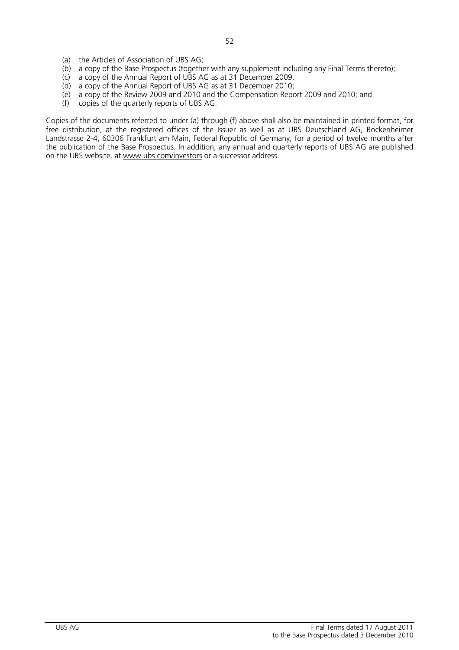- (a) the Articles of Association of UBS AG;
- (b) a copy of the Base Prospectus (together with any supplement including any Final Terms thereto);
- (c) a copy of the Annual Report of UBS AG as at 31 December 2009,
- (d) a copy of the Annual Report of UBS AG as at 31 December 2010;
- (e) a copy of the Review 2009 and 2010 and the Compensation Report 2009 and 2010; and
- (f) copies of the quarterly reports of UBS AG.

Copies of the documents referred to under (a) through (f) above shall also be maintained in printed format, for free distribution, at the registered offices of the Issuer as well as at UBS Deutschland AG, Bockenheimer Landstrasse 2-4, 60306 Frankfurt am Main, Federal Republic of Germany, for a period of twelve months after the publication of the Base Prospectus. In addition, any annual and quarterly reports of UBS AG are published on the UBS website, at www.ubs.com/investors or a successor address.